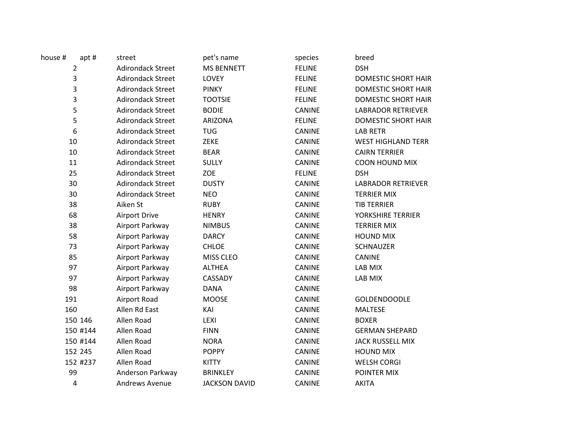| apt#<br>house #  | street                   | pet's name           | species       | breed                      |
|------------------|--------------------------|----------------------|---------------|----------------------------|
| $\overline{2}$   | <b>Adirondack Street</b> | <b>MS BENNETT</b>    | <b>FELINE</b> | <b>DSH</b>                 |
| 3                | <b>Adirondack Street</b> | LOVEY                | <b>FELINE</b> | <b>DOMESTIC SHORT HAIR</b> |
| 3                | <b>Adirondack Street</b> | <b>PINKY</b>         | <b>FELINE</b> | <b>DOMESTIC SHORT HAIR</b> |
| 3                | <b>Adirondack Street</b> | <b>TOOTSIE</b>       | <b>FELINE</b> | <b>DOMESTIC SHORT HAIR</b> |
| 5                | <b>Adirondack Street</b> | <b>BODIE</b>         | <b>CANINE</b> | <b>LABRADOR RETRIEVER</b>  |
| 5                | <b>Adirondack Street</b> | <b>ARIZONA</b>       | <b>FELINE</b> | <b>DOMESTIC SHORT HAIR</b> |
| $\boldsymbol{6}$ | <b>Adirondack Street</b> | <b>TUG</b>           | <b>CANINE</b> | <b>LAB RETR</b>            |
| 10               | <b>Adirondack Street</b> | ZEKE                 | <b>CANINE</b> | <b>WEST HIGHLAND TERR</b>  |
| 10               | <b>Adirondack Street</b> | <b>BEAR</b>          | CANINE        | <b>CAIRN TERRIER</b>       |
| 11               | <b>Adirondack Street</b> | <b>SULLY</b>         | CANINE        | <b>COON HOUND MIX</b>      |
| 25               | <b>Adirondack Street</b> | <b>ZOE</b>           | <b>FELINE</b> | <b>DSH</b>                 |
| 30               | <b>Adirondack Street</b> | <b>DUSTY</b>         | <b>CANINE</b> | <b>LABRADOR RETRIEVER</b>  |
| 30               | <b>Adirondack Street</b> | <b>NEO</b>           | <b>CANINE</b> | <b>TERRIER MIX</b>         |
| 38               | Aiken St                 | <b>RUBY</b>          | <b>CANINE</b> | <b>TIB TERRIER</b>         |
| 68               | Airport Drive            | <b>HENRY</b>         | CANINE        | YORKSHIRE TERRIER          |
| 38               | Airport Parkway          | <b>NIMBUS</b>        | CANINE        | <b>TERRIER MIX</b>         |
| 58               | Airport Parkway          | <b>DARCY</b>         | <b>CANINE</b> | <b>HOUND MIX</b>           |
| 73               | Airport Parkway          | <b>CHLOE</b>         | <b>CANINE</b> | <b>SCHNAUZER</b>           |
| 85               | Airport Parkway          | MISS CLEO            | <b>CANINE</b> | <b>CANINE</b>              |
| 97               | Airport Parkway          | <b>ALTHEA</b>        | <b>CANINE</b> | LAB MIX                    |
| 97               | Airport Parkway          | CASSADY              | CANINE        | LAB MIX                    |
| 98               | Airport Parkway          | <b>DANA</b>          | CANINE        |                            |
| 191              | Airport Road             | <b>MOOSE</b>         | CANINE        | <b>GOLDENDOODLE</b>        |
| 160              | Allen Rd East            | KAI                  | <b>CANINE</b> | <b>MALTESE</b>             |
| 150 146          | Allen Road               | LEXI                 | <b>CANINE</b> | <b>BOXER</b>               |
| 150 #144         | Allen Road               | <b>FINN</b>          | CANINE        | <b>GERMAN SHEPARD</b>      |
| 150 #144         | Allen Road               | <b>NORA</b>          | <b>CANINE</b> | <b>JACK RUSSELL MIX</b>    |
| 152 245          | Allen Road               | <b>POPPY</b>         | <b>CANINE</b> | <b>HOUND MIX</b>           |
| 152 #237         | Allen Road               | <b>KITTY</b>         | CANINE        | <b>WELSH CORGI</b>         |
| 99               | Anderson Parkway         | <b>BRINKLEY</b>      | CANINE        | POINTER MIX                |
| 4                | <b>Andrews Avenue</b>    | <b>JACKSON DAVID</b> | <b>CANINE</b> | <b>AKITA</b>               |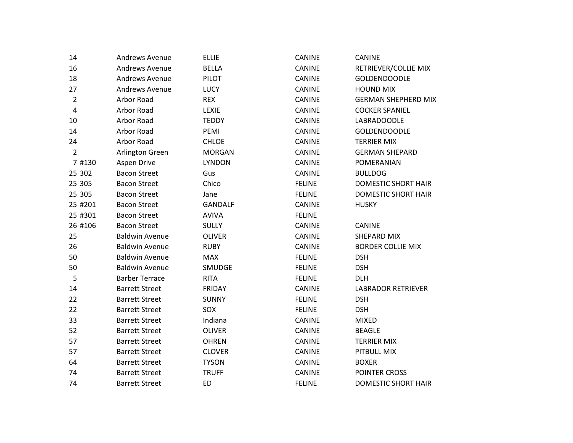| 14             | <b>Andrews Avenue</b> | <b>ELLIE</b>   | CANINE        | <b>CANINE</b>              |
|----------------|-----------------------|----------------|---------------|----------------------------|
| 16             | Andrews Avenue        | <b>BELLA</b>   | <b>CANINE</b> | RETRIEVER/COLLIE MIX       |
| 18             | Andrews Avenue        | PILOT          | <b>CANINE</b> | <b>GOLDENDOODLE</b>        |
| 27             | Andrews Avenue        | <b>LUCY</b>    | <b>CANINE</b> | <b>HOUND MIX</b>           |
| $\overline{2}$ | Arbor Road            | <b>REX</b>     | <b>CANINE</b> | <b>GERMAN SHEPHERD MIX</b> |
| 4              | Arbor Road            | <b>LEXIE</b>   | <b>CANINE</b> | <b>COCKER SPANIEL</b>      |
| 10             | Arbor Road            | <b>TEDDY</b>   | <b>CANINE</b> | <b>LABRADOODLE</b>         |
| 14             | Arbor Road            | PEMI           | CANINE        | <b>GOLDENDOODLE</b>        |
| 24             | Arbor Road            | <b>CHLOE</b>   | <b>CANINE</b> | <b>TERRIER MIX</b>         |
| $\overline{2}$ | Arlington Green       | <b>MORGAN</b>  | <b>CANINE</b> | <b>GERMAN SHEPARD</b>      |
| 7 #130         | Aspen Drive           | <b>LYNDON</b>  | CANINE        | POMERANIAN                 |
| 25 302         | <b>Bacon Street</b>   | Gus            | <b>CANINE</b> | <b>BULLDOG</b>             |
| 25 305         | <b>Bacon Street</b>   | Chico          | <b>FELINE</b> | <b>DOMESTIC SHORT HAIR</b> |
| 25 305         | <b>Bacon Street</b>   | Jane           | <b>FELINE</b> | <b>DOMESTIC SHORT HAIR</b> |
| 25 #201        | <b>Bacon Street</b>   | <b>GANDALF</b> | <b>CANINE</b> | <b>HUSKY</b>               |
| 25 #301        | <b>Bacon Street</b>   | <b>AVIVA</b>   | <b>FELINE</b> |                            |
| 26 #106        | <b>Bacon Street</b>   | <b>SULLY</b>   | <b>CANINE</b> | <b>CANINE</b>              |
| 25             | <b>Baldwin Avenue</b> | <b>OLIVER</b>  | <b>CANINE</b> | SHEPARD MIX                |
| 26             | <b>Baldwin Avenue</b> | <b>RUBY</b>    | <b>CANINE</b> | <b>BORDER COLLIE MIX</b>   |
| 50             | <b>Baldwin Avenue</b> | MAX            | <b>FELINE</b> | <b>DSH</b>                 |
| 50             | <b>Baldwin Avenue</b> | SMUDGE         | <b>FELINE</b> | <b>DSH</b>                 |
| 5              | <b>Barber Terrace</b> | <b>RITA</b>    | <b>FELINE</b> | <b>DLH</b>                 |
| 14             | <b>Barrett Street</b> | <b>FRIDAY</b>  | <b>CANINE</b> | <b>LABRADOR RETRIEVER</b>  |
| 22             | <b>Barrett Street</b> | <b>SUNNY</b>   | <b>FELINE</b> | <b>DSH</b>                 |
| 22             | <b>Barrett Street</b> | SOX            | <b>FELINE</b> | <b>DSH</b>                 |
| 33             | <b>Barrett Street</b> | Indiana        | <b>CANINE</b> | <b>MIXED</b>               |
| 52             | <b>Barrett Street</b> | OLIVER         | CANINE        | <b>BEAGLE</b>              |
| 57             | <b>Barrett Street</b> | <b>OHREN</b>   | <b>CANINE</b> | <b>TERRIER MIX</b>         |
| 57             | <b>Barrett Street</b> | <b>CLOVER</b>  | CANINE        | PITBULL MIX                |
| 64             | <b>Barrett Street</b> | <b>TYSON</b>   | CANINE        | <b>BOXER</b>               |
| 74             | <b>Barrett Street</b> | <b>TRUFF</b>   | <b>CANINE</b> | POINTER CROSS              |
| 74             | <b>Barrett Street</b> | <b>ED</b>      | <b>FELINE</b> | <b>DOMESTIC SHORT HAIR</b> |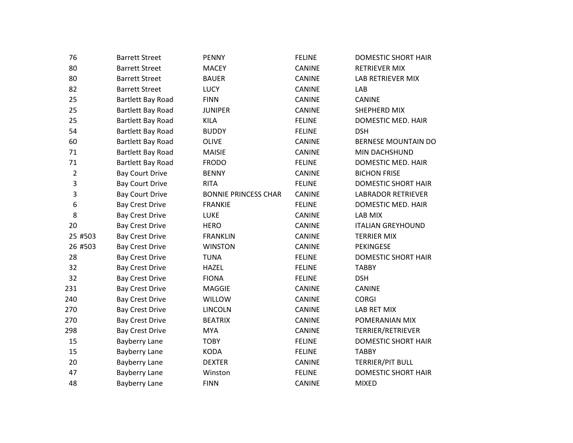| 76             | <b>Barrett Street</b>    | <b>PENNY</b>                | <b>FELINE</b> | DOMESTIC SHORT HAIR        |
|----------------|--------------------------|-----------------------------|---------------|----------------------------|
| 80             | <b>Barrett Street</b>    | <b>MACEY</b>                | CANINE        | <b>RETRIEVER MIX</b>       |
| 80             | <b>Barrett Street</b>    | <b>BAUER</b>                | <b>CANINE</b> | LAB RETRIEVER MIX          |
| 82             | <b>Barrett Street</b>    | LUCY                        | CANINE        | LAB                        |
| 25             | Bartlett Bay Road        | <b>FINN</b>                 | CANINE        | <b>CANINE</b>              |
| 25             | <b>Bartlett Bay Road</b> | <b>JUNIPER</b>              | <b>CANINE</b> | SHEPHERD MIX               |
| 25             | Bartlett Bay Road        | <b>KILA</b>                 | <b>FELINE</b> | DOMESTIC MED. HAIR         |
| 54             | Bartlett Bay Road        | <b>BUDDY</b>                | <b>FELINE</b> | <b>DSH</b>                 |
| 60             | <b>Bartlett Bay Road</b> | <b>OLIVE</b>                | CANINE        | BERNESE MOUNTAIN DO        |
| 71             | <b>Bartlett Bay Road</b> | <b>MAISIE</b>               | CANINE        | MIN DACHSHUND              |
| 71             | Bartlett Bay Road        | <b>FRODO</b>                | <b>FELINE</b> | DOMESTIC MED. HAIR         |
| $\overline{2}$ | <b>Bay Court Drive</b>   | <b>BENNY</b>                | CANINE        | <b>BICHON FRISE</b>        |
| 3              | <b>Bay Court Drive</b>   | <b>RITA</b>                 | <b>FELINE</b> | <b>DOMESTIC SHORT HAIR</b> |
| 3              | <b>Bay Court Drive</b>   | <b>BONNIE PRINCESS CHAR</b> | <b>CANINE</b> | <b>LABRADOR RETRIEVER</b>  |
| 6              | <b>Bay Crest Drive</b>   | <b>FRANKIE</b>              | <b>FELINE</b> | DOMESTIC MED. HAIR         |
| 8              | <b>Bay Crest Drive</b>   | <b>LUKE</b>                 | <b>CANINE</b> | LAB MIX                    |
| 20             | <b>Bay Crest Drive</b>   | <b>HERO</b>                 | CANINE        | <b>ITALIAN GREYHOUND</b>   |
| 25 #503        | <b>Bay Crest Drive</b>   | <b>FRANKLIN</b>             | <b>CANINE</b> | <b>TERRIER MIX</b>         |
| 26 #503        | <b>Bay Crest Drive</b>   | <b>WINSTON</b>              | CANINE        | PEKINGESE                  |
| 28             | <b>Bay Crest Drive</b>   | <b>TUNA</b>                 | <b>FELINE</b> | <b>DOMESTIC SHORT HAIR</b> |
| 32             | <b>Bay Crest Drive</b>   | <b>HAZEL</b>                | <b>FELINE</b> | <b>TABBY</b>               |
| 32             | <b>Bay Crest Drive</b>   | <b>FIONA</b>                | <b>FELINE</b> | <b>DSH</b>                 |
| 231            | <b>Bay Crest Drive</b>   | <b>MAGGIE</b>               | <b>CANINE</b> | <b>CANINE</b>              |
| 240            | <b>Bay Crest Drive</b>   | WILLOW                      | CANINE        | <b>CORGI</b>               |
| 270            | <b>Bay Crest Drive</b>   | <b>LINCOLN</b>              | CANINE        | LAB RET MIX                |
| 270            | <b>Bay Crest Drive</b>   | <b>BEATRIX</b>              | <b>CANINE</b> | POMERANIAN MIX             |
| 298            | <b>Bay Crest Drive</b>   | <b>MYA</b>                  | CANINE        | TERRIER/RETRIEVER          |
| 15             | <b>Bayberry Lane</b>     | <b>TOBY</b>                 | <b>FELINE</b> | <b>DOMESTIC SHORT HAIR</b> |
| 15             | <b>Bayberry Lane</b>     | <b>KODA</b>                 | <b>FELINE</b> | <b>TABBY</b>               |
| 20             | <b>Bayberry Lane</b>     | <b>DEXTER</b>               | CANINE        | TERRIER/PIT BULL           |
| 47             | <b>Bayberry Lane</b>     | Winston                     | <b>FELINE</b> | DOMESTIC SHORT HAIR        |
| 48             | <b>Bayberry Lane</b>     | <b>FINN</b>                 | <b>CANINE</b> | <b>MIXED</b>               |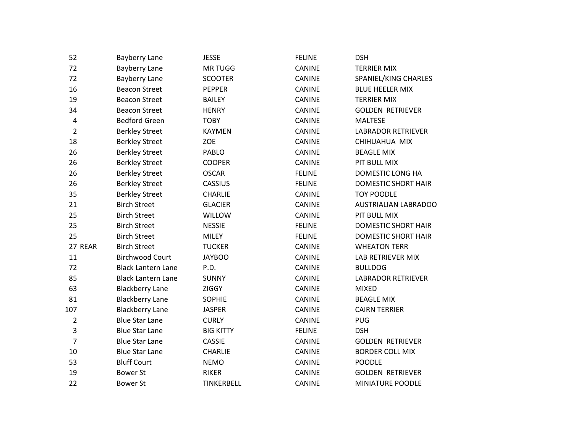| 52             | <b>Bayberry Lane</b>      | <b>JESSE</b>      | <b>FELINE</b> | <b>DSH</b>                 |
|----------------|---------------------------|-------------------|---------------|----------------------------|
| 72             | <b>Bayberry Lane</b>      | <b>MRTUGG</b>     | CANINE        | <b>TERRIER MIX</b>         |
| 72             | <b>Bayberry Lane</b>      | <b>SCOOTER</b>    | CANINE        | SPANIEL/KING CHARLES       |
| 16             | <b>Beacon Street</b>      | <b>PEPPER</b>     | CANINE        | <b>BLUE HEELER MIX</b>     |
| 19             | <b>Beacon Street</b>      | <b>BAILEY</b>     | <b>CANINE</b> | <b>TERRIER MIX</b>         |
| 34             | <b>Beacon Street</b>      | <b>HENRY</b>      | <b>CANINE</b> | <b>GOLDEN RETRIEVER</b>    |
| $\sqrt{4}$     | <b>Bedford Green</b>      | <b>TOBY</b>       | CANINE        | <b>MALTESE</b>             |
| $\overline{2}$ | <b>Berkley Street</b>     | <b>KAYMEN</b>     | CANINE        | <b>LABRADOR RETRIEVER</b>  |
| 18             | <b>Berkley Street</b>     | ZOE               | CANINE        | CHIHUAHUA MIX              |
| 26             | <b>Berkley Street</b>     | <b>PABLO</b>      | CANINE        | <b>BEAGLE MIX</b>          |
| 26             | <b>Berkley Street</b>     | <b>COOPER</b>     | <b>CANINE</b> | PIT BULL MIX               |
| 26             | <b>Berkley Street</b>     | <b>OSCAR</b>      | <b>FELINE</b> | DOMESTIC LONG HA           |
| 26             | <b>Berkley Street</b>     | <b>CASSIUS</b>    | <b>FELINE</b> | <b>DOMESTIC SHORT HAIR</b> |
| 35             | <b>Berkley Street</b>     | <b>CHARLIE</b>    | CANINE        | <b>TOY POODLE</b>          |
| 21             | <b>Birch Street</b>       | <b>GLACIER</b>    | CANINE        | AUSTRIALIAN LABRADOO       |
| 25             | <b>Birch Street</b>       | WILLOW            | <b>CANINE</b> | PIT BULL MIX               |
| 25             | <b>Birch Street</b>       | <b>NESSIE</b>     | <b>FELINE</b> | <b>DOMESTIC SHORT HAIR</b> |
| 25             | <b>Birch Street</b>       | <b>MILEY</b>      | <b>FELINE</b> | <b>DOMESTIC SHORT HAIR</b> |
| 27 REAR        | <b>Birch Street</b>       | <b>TUCKER</b>     | CANINE        | <b>WHEATON TERR</b>        |
| 11             | <b>Birchwood Court</b>    | <b>JAYBOO</b>     | CANINE        | LAB RETRIEVER MIX          |
| 72             | <b>Black Lantern Lane</b> | P.D.              | <b>CANINE</b> | <b>BULLDOG</b>             |
| 85             | <b>Black Lantern Lane</b> | <b>SUNNY</b>      | <b>CANINE</b> | <b>LABRADOR RETRIEVER</b>  |
| 63             | <b>Blackberry Lane</b>    | <b>ZIGGY</b>      | CANINE        | <b>MIXED</b>               |
| 81             | <b>Blackberry Lane</b>    | <b>SOPHIE</b>     | <b>CANINE</b> | <b>BEAGLE MIX</b>          |
| 107            | <b>Blackberry Lane</b>    | <b>JASPER</b>     | CANINE        | <b>CAIRN TERRIER</b>       |
| $\overline{2}$ | <b>Blue Star Lane</b>     | <b>CURLY</b>      | CANINE        | <b>PUG</b>                 |
| 3              | <b>Blue Star Lane</b>     | <b>BIG KITTY</b>  | <b>FELINE</b> | <b>DSH</b>                 |
| $\overline{7}$ | <b>Blue Star Lane</b>     | <b>CASSIE</b>     | CANINE        | <b>GOLDEN RETRIEVER</b>    |
| 10             | <b>Blue Star Lane</b>     | <b>CHARLIE</b>    | CANINE        | <b>BORDER COLL MIX</b>     |
| 53             | <b>Bluff Court</b>        | <b>NEMO</b>       | CANINE        | <b>POODLE</b>              |
| 19             | <b>Bower St</b>           | <b>RIKER</b>      | CANINE        | <b>GOLDEN RETRIEVER</b>    |
| 22             | <b>Bower St</b>           | <b>TINKERBELL</b> | <b>CANINE</b> | MINIATURE POODLE           |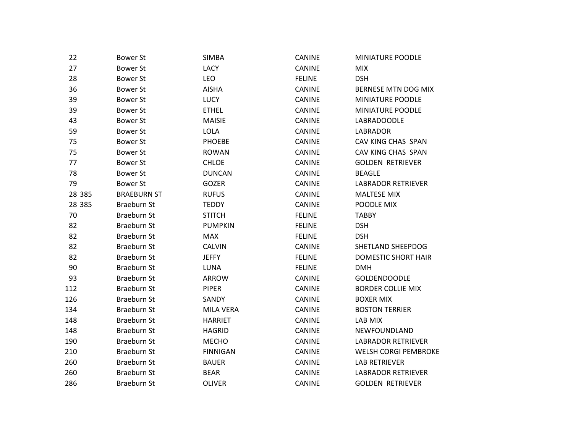| 22     | <b>Bower St</b>    | <b>SIMBA</b>     | CANINE        | <b>MINIATURE POODLE</b>     |
|--------|--------------------|------------------|---------------|-----------------------------|
| 27     | <b>Bower St</b>    | LACY             | CANINE        | <b>MIX</b>                  |
| 28     | <b>Bower St</b>    | LEO              | <b>FELINE</b> | <b>DSH</b>                  |
| 36     | <b>Bower St</b>    | <b>AISHA</b>     | CANINE        | BERNESE MTN DOG MIX         |
| 39     | <b>Bower St</b>    | <b>LUCY</b>      | <b>CANINE</b> | MINIATURE POODLE            |
| 39     | <b>Bower St</b>    | <b>ETHEL</b>     | CANINE        | MINIATURE POODLE            |
| 43     | <b>Bower St</b>    | <b>MAISIE</b>    | CANINE        | LABRADOODLE                 |
| 59     | <b>Bower St</b>    | LOLA             | CANINE        | <b>LABRADOR</b>             |
| 75     | <b>Bower St</b>    | PHOEBE           | <b>CANINE</b> | CAV KING CHAS SPAN          |
| 75     | <b>Bower St</b>    | <b>ROWAN</b>     | <b>CANINE</b> | CAV KING CHAS SPAN          |
| 77     | <b>Bower St</b>    | <b>CHLOE</b>     | CANINE        | <b>GOLDEN RETRIEVER</b>     |
| 78     | <b>Bower St</b>    | <b>DUNCAN</b>    | CANINE        | <b>BEAGLE</b>               |
| 79     | <b>Bower St</b>    | <b>GOZER</b>     | <b>CANINE</b> | <b>LABRADOR RETRIEVER</b>   |
| 28 385 | <b>BRAEBURN ST</b> | <b>RUFUS</b>     | <b>CANINE</b> | <b>MALTESE MIX</b>          |
| 28 385 | Braeburn St        | <b>TEDDY</b>     | CANINE        | POODLE MIX                  |
| 70     | <b>Braeburn St</b> | <b>STITCH</b>    | <b>FELINE</b> | <b>TABBY</b>                |
| 82     | <b>Braeburn St</b> | <b>PUMPKIN</b>   | <b>FELINE</b> | <b>DSH</b>                  |
| 82     | Braeburn St        | <b>MAX</b>       | <b>FELINE</b> | <b>DSH</b>                  |
| 82     | <b>Braeburn St</b> | <b>CALVIN</b>    | <b>CANINE</b> | SHETLAND SHEEPDOG           |
| 82     | <b>Braeburn St</b> | <b>JEFFY</b>     | <b>FELINE</b> | <b>DOMESTIC SHORT HAIR</b>  |
| 90     | <b>Braeburn St</b> | LUNA             | <b>FELINE</b> | <b>DMH</b>                  |
| 93     | <b>Braeburn St</b> | ARROW            | CANINE        | <b>GOLDENDOODLE</b>         |
| 112    | Braeburn St        | <b>PIPER</b>     | <b>CANINE</b> | <b>BORDER COLLIE MIX</b>    |
| 126    | <b>Braeburn St</b> | SANDY            | CANINE        | <b>BOXER MIX</b>            |
| 134    | <b>Braeburn St</b> | <b>MILA VERA</b> | CANINE        | <b>BOSTON TERRIER</b>       |
| 148    | <b>Braeburn St</b> | <b>HARRIET</b>   | CANINE        | LAB MIX                     |
| 148    | Braeburn St        | <b>HAGRID</b>    | CANINE        | NEWFOUNDLAND                |
| 190    | Braeburn St        | <b>MECHO</b>     | <b>CANINE</b> | <b>LABRADOR RETRIEVER</b>   |
| 210    | <b>Braeburn St</b> | <b>FINNIGAN</b>  | CANINE        | <b>WELSH CORGI PEMBROKE</b> |
| 260    | <b>Braeburn St</b> | <b>BAUER</b>     | CANINE        | <b>LAB RETRIEVER</b>        |
| 260    | <b>Braeburn St</b> | <b>BEAR</b>      | CANINE        | <b>LABRADOR RETRIEVER</b>   |
| 286    | Braeburn St        | <b>OLIVER</b>    | <b>CANINE</b> | <b>GOLDEN RETRIEVER</b>     |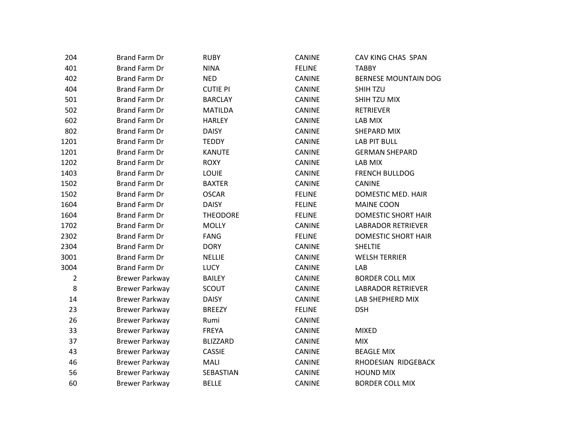| 204            | Brand Farm Dr         | <b>RUBY</b>     | CANINE        | CAV KING CHAS SPAN          |
|----------------|-----------------------|-----------------|---------------|-----------------------------|
| 401            | <b>Brand Farm Dr</b>  | <b>NINA</b>     | <b>FELINE</b> | <b>TABBY</b>                |
| 402            | <b>Brand Farm Dr</b>  | <b>NED</b>      | <b>CANINE</b> | <b>BERNESE MOUNTAIN DOG</b> |
| 404            | <b>Brand Farm Dr</b>  | <b>CUTIE PI</b> | <b>CANINE</b> | SHIH TZU                    |
| 501            | <b>Brand Farm Dr</b>  | <b>BARCLAY</b>  | CANINE        | SHIH TZU MIX                |
| 502            | <b>Brand Farm Dr</b>  | <b>MATILDA</b>  | <b>CANINE</b> | <b>RETRIEVER</b>            |
| 602            | <b>Brand Farm Dr</b>  | <b>HARLEY</b>   | <b>CANINE</b> | LAB MIX                     |
| 802            | <b>Brand Farm Dr</b>  | <b>DAISY</b>    | CANINE        | SHEPARD MIX                 |
| 1201           | <b>Brand Farm Dr</b>  | <b>TEDDY</b>    | CANINE        | <b>LAB PIT BULL</b>         |
| 1201           | <b>Brand Farm Dr</b>  | <b>KANUTE</b>   | <b>CANINE</b> | <b>GERMAN SHEPARD</b>       |
| 1202           | <b>Brand Farm Dr</b>  | <b>ROXY</b>     | <b>CANINE</b> | LAB MIX                     |
| 1403           | <b>Brand Farm Dr</b>  | LOUIE           | CANINE        | <b>FRENCH BULLDOG</b>       |
| 1502           | <b>Brand Farm Dr</b>  | <b>BAXTER</b>   | <b>CANINE</b> | CANINE                      |
| 1502           | <b>Brand Farm Dr</b>  | <b>OSCAR</b>    | <b>FELINE</b> | DOMESTIC MED. HAIR          |
| 1604           | <b>Brand Farm Dr</b>  | <b>DAISY</b>    | <b>FELINE</b> | <b>MAINE COON</b>           |
| 1604           | <b>Brand Farm Dr</b>  | <b>THEODORE</b> | <b>FELINE</b> | <b>DOMESTIC SHORT HAIR</b>  |
| 1702           | <b>Brand Farm Dr</b>  | <b>MOLLY</b>    | <b>CANINE</b> | <b>LABRADOR RETRIEVER</b>   |
| 2302           | Brand Farm Dr         | <b>FANG</b>     | <b>FELINE</b> | <b>DOMESTIC SHORT HAIR</b>  |
| 2304           | <b>Brand Farm Dr</b>  | <b>DORY</b>     | CANINE        | <b>SHELTIE</b>              |
| 3001           | <b>Brand Farm Dr</b>  | <b>NELLIE</b>   | <b>CANINE</b> | <b>WELSH TERRIER</b>        |
| 3004           | <b>Brand Farm Dr</b>  | <b>LUCY</b>     | <b>CANINE</b> | LAB                         |
| $\overline{2}$ | <b>Brewer Parkway</b> | <b>BAILEY</b>   | <b>CANINE</b> | <b>BORDER COLL MIX</b>      |
| 8              | <b>Brewer Parkway</b> | SCOUT           | <b>CANINE</b> | <b>LABRADOR RETRIEVER</b>   |
| 14             | <b>Brewer Parkway</b> | <b>DAISY</b>    | <b>CANINE</b> | LAB SHEPHERD MIX            |
| 23             | <b>Brewer Parkway</b> | <b>BREEZY</b>   | <b>FELINE</b> | <b>DSH</b>                  |
| 26             | <b>Brewer Parkway</b> | Rumi            | CANINE        |                             |
| 33             | <b>Brewer Parkway</b> | <b>FREYA</b>    | CANINE        | <b>MIXED</b>                |
| 37             | <b>Brewer Parkway</b> | <b>BLIZZARD</b> | <b>CANINE</b> | <b>MIX</b>                  |
| 43             | <b>Brewer Parkway</b> | <b>CASSIE</b>   | <b>CANINE</b> | <b>BEAGLE MIX</b>           |
| 46             | <b>Brewer Parkway</b> | MALI            | CANINE        | RHODESIAN RIDGEBACK         |
| 56             | <b>Brewer Parkway</b> | SEBASTIAN       | <b>CANINE</b> | <b>HOUND MIX</b>            |
| 60             | <b>Brewer Parkway</b> | <b>BELLE</b>    | CANINE        | <b>BORDER COLL MIX</b>      |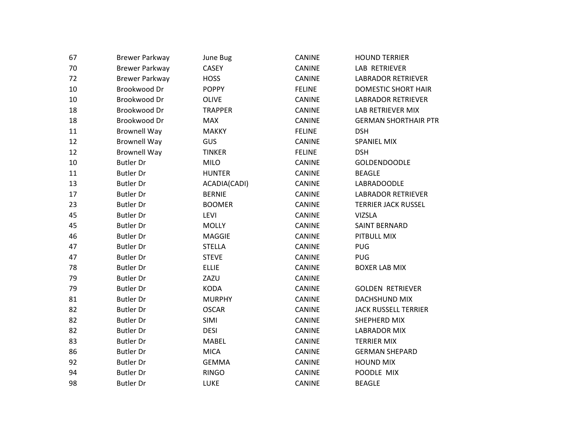| 67 | <b>Brewer Parkway</b> | June Bug       | CANINE        | <b>HOUND TERRIER</b>        |
|----|-----------------------|----------------|---------------|-----------------------------|
| 70 | <b>Brewer Parkway</b> | CASEY          | CANINE        | LAB RETRIEVER               |
| 72 | <b>Brewer Parkway</b> | <b>HOSS</b>    | CANINE        | <b>LABRADOR RETRIEVER</b>   |
| 10 | Brookwood Dr          | <b>POPPY</b>   | <b>FELINE</b> | <b>DOMESTIC SHORT HAIR</b>  |
| 10 | Brookwood Dr          | <b>OLIVE</b>   | CANINE        | <b>LABRADOR RETRIEVER</b>   |
| 18 | Brookwood Dr          | <b>TRAPPER</b> | <b>CANINE</b> | LAB RETRIEVER MIX           |
| 18 | Brookwood Dr          | <b>MAX</b>     | <b>CANINE</b> | <b>GERMAN SHORTHAIR PTR</b> |
| 11 | <b>Brownell Way</b>   | <b>MAKKY</b>   | <b>FELINE</b> | <b>DSH</b>                  |
| 12 | <b>Brownell Way</b>   | GUS            | CANINE        | SPANIEL MIX                 |
| 12 | <b>Brownell Way</b>   | <b>TINKER</b>  | <b>FELINE</b> | <b>DSH</b>                  |
| 10 | <b>Butler Dr</b>      | <b>MILO</b>    | CANINE        | <b>GOLDENDOODLE</b>         |
| 11 | <b>Butler Dr</b>      | <b>HUNTER</b>  | <b>CANINE</b> | <b>BEAGLE</b>               |
| 13 | <b>Butler Dr</b>      | ACADIA(CADI)   | <b>CANINE</b> | LABRADOODLE                 |
| 17 | <b>Butler Dr</b>      | <b>BERNIE</b>  | CANINE        | <b>LABRADOR RETRIEVER</b>   |
| 23 | <b>Butler Dr</b>      | <b>BOOMER</b>  | CANINE        | <b>TERRIER JACK RUSSEL</b>  |
| 45 | <b>Butler Dr</b>      | LEVI           | CANINE        | <b>VIZSLA</b>               |
| 45 | <b>Butler Dr</b>      | <b>MOLLY</b>   | CANINE        | <b>SAINT BERNARD</b>        |
| 46 | <b>Butler Dr</b>      | <b>MAGGIE</b>  | CANINE        | PITBULL MIX                 |
| 47 | <b>Butler Dr</b>      | <b>STELLA</b>  | <b>CANINE</b> | <b>PUG</b>                  |
| 47 | <b>Butler Dr</b>      | <b>STEVE</b>   | <b>CANINE</b> | <b>PUG</b>                  |
| 78 | <b>Butler Dr</b>      | <b>ELLIE</b>   | CANINE        | <b>BOXER LAB MIX</b>        |
| 79 | <b>Butler Dr</b>      | ZAZU           | CANINE        |                             |
| 79 | <b>Butler Dr</b>      | <b>KODA</b>    | CANINE        | <b>GOLDEN RETRIEVER</b>     |
| 81 | <b>Butler Dr</b>      | <b>MURPHY</b>  | CANINE        | DACHSHUND MIX               |
| 82 | <b>Butler Dr</b>      | <b>OSCAR</b>   | <b>CANINE</b> | <b>JACK RUSSELL TERRIER</b> |
| 82 | <b>Butler Dr</b>      | SIMI           | <b>CANINE</b> | SHEPHERD MIX                |
| 82 | <b>Butler Dr</b>      | <b>DESI</b>    | CANINE        | <b>LABRADOR MIX</b>         |
| 83 | <b>Butler Dr</b>      | <b>MABEL</b>   | CANINE        | <b>TERRIER MIX</b>          |
| 86 | <b>Butler Dr</b>      | <b>MICA</b>    | <b>CANINE</b> | <b>GERMAN SHEPARD</b>       |
| 92 | <b>Butler Dr</b>      | <b>GEMMA</b>   | CANINE        | <b>HOUND MIX</b>            |
| 94 | <b>Butler Dr</b>      | <b>RINGO</b>   | CANINE        | POODLE MIX                  |
| 98 | <b>Butler Dr</b>      | <b>LUKE</b>    | <b>CANINE</b> | <b>BEAGLE</b>               |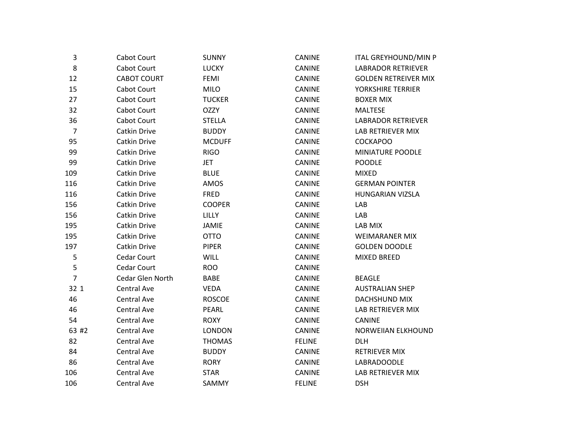| 3              | Cabot Court        | <b>SUNNY</b>  | CANINE        | <b>ITAL GREYHOUND/MIN P</b> |
|----------------|--------------------|---------------|---------------|-----------------------------|
| 8              | Cabot Court        | <b>LUCKY</b>  | CANINE        | <b>LABRADOR RETRIEVER</b>   |
| 12             | <b>CABOT COURT</b> | <b>FEMI</b>   | <b>CANINE</b> | <b>GOLDEN RETREIVER MIX</b> |
| 15             | Cabot Court        | <b>MILO</b>   | CANINE        | YORKSHIRE TERRIER           |
| 27             | Cabot Court        | <b>TUCKER</b> | <b>CANINE</b> | <b>BOXER MIX</b>            |
| 32             | Cabot Court        | <b>OZZY</b>   | <b>CANINE</b> | <b>MALTESE</b>              |
| 36             | Cabot Court        | <b>STELLA</b> | <b>CANINE</b> | <b>LABRADOR RETRIEVER</b>   |
| $\overline{7}$ | Catkin Drive       | <b>BUDDY</b>  | CANINE        | LAB RETRIEVER MIX           |
| 95             | Catkin Drive       | <b>MCDUFF</b> | <b>CANINE</b> | <b>COCKAPOO</b>             |
| 99             | Catkin Drive       | <b>RIGO</b>   | <b>CANINE</b> | MINIATURE POODLE            |
| 99             | Catkin Drive       | <b>JET</b>    | CANINE        | <b>POODLE</b>               |
| 109            | Catkin Drive       | <b>BLUE</b>   | <b>CANINE</b> | <b>MIXED</b>                |
| 116            | Catkin Drive       | AMOS          | <b>CANINE</b> | <b>GERMAN POINTER</b>       |
| 116            | Catkin Drive       | <b>FRED</b>   | CANINE        | HUNGARIAN VIZSLA            |
| 156            | Catkin Drive       | <b>COOPER</b> | CANINE        | LAB                         |
| 156            | Catkin Drive       | LILLY         | <b>CANINE</b> | LAB                         |
| 195            | Catkin Drive       | JAMIE         | CANINE        | LAB MIX                     |
| 195            | Catkin Drive       | <b>OTTO</b>   | <b>CANINE</b> | <b>WEIMARANER MIX</b>       |
| 197            | Catkin Drive       | <b>PIPER</b>  | <b>CANINE</b> | <b>GOLDEN DOODLE</b>        |
| 5              | Cedar Court        | <b>WILL</b>   | CANINE        | MIXED BREED                 |
| 5              | Cedar Court        | <b>ROO</b>    | CANINE        |                             |
| $\overline{7}$ | Cedar Glen North   | <b>BABE</b>   | CANINE        | <b>BEAGLE</b>               |
| 32 1           | Central Ave        | <b>VEDA</b>   | <b>CANINE</b> | <b>AUSTRALIAN SHEP</b>      |
| 46             | <b>Central Ave</b> | <b>ROSCOE</b> | CANINE        | DACHSHUND MIX               |
| 46             | <b>Central Ave</b> | PEARL         | <b>CANINE</b> | LAB RETRIEVER MIX           |
| 54             | Central Ave        | <b>ROXY</b>   | <b>CANINE</b> | <b>CANINE</b>               |
| 63 #2          | Central Ave        | <b>LONDON</b> | CANINE        | <b>NORWEIIAN ELKHOUND</b>   |
| 82             | <b>Central Ave</b> | <b>THOMAS</b> | <b>FELINE</b> | DLH                         |
| 84             | Central Ave        | <b>BUDDY</b>  | <b>CANINE</b> | RETRIEVER MIX               |
| 86             | Central Ave        | <b>RORY</b>   | CANINE        | LABRADOODLE                 |
| 106            | <b>Central Ave</b> | <b>STAR</b>   | CANINE        | LAB RETRIEVER MIX           |
| 106            | <b>Central Ave</b> | SAMMY         | <b>FELINE</b> | <b>DSH</b>                  |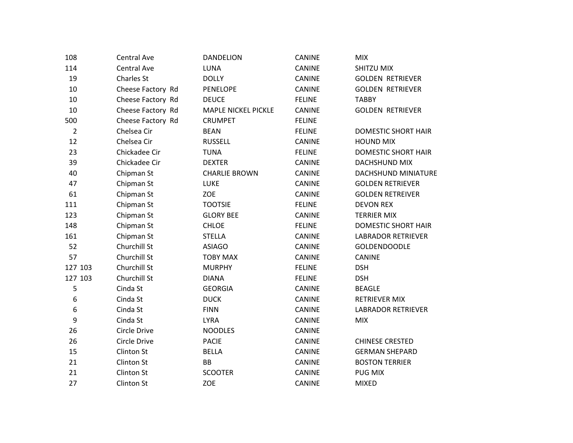| 108              | <b>Central Ave</b> | <b>DANDELION</b>           | <b>CANINE</b> | <b>MIX</b>                 |
|------------------|--------------------|----------------------------|---------------|----------------------------|
| 114              | Central Ave        | <b>LUNA</b>                | <b>CANINE</b> | SHITZU MIX                 |
| 19               | Charles St         | <b>DOLLY</b>               | <b>CANINE</b> | <b>GOLDEN RETRIEVER</b>    |
| 10               | Cheese Factory Rd  | <b>PENELOPE</b>            | <b>CANINE</b> | <b>GOLDEN RETRIEVER</b>    |
| 10               | Cheese Factory Rd  | <b>DEUCE</b>               | <b>FELINE</b> | <b>TABBY</b>               |
| 10               | Cheese Factory Rd  | <b>MAPLE NICKEL PICKLE</b> | <b>CANINE</b> | <b>GOLDEN RETRIEVER</b>    |
| 500              | Cheese Factory Rd  | <b>CRUMPET</b>             | <b>FELINE</b> |                            |
| $\overline{2}$   | Chelsea Cir        | <b>BEAN</b>                | <b>FELINE</b> | <b>DOMESTIC SHORT HAIR</b> |
| 12               | Chelsea Cir        | <b>RUSSELL</b>             | <b>CANINE</b> | <b>HOUND MIX</b>           |
| 23               | Chickadee Cir      | <b>TUNA</b>                | <b>FELINE</b> | <b>DOMESTIC SHORT HAIR</b> |
| 39               | Chickadee Cir      | <b>DEXTER</b>              | <b>CANINE</b> | DACHSHUND MIX              |
| 40               | Chipman St         | <b>CHARLIE BROWN</b>       | <b>CANINE</b> | DACHSHUND MINIATURE        |
| 47               | Chipman St         | LUKE                       | <b>CANINE</b> | <b>GOLDEN RETRIEVER</b>    |
| 61               | Chipman St         | <b>ZOE</b>                 | <b>CANINE</b> | <b>GOLDEN RETREIVER</b>    |
| 111              | Chipman St         | <b>TOOTSIE</b>             | <b>FELINE</b> | <b>DEVON REX</b>           |
| 123              | Chipman St         | <b>GLORY BEE</b>           | <b>CANINE</b> | <b>TERRIER MIX</b>         |
| 148              | Chipman St         | <b>CHLOE</b>               | <b>FELINE</b> | <b>DOMESTIC SHORT HAIR</b> |
| 161              | Chipman St         | <b>STELLA</b>              | <b>CANINE</b> | <b>LABRADOR RETRIEVER</b>  |
| 52               | Churchill St       | <b>ASIAGO</b>              | <b>CANINE</b> | <b>GOLDENDOODLE</b>        |
| 57               | Churchill St       | <b>TOBY MAX</b>            | <b>CANINE</b> | CANINE                     |
| 127 103          | Churchill St       | <b>MURPHY</b>              | <b>FELINE</b> | <b>DSH</b>                 |
| 127 103          | Churchill St       | <b>DIANA</b>               | <b>FELINE</b> | <b>DSH</b>                 |
| 5                | Cinda St           | <b>GEORGIA</b>             | <b>CANINE</b> | <b>BEAGLE</b>              |
| 6                | Cinda St           | <b>DUCK</b>                | <b>CANINE</b> | <b>RETRIEVER MIX</b>       |
| $\boldsymbol{6}$ | Cinda St           | <b>FINN</b>                | <b>CANINE</b> | <b>LABRADOR RETRIEVER</b>  |
| 9                | Cinda St           | <b>LYRA</b>                | <b>CANINE</b> | <b>MIX</b>                 |
| 26               | Circle Drive       | <b>NOODLES</b>             | <b>CANINE</b> |                            |
| 26               | Circle Drive       | <b>PACIE</b>               | <b>CANINE</b> | <b>CHINESE CRESTED</b>     |
| 15               | Clinton St         | <b>BELLA</b>               | CANINE        | <b>GERMAN SHEPARD</b>      |
| 21               | <b>Clinton St</b>  | BB                         | <b>CANINE</b> | <b>BOSTON TERRIER</b>      |
| 21               | <b>Clinton St</b>  | <b>SCOOTER</b>             | <b>CANINE</b> | <b>PUG MIX</b>             |
| 27               | <b>Clinton St</b>  | <b>ZOE</b>                 | <b>CANINE</b> | <b>MIXED</b>               |
|                  |                    |                            |               |                            |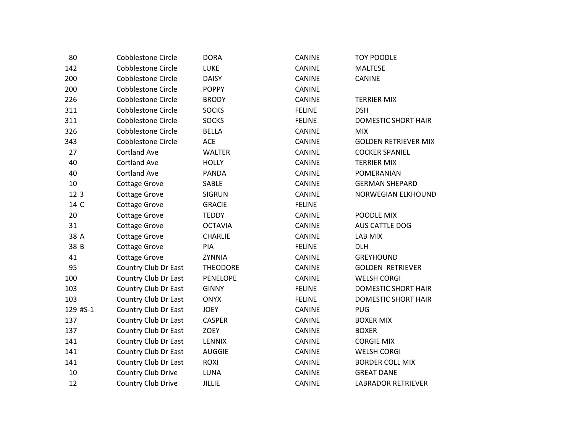| 80       | <b>Cobblestone Circle</b> | <b>DORA</b>     | <b>CANINE</b> | <b>TOY POODLE</b>           |
|----------|---------------------------|-----------------|---------------|-----------------------------|
| 142      | <b>Cobblestone Circle</b> | <b>LUKE</b>     | <b>CANINE</b> | <b>MALTESE</b>              |
| 200      | <b>Cobblestone Circle</b> | <b>DAISY</b>    | <b>CANINE</b> | <b>CANINE</b>               |
| 200      | Cobblestone Circle        | <b>POPPY</b>    | <b>CANINE</b> |                             |
| 226      | Cobblestone Circle        | <b>BRODY</b>    | <b>CANINE</b> | <b>TERRIER MIX</b>          |
| 311      | <b>Cobblestone Circle</b> | <b>SOCKS</b>    | <b>FELINE</b> | <b>DSH</b>                  |
| 311      | <b>Cobblestone Circle</b> | <b>SOCKS</b>    | <b>FELINE</b> | <b>DOMESTIC SHORT HAIR</b>  |
| 326      | <b>Cobblestone Circle</b> | <b>BELLA</b>    | <b>CANINE</b> | <b>MIX</b>                  |
| 343      | <b>Cobblestone Circle</b> | ACE             | CANINE        | <b>GOLDEN RETRIEVER MIX</b> |
| 27       | <b>Cortland Ave</b>       | <b>WALTER</b>   | <b>CANINE</b> | <b>COCKER SPANIEL</b>       |
| 40       | <b>Cortland Ave</b>       | <b>HOLLY</b>    | <b>CANINE</b> | <b>TERRIER MIX</b>          |
| 40       | <b>Cortland Ave</b>       | <b>PANDA</b>    | <b>CANINE</b> | POMERANIAN                  |
| 10       | <b>Cottage Grove</b>      | SABLE           | <b>CANINE</b> | <b>GERMAN SHEPARD</b>       |
| 12 3     | <b>Cottage Grove</b>      | <b>SIGRUN</b>   | <b>CANINE</b> | NORWEGIAN ELKHOUND          |
| 14 C     | <b>Cottage Grove</b>      | <b>GRACIE</b>   | <b>FELINE</b> |                             |
| 20       | <b>Cottage Grove</b>      | <b>TEDDY</b>    | <b>CANINE</b> | POODLE MIX                  |
| 31       | <b>Cottage Grove</b>      | <b>OCTAVIA</b>  | <b>CANINE</b> | AUS CATTLE DOG              |
| 38 A     | <b>Cottage Grove</b>      | <b>CHARLIE</b>  | <b>CANINE</b> | LAB MIX                     |
| 38 B     | <b>Cottage Grove</b>      | PIA             | <b>FELINE</b> | <b>DLH</b>                  |
| 41       | <b>Cottage Grove</b>      | ZYNNIA          | <b>CANINE</b> | <b>GREYHOUND</b>            |
| 95       | Country Club Dr East      | <b>THEODORE</b> | <b>CANINE</b> | <b>GOLDEN RETRIEVER</b>     |
| 100      | Country Club Dr East      | <b>PENELOPE</b> | <b>CANINE</b> | <b>WELSH CORGI</b>          |
| 103      | Country Club Dr East      | <b>GINNY</b>    | <b>FELINE</b> | <b>DOMESTIC SHORT HAIR</b>  |
| 103      | Country Club Dr East      | <b>ONYX</b>     | <b>FELINE</b> | <b>DOMESTIC SHORT HAIR</b>  |
| 129 #S-1 | Country Club Dr East      | <b>JOEY</b>     | <b>CANINE</b> | <b>PUG</b>                  |
| 137      | Country Club Dr East      | <b>CASPER</b>   | <b>CANINE</b> | <b>BOXER MIX</b>            |
| 137      | Country Club Dr East      | <b>ZOEY</b>     | <b>CANINE</b> | <b>BOXER</b>                |
| 141      | Country Club Dr East      | <b>LENNIX</b>   | CANINE        | <b>CORGIE MIX</b>           |
| 141      | Country Club Dr East      | <b>AUGGIE</b>   | <b>CANINE</b> | <b>WELSH CORGI</b>          |
| 141      | Country Club Dr East      | <b>ROXI</b>     | <b>CANINE</b> | <b>BORDER COLL MIX</b>      |
| 10       | Country Club Drive        | LUNA            | CANINE        | <b>GREAT DANE</b>           |
| 12       | Country Club Drive        | <b>JILLIE</b>   | CANINE        | <b>LABRADOR RETRIEVER</b>   |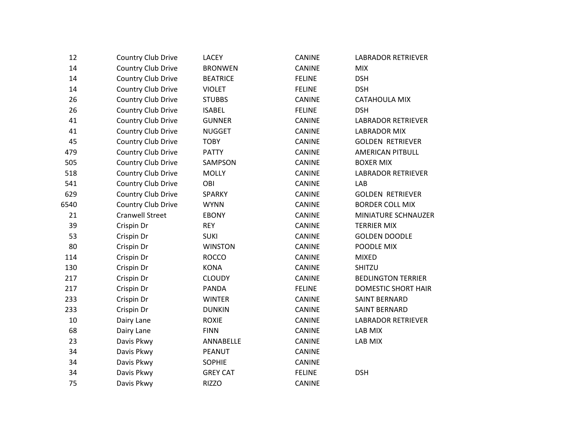| 12   | Country Club Drive     | <b>LACEY</b>    | <b>CANINE</b> | <b>LABRADOR RETRIEVER</b>  |
|------|------------------------|-----------------|---------------|----------------------------|
| 14   | Country Club Drive     | <b>BRONWEN</b>  | CANINE        | <b>MIX</b>                 |
| 14   | Country Club Drive     | <b>BEATRICE</b> | <b>FELINE</b> | <b>DSH</b>                 |
| 14   | Country Club Drive     | <b>VIOLET</b>   | <b>FELINE</b> | <b>DSH</b>                 |
| 26   | Country Club Drive     | <b>STUBBS</b>   | <b>CANINE</b> | CATAHOULA MIX              |
| 26   | Country Club Drive     | <b>ISABEL</b>   | <b>FELINE</b> | <b>DSH</b>                 |
| 41   | Country Club Drive     | <b>GUNNER</b>   | CANINE        | <b>LABRADOR RETRIEVER</b>  |
| 41   | Country Club Drive     | <b>NUGGET</b>   | CANINE        | <b>LABRADOR MIX</b>        |
| 45   | Country Club Drive     | <b>TOBY</b>     | <b>CANINE</b> | <b>GOLDEN RETRIEVER</b>    |
| 479  | Country Club Drive     | <b>PATTY</b>    | <b>CANINE</b> | <b>AMERICAN PITBULL</b>    |
| 505  | Country Club Drive     | SAMPSON         | CANINE        | <b>BOXER MIX</b>           |
| 518  | Country Club Drive     | <b>MOLLY</b>    | <b>CANINE</b> | <b>LABRADOR RETRIEVER</b>  |
| 541  | Country Club Drive     | OBI             | CANINE        | LAB                        |
| 629  | Country Club Drive     | <b>SPARKY</b>   | <b>CANINE</b> | <b>GOLDEN RETRIEVER</b>    |
| 6540 | Country Club Drive     | <b>WYNN</b>     | <b>CANINE</b> | <b>BORDER COLL MIX</b>     |
| 21   | <b>Cranwell Street</b> | <b>EBONY</b>    | CANINE        | MINIATURE SCHNAUZER        |
| 39   | Crispin Dr             | <b>REY</b>      | CANINE        | <b>TERRIER MIX</b>         |
| 53   | Crispin Dr             | <b>SUKI</b>     | <b>CANINE</b> | <b>GOLDEN DOODLE</b>       |
| 80   | Crispin Dr             | <b>WINSTON</b>  | <b>CANINE</b> | POODLE MIX                 |
| 114  | Crispin Dr             | <b>ROCCO</b>    | CANINE        | <b>MIXED</b>               |
| 130  | Crispin Dr             | <b>KONA</b>     | CANINE        | SHITZU                     |
| 217  | Crispin Dr             | <b>CLOUDY</b>   | CANINE        | <b>BEDLINGTON TERRIER</b>  |
| 217  | Crispin Dr             | <b>PANDA</b>    | <b>FELINE</b> | <b>DOMESTIC SHORT HAIR</b> |
| 233  | Crispin Dr             | <b>WINTER</b>   | <b>CANINE</b> | <b>SAINT BERNARD</b>       |
| 233  | Crispin Dr             | <b>DUNKIN</b>   | CANINE        | <b>SAINT BERNARD</b>       |
| 10   | Dairy Lane             | <b>ROXIE</b>    | <b>CANINE</b> | <b>LABRADOR RETRIEVER</b>  |
| 68   | Dairy Lane             | <b>FINN</b>     | <b>CANINE</b> | LAB MIX                    |
| 23   | Davis Pkwy             | ANNABELLE       | CANINE        | LAB MIX                    |
| 34   | Davis Pkwy             | PEANUT          | <b>CANINE</b> |                            |
| 34   | Davis Pkwy             | <b>SOPHIE</b>   | CANINE        |                            |
| 34   | Davis Pkwy             | <b>GREY CAT</b> | <b>FELINE</b> | <b>DSH</b>                 |
| 75   | Davis Pkwy             | <b>RIZZO</b>    | <b>CANINE</b> |                            |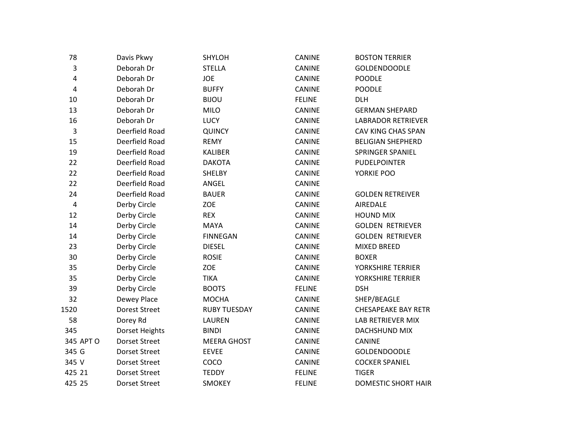| 78        | Davis Pkwy           | <b>SHYLOH</b>       | CANINE        | <b>BOSTON TERRIER</b>      |
|-----------|----------------------|---------------------|---------------|----------------------------|
| 3         | Deborah Dr           | <b>STELLA</b>       | <b>CANINE</b> | <b>GOLDENDOODLE</b>        |
| 4         | Deborah Dr           | <b>JOE</b>          | CANINE        | <b>POODLE</b>              |
| 4         | Deborah Dr           | <b>BUFFY</b>        | CANINE        | <b>POODLE</b>              |
| 10        | Deborah Dr           | <b>BIJOU</b>        | <b>FELINE</b> | <b>DLH</b>                 |
| 13        | Deborah Dr           | <b>MILO</b>         | CANINE        | <b>GERMAN SHEPARD</b>      |
| 16        | Deborah Dr           | LUCY                | CANINE        | <b>LABRADOR RETRIEVER</b>  |
| 3         | Deerfield Road       | QUINCY              | <b>CANINE</b> | CAV KING CHAS SPAN         |
| 15        | Deerfield Road       | <b>REMY</b>         | CANINE        | <b>BELIGIAN SHEPHERD</b>   |
| 19        | Deerfield Road       | <b>KALIBER</b>      | CANINE        | SPRINGER SPANIEL           |
| 22        | Deerfield Road       | <b>DAKOTA</b>       | CANINE        | <b>PUDELPOINTER</b>        |
| 22        | Deerfield Road       | <b>SHELBY</b>       | <b>CANINE</b> | YORKIE POO                 |
| 22        | Deerfield Road       | ANGEL               | CANINE        |                            |
| 24        | Deerfield Road       | <b>BAUER</b>        | <b>CANINE</b> | <b>GOLDEN RETREIVER</b>    |
| $\pmb{4}$ | Derby Circle         | ZOE                 | CANINE        | AIREDALE                   |
| 12        | Derby Circle         | <b>REX</b>          | CANINE        | <b>HOUND MIX</b>           |
| 14        | Derby Circle         | MAYA                | CANINE        | <b>GOLDEN RETRIEVER</b>    |
| 14        | Derby Circle         | <b>FINNEGAN</b>     | CANINE        | <b>GOLDEN RETRIEVER</b>    |
| 23        | Derby Circle         | <b>DIESEL</b>       | <b>CANINE</b> | <b>MIXED BREED</b>         |
| 30        | Derby Circle         | <b>ROSIE</b>        | <b>CANINE</b> | <b>BOXER</b>               |
| 35        | Derby Circle         | ZOE                 | CANINE        | YORKSHIRE TERRIER          |
| 35        | Derby Circle         | <b>TIKA</b>         | CANINE        | YORKSHIRE TERRIER          |
| 39        | Derby Circle         | <b>BOOTS</b>        | <b>FELINE</b> | <b>DSH</b>                 |
| 32        | Dewey Place          | <b>MOCHA</b>        | <b>CANINE</b> | SHEP/BEAGLE                |
| 1520      | <b>Dorest Street</b> | <b>RUBY TUESDAY</b> | <b>CANINE</b> | <b>CHESAPEAKE BAY RETR</b> |
| 58        | Dorey Rd             | LAUREN              | CANINE        | LAB RETRIEVER MIX          |
| 345       | Dorset Heights       | <b>BINDI</b>        | CANINE        | DACHSHUND MIX              |
| 345 APT O | <b>Dorset Street</b> | <b>MEERA GHOST</b>  | CANINE        | <b>CANINE</b>              |
| 345 G     | <b>Dorset Street</b> | <b>EEVEE</b>        | CANINE        | <b>GOLDENDOODLE</b>        |
| 345 V     | <b>Dorset Street</b> | COCO                | CANINE        | <b>COCKER SPANIEL</b>      |
| 425 21    | <b>Dorset Street</b> | <b>TEDDY</b>        | <b>FELINE</b> | <b>TIGER</b>               |
| 425 25    | <b>Dorset Street</b> | <b>SMOKEY</b>       | <b>FELINE</b> | <b>DOMESTIC SHORT HAIR</b> |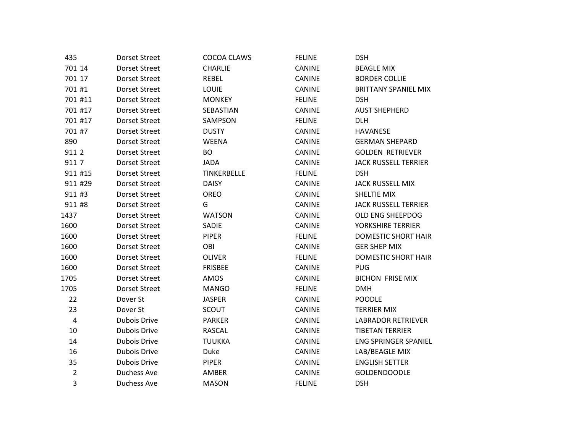| 435            | <b>Dorset Street</b> | COCOA CLAWS    | <b>FELINE</b> | <b>DSH</b>                  |
|----------------|----------------------|----------------|---------------|-----------------------------|
| 701 14         | <b>Dorset Street</b> | <b>CHARLIE</b> | <b>CANINE</b> | <b>BEAGLE MIX</b>           |
| 701 17         | <b>Dorset Street</b> | REBEL          | <b>CANINE</b> | <b>BORDER COLLIE</b>        |
| 701 #1         | <b>Dorset Street</b> | <b>LOUIE</b>   | CANINE        | <b>BRITTANY SPANIEL MIX</b> |
| 701 #11        | <b>Dorset Street</b> | <b>MONKEY</b>  | <b>FELINE</b> | <b>DSH</b>                  |
| 701 #17        | <b>Dorset Street</b> | SEBASTIAN      | <b>CANINE</b> | <b>AUST SHEPHERD</b>        |
| 701 #17        | <b>Dorset Street</b> | SAMPSON        | <b>FELINE</b> | <b>DLH</b>                  |
| 701 #7         | <b>Dorset Street</b> | <b>DUSTY</b>   | CANINE        | <b>HAVANESE</b>             |
| 890            | <b>Dorset Street</b> | <b>WEENA</b>   | <b>CANINE</b> | <b>GERMAN SHEPARD</b>       |
| 911 2          | <b>Dorset Street</b> | <b>BO</b>      | CANINE        | <b>GOLDEN RETRIEVER</b>     |
| 911 7          | <b>Dorset Street</b> | <b>JADA</b>    | CANINE        | <b>JACK RUSSELL TERRIER</b> |
| 911 #15        | <b>Dorset Street</b> | TINKERBELLE    | <b>FELINE</b> | <b>DSH</b>                  |
| 911 #29        | <b>Dorset Street</b> | <b>DAISY</b>   | CANINE        | <b>JACK RUSSELL MIX</b>     |
| 911 #3         | <b>Dorset Street</b> | OREO           | <b>CANINE</b> | SHELTIE MIX                 |
| 911 #8         | <b>Dorset Street</b> | G              | CANINE        | <b>JACK RUSSELL TERRIER</b> |
| 1437           | <b>Dorset Street</b> | <b>WATSON</b>  | CANINE        | OLD ENG SHEEPDOG            |
| 1600           | <b>Dorset Street</b> | SADIE          | CANINE        | YORKSHIRE TERRIER           |
| 1600           | <b>Dorset Street</b> | <b>PIPER</b>   | <b>FELINE</b> | DOMESTIC SHORT HAIR         |
| 1600           | <b>Dorset Street</b> | OBI            | <b>CANINE</b> | <b>GER SHEP MIX</b>         |
| 1600           | <b>Dorset Street</b> | <b>OLIVER</b>  | <b>FELINE</b> | <b>DOMESTIC SHORT HAIR</b>  |
| 1600           | <b>Dorset Street</b> | <b>FRISBEE</b> | CANINE        | <b>PUG</b>                  |
| 1705           | <b>Dorset Street</b> | AMOS           | CANINE        | <b>BICHON FRISE MIX</b>     |
| 1705           | <b>Dorset Street</b> | <b>MANGO</b>   | <b>FELINE</b> | <b>DMH</b>                  |
| 22             | Dover St             | <b>JASPER</b>  | CANINE        | <b>POODLE</b>               |
| 23             | Dover St             | SCOUT          | CANINE        | <b>TERRIER MIX</b>          |
| $\pmb{4}$      | <b>Dubois Drive</b>  | <b>PARKER</b>  | CANINE        | <b>LABRADOR RETRIEVER</b>   |
| 10             | <b>Dubois Drive</b>  | <b>RASCAL</b>  | <b>CANINE</b> | <b>TIBETAN TERRIER</b>      |
| 14             | <b>Dubois Drive</b>  | <b>TUUKKA</b>  | CANINE        | <b>ENG SPRINGER SPANIEL</b> |
| 16             | <b>Dubois Drive</b>  | Duke           | CANINE        | LAB/BEAGLE MIX              |
| 35             | <b>Dubois Drive</b>  | PIPER          | CANINE        | <b>ENGLISH SETTER</b>       |
| $\overline{2}$ | <b>Duchess Ave</b>   | AMBER          | CANINE        | <b>GOLDENDOODLE</b>         |
| 3              | <b>Duchess Ave</b>   | <b>MASON</b>   | <b>FELINE</b> | <b>DSH</b>                  |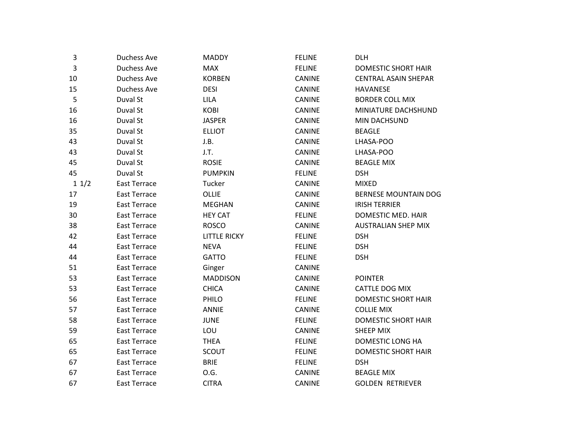| 3    | <b>Duchess Ave</b>  | <b>MADDY</b>        | <b>FELINE</b> | <b>DLH</b>                  |
|------|---------------------|---------------------|---------------|-----------------------------|
| 3    | Duchess Ave         | <b>MAX</b>          | <b>FELINE</b> | DOMESTIC SHORT HAIR         |
| 10   | <b>Duchess Ave</b>  | <b>KORBEN</b>       | <b>CANINE</b> | <b>CENTRAL ASAIN SHEPAR</b> |
| 15   | <b>Duchess Ave</b>  | <b>DESI</b>         | <b>CANINE</b> | <b>HAVANESE</b>             |
| 5    | Duval St            | <b>LILA</b>         | CANINE        | <b>BORDER COLL MIX</b>      |
| 16   | Duval St            | <b>KOBI</b>         | <b>CANINE</b> | MINIATURE DACHSHUND         |
| 16   | Duval St            | <b>JASPER</b>       | CANINE        | MIN DACHSUND                |
| 35   | Duval St            | <b>ELLIOT</b>       | <b>CANINE</b> | <b>BEAGLE</b>               |
| 43   | Duval St            | J.B.                | <b>CANINE</b> | LHASA-POO                   |
| 43   | Duval St            | J.T.                | CANINE        | LHASA-POO                   |
| 45   | Duval St            | <b>ROSIE</b>        | CANINE        | <b>BEAGLE MIX</b>           |
| 45   | Duval St            | <b>PUMPKIN</b>      | <b>FELINE</b> | <b>DSH</b>                  |
| 11/2 | <b>East Terrace</b> | Tucker              | <b>CANINE</b> | <b>MIXED</b>                |
| 17   | <b>East Terrace</b> | <b>OLLIE</b>        | <b>CANINE</b> | <b>BERNESE MOUNTAIN DOG</b> |
| 19   | <b>East Terrace</b> | <b>MEGHAN</b>       | <b>CANINE</b> | <b>IRISH TERRIER</b>        |
| 30   | <b>East Terrace</b> | <b>HEY CAT</b>      | <b>FELINE</b> | DOMESTIC MED. HAIR          |
| 38   | <b>East Terrace</b> | <b>ROSCO</b>        | <b>CANINE</b> | <b>AUSTRALIAN SHEP MIX</b>  |
| 42   | <b>East Terrace</b> | <b>LITTLE RICKY</b> | <b>FELINE</b> | <b>DSH</b>                  |
| 44   | <b>East Terrace</b> | <b>NEVA</b>         | <b>FELINE</b> | <b>DSH</b>                  |
| 44   | <b>East Terrace</b> | <b>GATTO</b>        | <b>FELINE</b> | <b>DSH</b>                  |
| 51   | <b>East Terrace</b> | Ginger              | <b>CANINE</b> |                             |
| 53   | <b>East Terrace</b> | <b>MADDISON</b>     | CANINE        | <b>POINTER</b>              |
| 53   | <b>East Terrace</b> | <b>CHICA</b>        | CANINE        | CATTLE DOG MIX              |
| 56   | <b>East Terrace</b> | PHILO               | <b>FELINE</b> | <b>DOMESTIC SHORT HAIR</b>  |
| 57   | <b>East Terrace</b> | <b>ANNIE</b>        | <b>CANINE</b> | <b>COLLIE MIX</b>           |
| 58   | <b>East Terrace</b> | <b>JUNE</b>         | <b>FELINE</b> | DOMESTIC SHORT HAIR         |
| 59   | <b>East Terrace</b> | LOU                 | CANINE        | SHEEP MIX                   |
| 65   | <b>East Terrace</b> | <b>THEA</b>         | <b>FELINE</b> | DOMESTIC LONG HA            |
| 65   | <b>East Terrace</b> | <b>SCOUT</b>        | <b>FELINE</b> | <b>DOMESTIC SHORT HAIR</b>  |
| 67   | <b>East Terrace</b> | <b>BRIE</b>         | <b>FELINE</b> | <b>DSH</b>                  |
| 67   | <b>East Terrace</b> | 0.G.                | CANINE        | <b>BEAGLE MIX</b>           |
| 67   | <b>East Terrace</b> | <b>CITRA</b>        | <b>CANINE</b> | <b>GOLDEN RETRIEVER</b>     |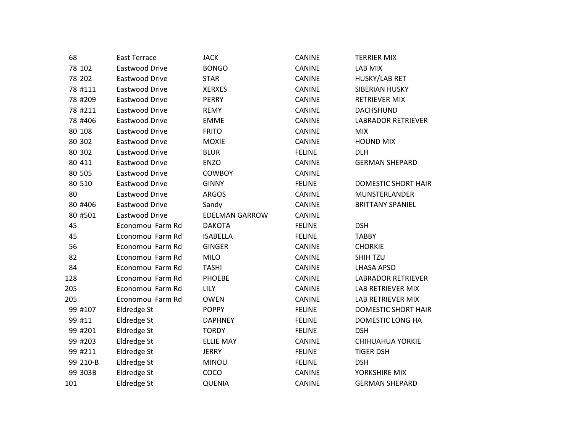| 68       | <b>East Terrace</b>   | <b>JACK</b>           | <b>CANINE</b> | <b>TERRIER MIX</b>         |
|----------|-----------------------|-----------------------|---------------|----------------------------|
| 78 102   | <b>Eastwood Drive</b> | <b>BONGO</b>          | CANINE        | LAB MIX                    |
| 78 202   | Eastwood Drive        | <b>STAR</b>           | <b>CANINE</b> | HUSKY/LAB RET              |
| 78 #111  | Eastwood Drive        | <b>XERXES</b>         | CANINE        | SIBERIAN HUSKY             |
| 78 #209  | Eastwood Drive        | <b>PERRY</b>          | CANINE        | <b>RETRIEVER MIX</b>       |
| 78 #211  | Eastwood Drive        | <b>REMY</b>           | <b>CANINE</b> | <b>DACHSHUND</b>           |
| 78 #406  | Eastwood Drive        | EMME                  | <b>CANINE</b> | <b>LABRADOR RETRIEVER</b>  |
| 80 108   | Eastwood Drive        | <b>FRITO</b>          | <b>CANINE</b> | <b>MIX</b>                 |
| 80 302   | Eastwood Drive        | <b>MOXIE</b>          | <b>CANINE</b> | <b>HOUND MIX</b>           |
| 80 302   | Eastwood Drive        | <b>BLUR</b>           | <b>FELINE</b> | <b>DLH</b>                 |
| 80 411   | Eastwood Drive        | <b>ENZO</b>           | CANINE        | <b>GERMAN SHEPARD</b>      |
| 80 505   | Eastwood Drive        | <b>COWBOY</b>         | <b>CANINE</b> |                            |
| 80 510   | Eastwood Drive        | <b>GINNY</b>          | <b>FELINE</b> | DOMESTIC SHORT HAIR        |
| 80       | Eastwood Drive        | <b>ARGOS</b>          | <b>CANINE</b> | MUNSTERLANDER              |
| 80 #406  | Eastwood Drive        | Sandy                 | CANINE        | <b>BRITTANY SPANIEL</b>    |
| 80 #501  | Eastwood Drive        | <b>EDELMAN GARROW</b> | <b>CANINE</b> |                            |
| 45       | Economou Farm Rd      | <b>DAKOTA</b>         | <b>FELINE</b> | <b>DSH</b>                 |
| 45       | Economou Farm Rd      | <b>ISABELLA</b>       | <b>FELINE</b> | <b>TABBY</b>               |
| 56       | Economou Farm Rd      | <b>GINGER</b>         | <b>CANINE</b> | <b>CHORKIE</b>             |
| 82       | Economou Farm Rd      | <b>MILO</b>           | <b>CANINE</b> | SHIH TZU                   |
| 84       | Economou Farm Rd      | <b>TASHI</b>          | CANINE        | <b>LHASA APSO</b>          |
| 128      | Economou Farm Rd      | <b>PHOEBE</b>         | <b>CANINE</b> | <b>LABRADOR RETRIEVER</b>  |
| 205      | Economou Farm Rd      | <b>LILY</b>           | <b>CANINE</b> | <b>LAB RETRIEVER MIX</b>   |
| 205      | Economou Farm Rd      | <b>OWEN</b>           | CANINE        | LAB RETRIEVER MIX          |
| 99 #107  | Eldredge St           | <b>POPPY</b>          | <b>FELINE</b> | <b>DOMESTIC SHORT HAIR</b> |
| 99 #11   | Eldredge St           | <b>DAPHNEY</b>        | <b>FELINE</b> | DOMESTIC LONG HA           |
| 99 #201  | <b>Eldredge St</b>    | <b>TORDY</b>          | <b>FELINE</b> | <b>DSH</b>                 |
| 99 #203  | Eldredge St           | <b>ELLIE MAY</b>      | <b>CANINE</b> | <b>CHIHUAHUA YORKIE</b>    |
| 99 #211  | Eldredge St           | <b>JERRY</b>          | <b>FELINE</b> | <b>TIGER DSH</b>           |
| 99 210-B | Eldredge St           | <b>MINOU</b>          | <b>FELINE</b> | <b>DSH</b>                 |
| 99 303B  | Eldredge St           | COCO                  | CANINE        | YORKSHIRE MIX              |
| 101      | Eldredge St           | <b>QUENIA</b>         | <b>CANINE</b> | <b>GERMAN SHEPARD</b>      |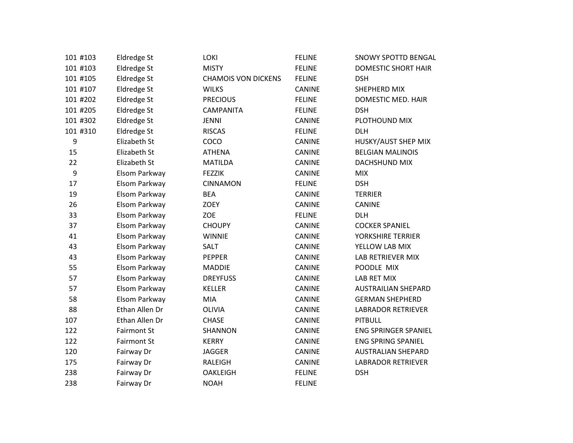| 101 #103         | Eldredge St        | LOKI                       | <b>FELINE</b> | <b>SNOWY SPOTTD BENGAL</b>  |
|------------------|--------------------|----------------------------|---------------|-----------------------------|
| 101 #103         | Eldredge St        | <b>MISTY</b>               | <b>FELINE</b> | <b>DOMESTIC SHORT HAIR</b>  |
| 101 #105         | Eldredge St        | <b>CHAMOIS VON DICKENS</b> | <b>FELINE</b> | <b>DSH</b>                  |
| 101 #107         | <b>Eldredge St</b> | <b>WILKS</b>               | <b>CANINE</b> | SHEPHERD MIX                |
| 101 #202         | Eldredge St        | <b>PRECIOUS</b>            | <b>FELINE</b> | DOMESTIC MED. HAIR          |
| 101 #205         | Eldredge St        | <b>CAMPANITA</b>           | <b>FELINE</b> | <b>DSH</b>                  |
| 101 #302         | Eldredge St        | <b>JENNI</b>               | <b>CANINE</b> | PLOTHOUND MIX               |
| 101 #310         | Eldredge St        | <b>RISCAS</b>              | <b>FELINE</b> | <b>DLH</b>                  |
| 9                | Elizabeth St       | COCO                       | <b>CANINE</b> | HUSKY/AUST SHEP MIX         |
| 15               | Elizabeth St       | <b>ATHENA</b>              | <b>CANINE</b> | <b>BELGIAN MALINOIS</b>     |
| 22               | Elizabeth St       | <b>MATILDA</b>             | <b>CANINE</b> | DACHSHUND MIX               |
| $\boldsymbol{9}$ | Elsom Parkway      | <b>FEZZIK</b>              | <b>CANINE</b> | <b>MIX</b>                  |
| 17               | Elsom Parkway      | <b>CINNAMON</b>            | <b>FELINE</b> | <b>DSH</b>                  |
| 19               | Elsom Parkway      | <b>BEA</b>                 | <b>CANINE</b> | <b>TERRIER</b>              |
| 26               | Elsom Parkway      | ZOEY                       | CANINE        | CANINE                      |
| 33               | Elsom Parkway      | ZOE                        | <b>FELINE</b> | <b>DLH</b>                  |
| 37               | Elsom Parkway      | <b>CHOUPY</b>              | <b>CANINE</b> | <b>COCKER SPANIEL</b>       |
| 41               | Elsom Parkway      | <b>WINNIE</b>              | <b>CANINE</b> | YORKSHIRE TERRIER           |
| 43               | Elsom Parkway      | SALT                       | <b>CANINE</b> | YELLOW LAB MIX              |
| 43               | Elsom Parkway      | PEPPER                     | <b>CANINE</b> | LAB RETRIEVER MIX           |
| 55               | Elsom Parkway      | <b>MADDIE</b>              | <b>CANINE</b> | POODLE MIX                  |
| 57               | Elsom Parkway      | <b>DREYFUSS</b>            | <b>CANINE</b> | <b>LAB RET MIX</b>          |
| 57               | Elsom Parkway      | <b>KELLER</b>              | <b>CANINE</b> | <b>AUSTRAILIAN SHEPARD</b>  |
| 58               | Elsom Parkway      | MIA                        | <b>CANINE</b> | <b>GERMAN SHEPHERD</b>      |
| 88               | Ethan Allen Dr     | <b>OLIVIA</b>              | <b>CANINE</b> | <b>LABRADOR RETRIEVER</b>   |
| 107              | Ethan Allen Dr     | <b>CHASE</b>               | <b>CANINE</b> | <b>PITBULL</b>              |
| 122              | <b>Fairmont St</b> | SHANNON                    | <b>CANINE</b> | <b>ENG SPRINGER SPANIEL</b> |
| 122              | <b>Fairmont St</b> | <b>KERRY</b>               | <b>CANINE</b> | <b>ENG SPRING SPANIEL</b>   |
| 120              | Fairway Dr         | <b>JAGGER</b>              | CANINE        | <b>AUSTRALIAN SHEPARD</b>   |
| 175              | Fairway Dr         | RALEIGH                    | CANINE        | <b>LABRADOR RETRIEVER</b>   |
| 238              | Fairway Dr         | <b>OAKLEIGH</b>            | <b>FELINE</b> | <b>DSH</b>                  |
| 238              | Fairway Dr         | <b>NOAH</b>                | <b>FELINE</b> |                             |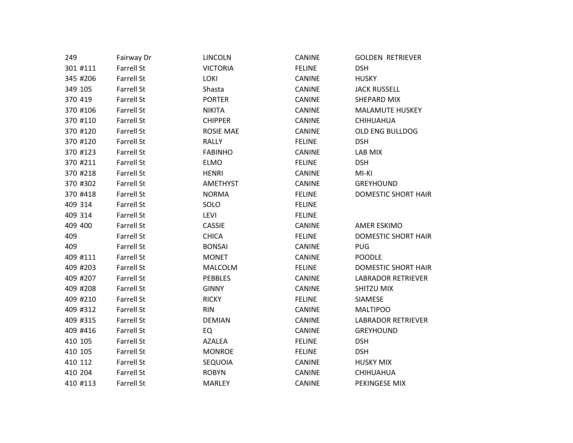| 249      | Fairway Dr        | LINCOLN          | <b>CANINE</b> | <b>GOLDEN RETRIEVER</b>    |
|----------|-------------------|------------------|---------------|----------------------------|
| 301 #111 | <b>Farrell St</b> | <b>VICTORIA</b>  | <b>FELINE</b> | <b>DSH</b>                 |
| 345 #206 | Farrell St        | <b>LOKI</b>      | CANINE        | <b>HUSKY</b>               |
| 349 105  | <b>Farrell St</b> | Shasta           | CANINE        | <b>JACK RUSSELL</b>        |
| 370 419  | <b>Farrell St</b> | <b>PORTER</b>    | <b>CANINE</b> | SHEPARD MIX                |
| 370 #106 | <b>Farrell St</b> | <b>NIKITA</b>    | <b>CANINE</b> | <b>MALAMUTE HUSKEY</b>     |
| 370 #110 | <b>Farrell St</b> | <b>CHIPPER</b>   | CANINE        | <b>CHIHUAHUA</b>           |
| 370 #120 | <b>Farrell St</b> | <b>ROSIE MAE</b> | <b>CANINE</b> | OLD ENG BULLDOG            |
| 370 #120 | <b>Farrell St</b> | <b>RALLY</b>     | <b>FELINE</b> | <b>DSH</b>                 |
| 370 #123 | <b>Farrell St</b> | <b>FABINHO</b>   | <b>CANINE</b> | LAB MIX                    |
| 370 #211 | <b>Farrell St</b> | ELMO             | <b>FELINE</b> | <b>DSH</b>                 |
| 370 #218 | <b>Farrell St</b> | <b>HENRI</b>     | <b>CANINE</b> | MI-KI                      |
| 370 #302 | <b>Farrell St</b> | AMETHYST         | CANINE        | <b>GREYHOUND</b>           |
| 370 #418 | <b>Farrell St</b> | <b>NORMA</b>     | <b>FELINE</b> | <b>DOMESTIC SHORT HAIR</b> |
| 409 314  | <b>Farrell St</b> | SOLO             | <b>FELINE</b> |                            |
| 409 314  | <b>Farrell St</b> | <b>LEVI</b>      | <b>FELINE</b> |                            |
| 409 400  | <b>Farrell St</b> | <b>CASSIE</b>    | <b>CANINE</b> | AMER ESKIMO                |
| 409      | <b>Farrell St</b> | <b>CHICA</b>     | <b>FELINE</b> | <b>DOMESTIC SHORT HAIR</b> |
| 409      | <b>Farrell St</b> | <b>BONSAI</b>    | <b>CANINE</b> | <b>PUG</b>                 |
| 409 #111 | <b>Farrell St</b> | <b>MONET</b>     | <b>CANINE</b> | <b>POODLE</b>              |
| 409 #203 | <b>Farrell St</b> | <b>MALCOLM</b>   | <b>FELINE</b> | DOMESTIC SHORT HAIR        |
| 409 #207 | <b>Farrell St</b> | <b>PEBBLES</b>   | <b>CANINE</b> | <b>LABRADOR RETRIEVER</b>  |
| 409 #208 | <b>Farrell St</b> | <b>GINNY</b>     | <b>CANINE</b> | SHITZU MIX                 |
| 409 #210 | <b>Farrell St</b> | <b>RICKY</b>     | <b>FELINE</b> | SIAMESE                    |
| 409 #312 | <b>Farrell St</b> | <b>RIN</b>       | <b>CANINE</b> | <b>MALTIPOO</b>            |
| 409 #315 | <b>Farrell St</b> | <b>DEMIAN</b>    | CANINE        | <b>LABRADOR RETRIEVER</b>  |
| 409 #416 | <b>Farrell St</b> | EQ               | CANINE        | <b>GREYHOUND</b>           |
| 410 105  | <b>Farrell St</b> | <b>AZALEA</b>    | <b>FELINE</b> | <b>DSH</b>                 |
| 410 105  | <b>Farrell St</b> | <b>MONROE</b>    | <b>FELINE</b> | <b>DSH</b>                 |
| 410 112  | <b>Farrell St</b> | SEQUOIA          | <b>CANINE</b> | <b>HUSKY MIX</b>           |
| 410 204  | <b>Farrell St</b> | <b>ROBYN</b>     | <b>CANINE</b> | <b>CHIHUAHUA</b>           |
| 410 #113 | <b>Farrell St</b> | <b>MARLEY</b>    | <b>CANINE</b> | PEKINGESE MIX              |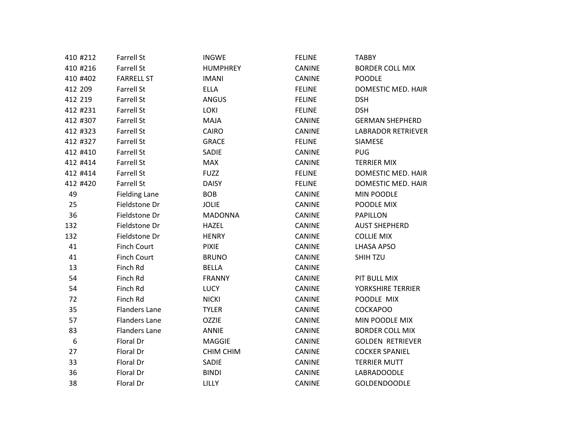| 410 #212 | <b>Farrell St</b>    | <b>INGWE</b>     | <b>FELINE</b> | <b>TABBY</b>              |
|----------|----------------------|------------------|---------------|---------------------------|
| 410 #216 | <b>Farrell St</b>    | <b>HUMPHREY</b>  | CANINE        | <b>BORDER COLL MIX</b>    |
| 410 #402 | <b>FARRELL ST</b>    | <b>IMANI</b>     | CANINE        | <b>POODLE</b>             |
| 412 209  | <b>Farrell St</b>    | <b>ELLA</b>      | <b>FELINE</b> | DOMESTIC MED. HAIR        |
| 412 219  | <b>Farrell St</b>    | <b>ANGUS</b>     | <b>FELINE</b> | <b>DSH</b>                |
| 412 #231 | <b>Farrell St</b>    | <b>LOKI</b>      | <b>FELINE</b> | <b>DSH</b>                |
| 412 #307 | <b>Farrell St</b>    | MAJA             | CANINE        | <b>GERMAN SHEPHERD</b>    |
| 412 #323 | <b>Farrell St</b>    | CAIRO            | CANINE        | <b>LABRADOR RETRIEVER</b> |
| 412 #327 | <b>Farrell St</b>    | <b>GRACE</b>     | <b>FELINE</b> | SIAMESE                   |
| 412 #410 | <b>Farrell St</b>    | SADIE            | CANINE        | <b>PUG</b>                |
| 412 #414 | <b>Farrell St</b>    | <b>MAX</b>       | CANINE        | <b>TERRIER MIX</b>        |
| 412 #414 | <b>Farrell St</b>    | <b>FUZZ</b>      | <b>FELINE</b> | DOMESTIC MED. HAIR        |
| 412 #420 | <b>Farrell St</b>    | <b>DAISY</b>     | <b>FELINE</b> | DOMESTIC MED. HAIR        |
| 49       | <b>Fielding Lane</b> | <b>BOB</b>       | CANINE        | MIN POODLE                |
| 25       | Fieldstone Dr        | <b>JOLIE</b>     | CANINE        | POODLE MIX                |
| 36       | Fieldstone Dr        | <b>MADONNA</b>   | CANINE        | <b>PAPILLON</b>           |
| 132      | Fieldstone Dr        | <b>HAZEL</b>     | CANINE        | <b>AUST SHEPHERD</b>      |
| 132      | Fieldstone Dr        | <b>HENRY</b>     | CANINE        | <b>COLLIE MIX</b>         |
| 41       | <b>Finch Court</b>   | <b>PIXIE</b>     | <b>CANINE</b> | <b>LHASA APSO</b>         |
| 41       | <b>Finch Court</b>   | <b>BRUNO</b>     | <b>CANINE</b> | SHIH TZU                  |
| 13       | Finch Rd             | <b>BELLA</b>     | CANINE        |                           |
| 54       | Finch Rd             | <b>FRANNY</b>    | CANINE        | PIT BULL MIX              |
| 54       | Finch Rd             | LUCY             | CANINE        | YORKSHIRE TERRIER         |
| 72       | Finch Rd             | <b>NICKI</b>     | CANINE        | POODLE MIX                |
| 35       | <b>Flanders Lane</b> | <b>TYLER</b>     | <b>CANINE</b> | <b>COCKAPOO</b>           |
| 57       | <b>Flanders Lane</b> | <b>OZZIE</b>     | CANINE        | MIN POODLE MIX            |
| 83       | <b>Flanders Lane</b> | <b>ANNIE</b>     | CANINE        | <b>BORDER COLL MIX</b>    |
| 6        | Floral Dr            | <b>MAGGIE</b>    | CANINE        | <b>GOLDEN RETRIEVER</b>   |
| 27       | Floral Dr            | <b>CHIM CHIM</b> | CANINE        | <b>COCKER SPANIEL</b>     |
| 33       | Floral Dr            | SADIE            | CANINE        | <b>TERRIER MUTT</b>       |
| 36       | Floral Dr            | <b>BINDI</b>     | CANINE        | LABRADOODLE               |
| 38       | Floral Dr            | <b>LILLY</b>     | CANINE        | <b>GOLDENDOODLE</b>       |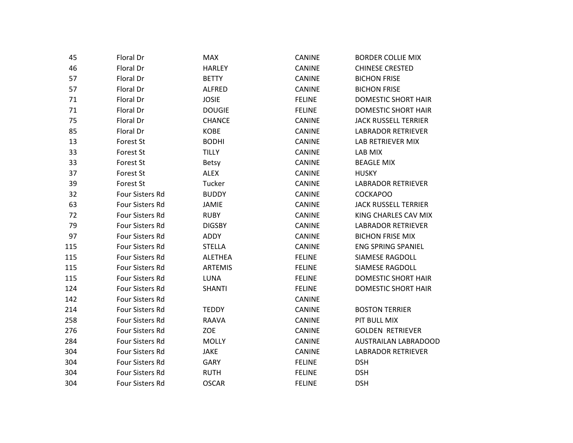| 45  | Floral Dr              | <b>MAX</b>     | <b>CANINE</b> | <b>BORDER COLLIE MIX</b>    |
|-----|------------------------|----------------|---------------|-----------------------------|
| 46  | Floral Dr              | <b>HARLEY</b>  | CANINE        | <b>CHINESE CRESTED</b>      |
| 57  | Floral Dr              | <b>BETTY</b>   | CANINE        | <b>BICHON FRISE</b>         |
| 57  | Floral Dr              | ALFRED         | CANINE        | <b>BICHON FRISE</b>         |
| 71  | Floral Dr              | <b>JOSIE</b>   | <b>FELINE</b> | DOMESTIC SHORT HAIR         |
| 71  | Floral Dr              | <b>DOUGIE</b>  | <b>FELINE</b> | <b>DOMESTIC SHORT HAIR</b>  |
| 75  | Floral Dr              | <b>CHANCE</b>  | CANINE        | <b>JACK RUSSELL TERRIER</b> |
| 85  | Floral Dr              | <b>KOBE</b>    | CANINE        | <b>LABRADOR RETRIEVER</b>   |
| 13  | Forest St              | <b>BODHI</b>   | CANINE        | LAB RETRIEVER MIX           |
| 33  | Forest St              | <b>TILLY</b>   | <b>CANINE</b> | LAB MIX                     |
| 33  | Forest St              | <b>Betsy</b>   | <b>CANINE</b> | <b>BEAGLE MIX</b>           |
| 37  | Forest St              | <b>ALEX</b>    | CANINE        | <b>HUSKY</b>                |
| 39  | Forest St              | Tucker         | CANINE        | <b>LABRADOR RETRIEVER</b>   |
| 32  | Four Sisters Rd        | <b>BUDDY</b>   | CANINE        | <b>COCKAPOO</b>             |
| 63  | Four Sisters Rd        | JAMIE          | CANINE        | <b>JACK RUSSELL TERRIER</b> |
| 72  | Four Sisters Rd        | <b>RUBY</b>    | <b>CANINE</b> | KING CHARLES CAV MIX        |
| 79  | Four Sisters Rd        | <b>DIGSBY</b>  | CANINE        | <b>LABRADOR RETRIEVER</b>   |
| 97  | Four Sisters Rd        | ADDY           | CANINE        | <b>BICHON FRISE MIX</b>     |
| 115 | Four Sisters Rd        | <b>STELLA</b>  | CANINE        | <b>ENG SPRING SPANIEL</b>   |
| 115 | Four Sisters Rd        | <b>ALETHEA</b> | <b>FELINE</b> | SIAMESE RAGDOLL             |
| 115 | Four Sisters Rd        | <b>ARTEMIS</b> | <b>FELINE</b> | SIAMESE RAGDOLL             |
| 115 | Four Sisters Rd        | LUNA           | <b>FELINE</b> | <b>DOMESTIC SHORT HAIR</b>  |
| 124 | Four Sisters Rd        | <b>SHANTI</b>  | <b>FELINE</b> | <b>DOMESTIC SHORT HAIR</b>  |
| 142 | Four Sisters Rd        |                | CANINE        |                             |
| 214 | <b>Four Sisters Rd</b> | <b>TEDDY</b>   | CANINE        | <b>BOSTON TERRIER</b>       |
| 258 | Four Sisters Rd        | RAAVA          | CANINE        | PIT BULL MIX                |
| 276 | Four Sisters Rd        | <b>ZOE</b>     | <b>CANINE</b> | <b>GOLDEN RETRIEVER</b>     |
| 284 | Four Sisters Rd        | <b>MOLLY</b>   | CANINE        | <b>AUSTRAILAN LABRADOOD</b> |
| 304 | Four Sisters Rd        | <b>JAKE</b>    | CANINE        | <b>LABRADOR RETRIEVER</b>   |
| 304 | Four Sisters Rd        | <b>GARY</b>    | <b>FELINE</b> | <b>DSH</b>                  |
| 304 | Four Sisters Rd        | <b>RUTH</b>    | <b>FELINE</b> | <b>DSH</b>                  |
| 304 | <b>Four Sisters Rd</b> | <b>OSCAR</b>   | <b>FELINE</b> | <b>DSH</b>                  |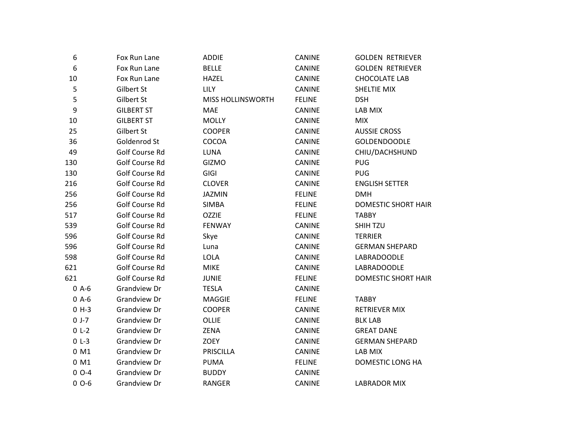| 6                | Fox Run Lane        | <b>ADDIE</b>             | CANINE        | <b>GOLDEN RETRIEVER</b>    |
|------------------|---------------------|--------------------------|---------------|----------------------------|
| $\boldsymbol{6}$ | Fox Run Lane        | <b>BELLE</b>             | CANINE        | <b>GOLDEN RETRIEVER</b>    |
| 10               | Fox Run Lane        | <b>HAZEL</b>             | CANINE        | <b>CHOCOLATE LAB</b>       |
| $\mathsf S$      | Gilbert St          | <b>LILY</b>              | CANINE        | SHELTIE MIX                |
| 5                | Gilbert St          | <b>MISS HOLLINSWORTH</b> | <b>FELINE</b> | <b>DSH</b>                 |
| $\boldsymbol{9}$ | <b>GILBERT ST</b>   | <b>MAE</b>               | <b>CANINE</b> | LAB MIX                    |
| 10               | <b>GILBERT ST</b>   | <b>MOLLY</b>             | <b>CANINE</b> | <b>MIX</b>                 |
| 25               | Gilbert St          | <b>COOPER</b>            | CANINE        | <b>AUSSIE CROSS</b>        |
| 36               | Goldenrod St        | COCOA                    | <b>CANINE</b> | <b>GOLDENDOODLE</b>        |
| 49               | Golf Course Rd      | LUNA                     | CANINE        | CHIU/DACHSHUND             |
| 130              | Golf Course Rd      | <b>GIZMO</b>             | CANINE        | <b>PUG</b>                 |
| 130              | Golf Course Rd      | GIGI                     | <b>CANINE</b> | <b>PUG</b>                 |
| 216              | Golf Course Rd      | <b>CLOVER</b>            | <b>CANINE</b> | <b>ENGLISH SETTER</b>      |
| 256              | Golf Course Rd      | <b>JAZMIN</b>            | <b>FELINE</b> | <b>DMH</b>                 |
| 256              | Golf Course Rd      | <b>SIMBA</b>             | <b>FELINE</b> | DOMESTIC SHORT HAIR        |
| 517              | Golf Course Rd      | <b>OZZIE</b>             | <b>FELINE</b> | <b>TABBY</b>               |
| 539              | Golf Course Rd      | <b>FENWAY</b>            | <b>CANINE</b> | SHIH TZU                   |
| 596              | Golf Course Rd      | Skye                     | <b>CANINE</b> | <b>TERRIER</b>             |
| 596              | Golf Course Rd      | Luna                     | <b>CANINE</b> | <b>GERMAN SHEPARD</b>      |
| 598              | Golf Course Rd      | LOLA                     | CANINE        | LABRADOODLE                |
| 621              | Golf Course Rd      | <b>MIKE</b>              | CANINE        | LABRADOODLE                |
| 621              | Golf Course Rd      | <b>JUNIE</b>             | <b>FELINE</b> | <b>DOMESTIC SHORT HAIR</b> |
| $0$ A-6          | Grandview Dr        | <b>TESLA</b>             | <b>CANINE</b> |                            |
| $0$ A- $6$       | Grandview Dr        | <b>MAGGIE</b>            | <b>FELINE</b> | <b>TABBY</b>               |
| $0 H-3$          | Grandview Dr        | <b>COOPER</b>            | <b>CANINE</b> | <b>RETRIEVER MIX</b>       |
| $0 J-7$          | Grandview Dr        | OLLIE                    | CANINE        | <b>BLK LAB</b>             |
| $0 L-2$          | <b>Grandview Dr</b> | ZENA                     | <b>CANINE</b> | <b>GREAT DANE</b>          |
| $0 L-3$          | <b>Grandview Dr</b> | ZOEY                     | <b>CANINE</b> | <b>GERMAN SHEPARD</b>      |
| 0 M1             | Grandview Dr        | <b>PRISCILLA</b>         | CANINE        | LAB MIX                    |
| 0 M1             | Grandview Dr        | <b>PUMA</b>              | <b>FELINE</b> | DOMESTIC LONG HA           |
| $0$ O-4          | Grandview Dr        | <b>BUDDY</b>             | CANINE        |                            |
| $0 - 6$          | <b>Grandview Dr</b> | <b>RANGER</b>            | <b>CANINE</b> | LABRADOR MIX               |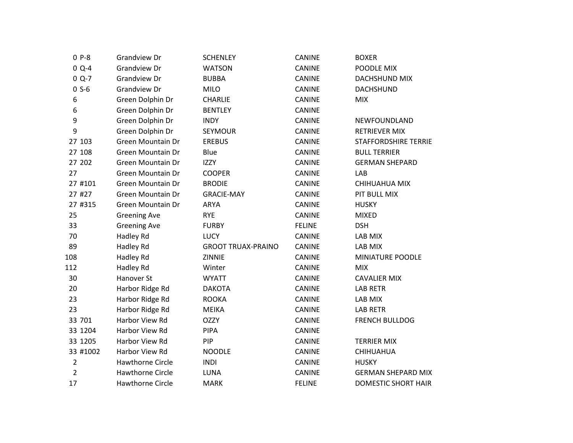| $0P-8$         | <b>Grandview Dr</b>      | <b>SCHENLEY</b>           | <b>CANINE</b> | <b>BOXER</b>                |
|----------------|--------------------------|---------------------------|---------------|-----------------------------|
| $0 Q-4$        | <b>Grandview Dr</b>      | <b>WATSON</b>             | CANINE        | POODLE MIX                  |
| $0 Q-7$        | <b>Grandview Dr</b>      | <b>BUBBA</b>              | CANINE        | DACHSHUND MIX               |
| $0 S-6$        | Grandview Dr             | <b>MILO</b>               | CANINE        | <b>DACHSHUND</b>            |
| 6              | Green Dolphin Dr         | <b>CHARLIE</b>            | <b>CANINE</b> | <b>MIX</b>                  |
| 6              | Green Dolphin Dr         | <b>BENTLEY</b>            | <b>CANINE</b> |                             |
| 9              | Green Dolphin Dr         | <b>INDY</b>               | CANINE        | NEWFOUNDLAND                |
| 9              | Green Dolphin Dr         | SEYMOUR                   | CANINE        | <b>RETRIEVER MIX</b>        |
| 27 103         | Green Mountain Dr        | <b>EREBUS</b>             | CANINE        | <b>STAFFORDSHIRE TERRIE</b> |
| 27 108         | <b>Green Mountain Dr</b> | Blue                      | CANINE        | <b>BULL TERRIER</b>         |
| 27 202         | <b>Green Mountain Dr</b> | <b>IZZY</b>               | <b>CANINE</b> | <b>GERMAN SHEPARD</b>       |
| 27             | <b>Green Mountain Dr</b> | <b>COOPER</b>             | <b>CANINE</b> | LAB                         |
| 27 #101        | <b>Green Mountain Dr</b> | <b>BRODIE</b>             | CANINE        | CHIHUAHUA MIX               |
| 27 #27         | <b>Green Mountain Dr</b> | <b>GRACIE-MAY</b>         | CANINE        | PIT BULL MIX                |
| 27 #315        | <b>Green Mountain Dr</b> | <b>ARYA</b>               | CANINE        | <b>HUSKY</b>                |
| 25             | <b>Greening Ave</b>      | <b>RYE</b>                | CANINE        | <b>MIXED</b>                |
| 33             | <b>Greening Ave</b>      | <b>FURBY</b>              | <b>FELINE</b> | <b>DSH</b>                  |
| 70             | Hadley Rd                | <b>LUCY</b>               | <b>CANINE</b> | LAB MIX                     |
| 89             | Hadley Rd                | <b>GROOT TRUAX-PRAINO</b> | CANINE        | LAB MIX                     |
| 108            | Hadley Rd                | ZINNIE                    | CANINE        | MINIATURE POODLE            |
| 112            | Hadley Rd                | Winter                    | <b>CANINE</b> | <b>MIX</b>                  |
| 30             | Hanover St               | <b>WYATT</b>              | <b>CANINE</b> | <b>CAVALIER MIX</b>         |
| 20             | Harbor Ridge Rd          | <b>DAKOTA</b>             | CANINE        | <b>LAB RETR</b>             |
| 23             | Harbor Ridge Rd          | <b>ROOKA</b>              | <b>CANINE</b> | LAB MIX                     |
| 23             | Harbor Ridge Rd          | <b>MEIKA</b>              | CANINE        | <b>LAB RETR</b>             |
| 33 701         | Harbor View Rd           | <b>OZZY</b>               | CANINE        | <b>FRENCH BULLDOG</b>       |
| 33 1204        | Harbor View Rd           | <b>PIPA</b>               | <b>CANINE</b> |                             |
| 33 1205        | Harbor View Rd           | PIP                       | CANINE        | <b>TERRIER MIX</b>          |
| 33 #1002       | Harbor View Rd           | <b>NOODLE</b>             | CANINE        | CHIHUAHUA                   |
| $\overline{2}$ | Hawthorne Circle         | <b>INDI</b>               | CANINE        | <b>HUSKY</b>                |
| $\overline{2}$ | <b>Hawthorne Circle</b>  | <b>LUNA</b>               | CANINE        | <b>GERMAN SHEPARD MIX</b>   |
| 17             | <b>Hawthorne Circle</b>  | <b>MARK</b>               | <b>FELINE</b> | DOMESTIC SHORT HAIR         |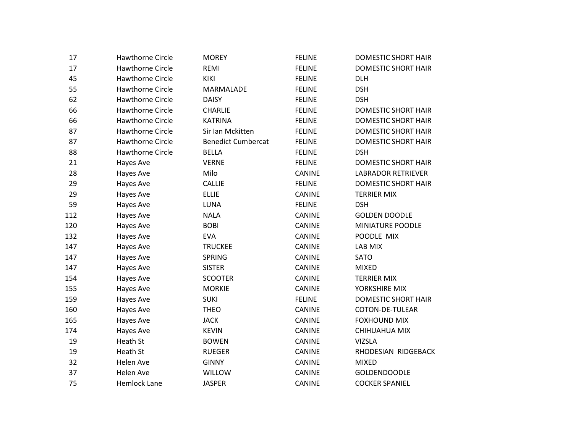| 17  | <b>Hawthorne Circle</b> | <b>MOREY</b>              | <b>FELINE</b> | <b>DOMESTIC SHORT HAIR</b> |
|-----|-------------------------|---------------------------|---------------|----------------------------|
| 17  | <b>Hawthorne Circle</b> | <b>REMI</b>               | <b>FELINE</b> | <b>DOMESTIC SHORT HAIR</b> |
| 45  | <b>Hawthorne Circle</b> | <b>KIKI</b>               | <b>FELINE</b> | <b>DLH</b>                 |
| 55  | <b>Hawthorne Circle</b> | MARMALADE                 | <b>FELINE</b> | <b>DSH</b>                 |
| 62  | <b>Hawthorne Circle</b> | <b>DAISY</b>              | <b>FELINE</b> | <b>DSH</b>                 |
| 66  | <b>Hawthorne Circle</b> | CHARLIE                   | <b>FELINE</b> | DOMESTIC SHORT HAIR        |
| 66  | <b>Hawthorne Circle</b> | <b>KATRINA</b>            | <b>FELINE</b> | <b>DOMESTIC SHORT HAIR</b> |
| 87  | <b>Hawthorne Circle</b> | Sir Ian Mckitten          | <b>FELINE</b> | <b>DOMESTIC SHORT HAIR</b> |
| 87  | <b>Hawthorne Circle</b> | <b>Benedict Cumbercat</b> | <b>FELINE</b> | <b>DOMESTIC SHORT HAIR</b> |
| 88  | <b>Hawthorne Circle</b> | <b>BELLA</b>              | <b>FELINE</b> | <b>DSH</b>                 |
| 21  | Hayes Ave               | <b>VERNE</b>              | <b>FELINE</b> | <b>DOMESTIC SHORT HAIR</b> |
| 28  | Hayes Ave               | Milo                      | CANINE        | <b>LABRADOR RETRIEVER</b>  |
| 29  | Hayes Ave               | <b>CALLIE</b>             | <b>FELINE</b> | <b>DOMESTIC SHORT HAIR</b> |
| 29  | Hayes Ave               | <b>ELLIE</b>              | CANINE        | <b>TERRIER MIX</b>         |
| 59  | Hayes Ave               | LUNA                      | <b>FELINE</b> | <b>DSH</b>                 |
| 112 | Hayes Ave               | <b>NALA</b>               | <b>CANINE</b> | <b>GOLDEN DOODLE</b>       |
| 120 | Hayes Ave               | <b>BOBI</b>               | <b>CANINE</b> | MINIATURE POODLE           |
| 132 | Hayes Ave               | <b>EVA</b>                | CANINE        | POODLE MIX                 |
| 147 | Hayes Ave               | <b>TRUCKEE</b>            | CANINE        | LAB MIX                    |
| 147 | Hayes Ave               | <b>SPRING</b>             | CANINE        | <b>SATO</b>                |
| 147 | Hayes Ave               | <b>SISTER</b>             | CANINE        | <b>MIXED</b>               |
| 154 | Hayes Ave               | <b>SCOOTER</b>            | CANINE        | <b>TERRIER MIX</b>         |
| 155 | Hayes Ave               | <b>MORKIE</b>             | <b>CANINE</b> | YORKSHIRE MIX              |
| 159 | Hayes Ave               | <b>SUKI</b>               | <b>FELINE</b> | <b>DOMESTIC SHORT HAIR</b> |
| 160 | Hayes Ave               | <b>THEO</b>               | <b>CANINE</b> | COTON-DE-TULEAR            |
| 165 | Hayes Ave               | <b>JACK</b>               | CANINE        | <b>FOXHOUND MIX</b>        |
| 174 | Hayes Ave               | <b>KEVIN</b>              | <b>CANINE</b> | CHIHUAHUA MIX              |
| 19  | Heath St                | <b>BOWEN</b>              | CANINE        | <b>VIZSLA</b>              |
| 19  | Heath St                | <b>RUEGER</b>             | CANINE        | RHODESIAN RIDGEBACK        |
| 32  | Helen Ave               | <b>GINNY</b>              | <b>CANINE</b> | <b>MIXED</b>               |
| 37  | <b>Helen Ave</b>        | WILLOW                    | CANINE        | <b>GOLDENDOODLE</b>        |
| 75  | <b>Hemlock Lane</b>     | <b>JASPER</b>             | <b>CANINE</b> | <b>COCKER SPANIEL</b>      |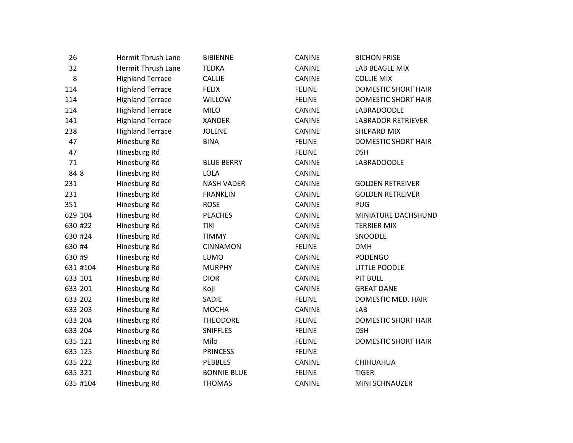| 26       | <b>Hermit Thrush Lane</b> | <b>BIBIENNE</b>    | CANINE        | <b>BICHON FRISE</b>        |
|----------|---------------------------|--------------------|---------------|----------------------------|
| 32       | <b>Hermit Thrush Lane</b> | <b>TEDKA</b>       | CANINE        | LAB BEAGLE MIX             |
| 8        | <b>Highland Terrace</b>   | <b>CALLIE</b>      | CANINE        | <b>COLLIE MIX</b>          |
| 114      | <b>Highland Terrace</b>   | <b>FELIX</b>       | <b>FELINE</b> | <b>DOMESTIC SHORT HAIR</b> |
| 114      | <b>Highland Terrace</b>   | WILLOW             | <b>FELINE</b> | DOMESTIC SHORT HAIR        |
| 114      | <b>Highland Terrace</b>   | <b>MILO</b>        | <b>CANINE</b> | LABRADOODLE                |
| 141      | <b>Highland Terrace</b>   | <b>XANDER</b>      | <b>CANINE</b> | <b>LABRADOR RETRIEVER</b>  |
| 238      | <b>Highland Terrace</b>   | <b>JOLENE</b>      | <b>CANINE</b> | SHEPARD MIX                |
| 47       | Hinesburg Rd              | <b>BINA</b>        | <b>FELINE</b> | <b>DOMESTIC SHORT HAIR</b> |
| 47       | Hinesburg Rd              |                    | <b>FELINE</b> | <b>DSH</b>                 |
| 71       | Hinesburg Rd              | <b>BLUE BERRY</b>  | CANINE        | LABRADOODLE                |
| 84 8     | Hinesburg Rd              | LOLA               | <b>CANINE</b> |                            |
| 231      | Hinesburg Rd              | <b>NASH VADER</b>  | CANINE        | <b>GOLDEN RETREIVER</b>    |
| 231      | Hinesburg Rd              | <b>FRANKLIN</b>    | CANINE        | <b>GOLDEN RETREIVER</b>    |
| 351      | Hinesburg Rd              | <b>ROSE</b>        | <b>CANINE</b> | <b>PUG</b>                 |
| 629 104  | Hinesburg Rd              | <b>PEACHES</b>     | <b>CANINE</b> | MINIATURE DACHSHUND        |
| 630 #22  | Hinesburg Rd              | <b>TIKI</b>        | CANINE        | <b>TERRIER MIX</b>         |
| 630 #24  | Hinesburg Rd              | <b>TIMMY</b>       | CANINE        | SNOODLE                    |
| 630 #4   | Hinesburg Rd              | <b>CINNAMON</b>    | <b>FELINE</b> | <b>DMH</b>                 |
| 630 #9   | Hinesburg Rd              | LUMO               | <b>CANINE</b> | <b>PODENGO</b>             |
| 631 #104 | Hinesburg Rd              | <b>MURPHY</b>      | <b>CANINE</b> | LITTLE POODLE              |
| 633 101  | Hinesburg Rd              | <b>DIOR</b>        | CANINE        | PIT BULL                   |
| 633 201  | Hinesburg Rd              | Koji               | <b>CANINE</b> | <b>GREAT DANE</b>          |
| 633 202  | Hinesburg Rd              | <b>SADIE</b>       | <b>FELINE</b> | DOMESTIC MED. HAIR         |
| 633 203  | Hinesburg Rd              | <b>MOCHA</b>       | <b>CANINE</b> | LAB                        |
| 633 204  | Hinesburg Rd              | <b>THEODORE</b>    | <b>FELINE</b> | <b>DOMESTIC SHORT HAIR</b> |
| 633 204  | Hinesburg Rd              | <b>SNIFFLES</b>    | <b>FELINE</b> | <b>DSH</b>                 |
| 635 121  | Hinesburg Rd              | Milo               | <b>FELINE</b> | <b>DOMESTIC SHORT HAIR</b> |
| 635 125  | Hinesburg Rd              | <b>PRINCESS</b>    | <b>FELINE</b> |                            |
| 635 222  | Hinesburg Rd              | <b>PEBBLES</b>     | <b>CANINE</b> | CHIHUAHUA                  |
| 635 321  | Hinesburg Rd              | <b>BONNIE BLUE</b> | <b>FELINE</b> | <b>TIGER</b>               |
| 635 #104 | Hinesburg Rd              | <b>THOMAS</b>      | <b>CANINE</b> | MINI SCHNAUZER             |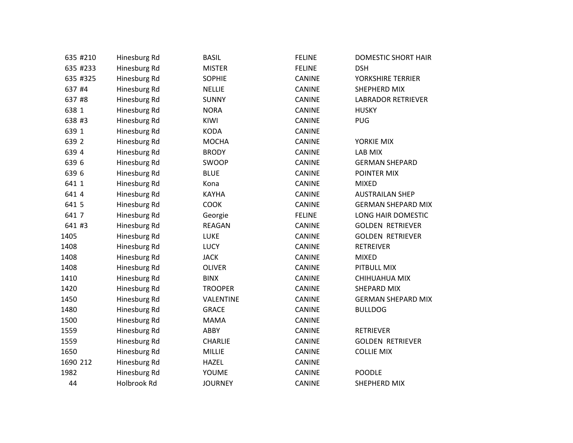| 635 #210 | Hinesburg Rd | <b>BASIL</b>   | <b>FELINE</b> | DOMESTIC SHORT HAIR       |
|----------|--------------|----------------|---------------|---------------------------|
| 635 #233 | Hinesburg Rd | <b>MISTER</b>  | <b>FELINE</b> | <b>DSH</b>                |
| 635 #325 | Hinesburg Rd | <b>SOPHIE</b>  | CANINE        | YORKSHIRE TERRIER         |
| 637 #4   | Hinesburg Rd | <b>NELLIE</b>  | CANINE        | SHEPHERD MIX              |
| 637 #8   | Hinesburg Rd | <b>SUNNY</b>   | CANINE        | <b>LABRADOR RETRIEVER</b> |
| 638 1    | Hinesburg Rd | <b>NORA</b>    | <b>CANINE</b> | <b>HUSKY</b>              |
| 638 #3   | Hinesburg Rd | KIWI           | <b>CANINE</b> | <b>PUG</b>                |
| 639 1    | Hinesburg Rd | <b>KODA</b>    | CANINE        |                           |
| 639 2    | Hinesburg Rd | <b>MOCHA</b>   | CANINE        | YORKIE MIX                |
| 639 4    | Hinesburg Rd | <b>BRODY</b>   | CANINE        | LAB MIX                   |
| 639 6    | Hinesburg Rd | SWOOP          | CANINE        | <b>GERMAN SHEPARD</b>     |
| 639 6    | Hinesburg Rd | <b>BLUE</b>    | <b>CANINE</b> | POINTER MIX               |
| 641 1    | Hinesburg Rd | Kona           | CANINE        | <b>MIXED</b>              |
| 641 4    | Hinesburg Rd | <b>KAYHA</b>   | CANINE        | <b>AUSTRAILAN SHEP</b>    |
| 641 5    | Hinesburg Rd | COOK           | CANINE        | <b>GERMAN SHEPARD MIX</b> |
| 641 7    | Hinesburg Rd | Georgie        | <b>FELINE</b> | LONG HAIR DOMESTIC        |
| 641 #3   | Hinesburg Rd | <b>REAGAN</b>  | CANINE        | <b>GOLDEN RETRIEVER</b>   |
| 1405     | Hinesburg Rd | <b>LUKE</b>    | <b>CANINE</b> | <b>GOLDEN RETRIEVER</b>   |
| 1408     | Hinesburg Rd | <b>LUCY</b>    | <b>CANINE</b> | <b>RETREIVER</b>          |
| 1408     | Hinesburg Rd | <b>JACK</b>    | <b>CANINE</b> | <b>MIXED</b>              |
| 1408     | Hinesburg Rd | <b>OLIVER</b>  | CANINE        | PITBULL MIX               |
| 1410     | Hinesburg Rd | <b>BINX</b>    | CANINE        | CHIHUAHUA MIX             |
| 1420     | Hinesburg Rd | <b>TROOPER</b> | CANINE        | SHEPARD MIX               |
| 1450     | Hinesburg Rd | VALENTINE      | CANINE        | <b>GERMAN SHEPARD MIX</b> |
| 1480     | Hinesburg Rd | <b>GRACE</b>   | <b>CANINE</b> | <b>BULLDOG</b>            |
| 1500     | Hinesburg Rd | <b>MAMA</b>    | <b>CANINE</b> |                           |
| 1559     | Hinesburg Rd | ABBY           | CANINE        | <b>RETRIEVER</b>          |
| 1559     | Hinesburg Rd | <b>CHARLIE</b> | CANINE        | <b>GOLDEN RETRIEVER</b>   |
| 1650     | Hinesburg Rd | <b>MILLIE</b>  | <b>CANINE</b> | <b>COLLIE MIX</b>         |
| 1690 212 | Hinesburg Rd | <b>HAZEL</b>   | CANINE        |                           |
| 1982     | Hinesburg Rd | YOUME          | CANINE        | <b>POODLE</b>             |
| 44       | Holbrook Rd  | <b>JOURNEY</b> | <b>CANINE</b> | SHEPHERD MIX              |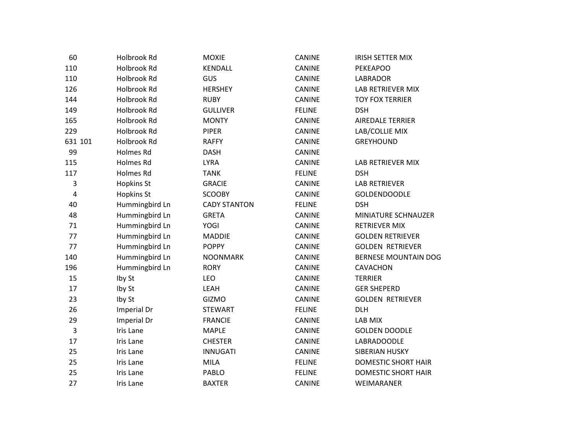| 60           | Holbrook Rd       | <b>MOXIE</b>        | <b>CANINE</b> | <b>IRISH SETTER MIX</b>     |
|--------------|-------------------|---------------------|---------------|-----------------------------|
| 110          | Holbrook Rd       | KENDALL             | CANINE        | PEKEAPOO                    |
| 110          | Holbrook Rd       | <b>GUS</b>          | <b>CANINE</b> | <b>LABRADOR</b>             |
| 126          | Holbrook Rd       | <b>HERSHEY</b>      | CANINE        | LAB RETRIEVER MIX           |
| 144          | Holbrook Rd       | <b>RUBY</b>         | <b>CANINE</b> | <b>TOY FOX TERRIER</b>      |
| 149          | Holbrook Rd       | <b>GULLIVER</b>     | <b>FELINE</b> | <b>DSH</b>                  |
| 165          | Holbrook Rd       | <b>MONTY</b>        | CANINE        | <b>AIREDALE TERRIER</b>     |
| 229          | Holbrook Rd       | <b>PIPER</b>        | <b>CANINE</b> | LAB/COLLIE MIX              |
| 631 101      | Holbrook Rd       | <b>RAFFY</b>        | <b>CANINE</b> | <b>GREYHOUND</b>            |
| 99           | Holmes Rd         | <b>DASH</b>         | CANINE        |                             |
| 115          | Holmes Rd         | <b>LYRA</b>         | CANINE        | LAB RETRIEVER MIX           |
| 117          | Holmes Rd         | <b>TANK</b>         | <b>FELINE</b> | <b>DSH</b>                  |
| $\mathsf 3$  | <b>Hopkins St</b> | <b>GRACIE</b>       | CANINE        | <b>LAB RETRIEVER</b>        |
| $\pmb{4}$    | <b>Hopkins St</b> | <b>SCOOBY</b>       | CANINE        | <b>GOLDENDOODLE</b>         |
| 40           | Hummingbird Ln    | <b>CADY STANTON</b> | <b>FELINE</b> | <b>DSH</b>                  |
| 48           | Hummingbird Ln    | <b>GRETA</b>        | CANINE        | MINIATURE SCHNAUZER         |
| 71           | Hummingbird Ln    | YOGI                | CANINE        | <b>RETRIEVER MIX</b>        |
| 77           | Hummingbird Ln    | <b>MADDIE</b>       | <b>CANINE</b> | <b>GOLDEN RETRIEVER</b>     |
| 77           | Hummingbird Ln    | <b>POPPY</b>        | CANINE        | <b>GOLDEN RETRIEVER</b>     |
| 140          | Hummingbird Ln    | <b>NOONMARK</b>     | CANINE        | <b>BERNESE MOUNTAIN DOG</b> |
| 196          | Hummingbird Ln    | <b>RORY</b>         | CANINE        | CAVACHON                    |
| 15           | Iby St            | LEO                 | <b>CANINE</b> | <b>TERRIER</b>              |
| 17           | Iby St            | LEAH                | CANINE        | <b>GER SHEPERD</b>          |
| 23           | Iby St            | GIZMO               | <b>CANINE</b> | <b>GOLDEN RETRIEVER</b>     |
| 26           | Imperial Dr       | <b>STEWART</b>      | <b>FELINE</b> | <b>DLH</b>                  |
| 29           | Imperial Dr       | <b>FRANCIE</b>      | CANINE        | LAB MIX                     |
| $\mathbf{3}$ | <b>Iris Lane</b>  | <b>MAPLE</b>        | <b>CANINE</b> | <b>GOLDEN DOODLE</b>        |
| 17           | Iris Lane         | <b>CHESTER</b>      | <b>CANINE</b> | LABRADOODLE                 |
| 25           | Iris Lane         | <b>INNUGATI</b>     | CANINE        | SIBERIAN HUSKY              |
| 25           | Iris Lane         | MILA                | <b>FELINE</b> | DOMESTIC SHORT HAIR         |
| 25           | Iris Lane         | PABLO               | <b>FELINE</b> | <b>DOMESTIC SHORT HAIR</b>  |
| 27           | Iris Lane         | <b>BAXTER</b>       | <b>CANINE</b> | WEIMARANER                  |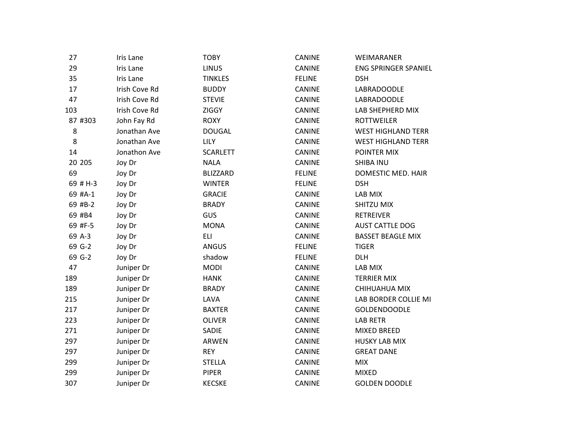| 27       | Iris Lane     | <b>TOBY</b>     | <b>CANINE</b> | WEIMARANER                |
|----------|---------------|-----------------|---------------|---------------------------|
| 29       | Iris Lane     | <b>LINUS</b>    | <b>CANINE</b> | ENG SPRINGER SPANIEL      |
| 35       | Iris Lane     | <b>TINKLES</b>  | <b>FELINE</b> | <b>DSH</b>                |
| 17       | Irish Cove Rd | <b>BUDDY</b>    | <b>CANINE</b> | LABRADOODLE               |
| 47       | Irish Cove Rd | <b>STEVIE</b>   | <b>CANINE</b> | LABRADOODLE               |
| 103      | Irish Cove Rd | <b>ZIGGY</b>    | CANINE        | LAB SHEPHERD MIX          |
| 87 #303  | John Fay Rd   | <b>ROXY</b>     | <b>CANINE</b> | <b>ROTTWEILER</b>         |
| 8        | Jonathan Ave  | <b>DOUGAL</b>   | <b>CANINE</b> | <b>WEST HIGHLAND TERR</b> |
| 8        | Jonathan Ave  | <b>LILY</b>     | <b>CANINE</b> | <b>WEST HIGHLAND TERR</b> |
| 14       | Jonathon Ave  | <b>SCARLETT</b> | <b>CANINE</b> | POINTER MIX               |
| 20 20 5  | Joy Dr        | <b>NALA</b>     | CANINE        | <b>SHIBA INU</b>          |
| 69       | Joy Dr        | <b>BLIZZARD</b> | <b>FELINE</b> | DOMESTIC MED. HAIR        |
| 69 # H-3 | Joy Dr        | <b>WINTER</b>   | <b>FELINE</b> | <b>DSH</b>                |
| 69 #A-1  | Joy Dr        | <b>GRACIE</b>   | CANINE        | LAB MIX                   |
| 69 #B-2  | Joy Dr        | <b>BRADY</b>    | <b>CANINE</b> | SHITZU MIX                |
| 69 #B4   | Joy Dr        | GUS             | <b>CANINE</b> | <b>RETREIVER</b>          |
| 69 #F-5  | Joy Dr        | <b>MONA</b>     | <b>CANINE</b> | <b>AUST CATTLE DOG</b>    |
| 69 A-3   | Joy Dr        | <b>ELI</b>      | <b>CANINE</b> | <b>BASSET BEAGLE MIX</b>  |
| 69 G-2   | Joy Dr        | <b>ANGUS</b>    | <b>FELINE</b> | <b>TIGER</b>              |
| 69 G-2   | Joy Dr        | shadow          | <b>FELINE</b> | <b>DLH</b>                |
| 47       | Juniper Dr    | <b>MODI</b>     | <b>CANINE</b> | LAB MIX                   |
| 189      | Juniper Dr    | <b>HANK</b>     | CANINE        | <b>TERRIER MIX</b>        |
| 189      | Juniper Dr    | <b>BRADY</b>    | CANINE        | CHIHUAHUA MIX             |
| 215      | Juniper Dr    | LAVA            | <b>CANINE</b> | LAB BORDER COLLIE MI      |
| 217      | Juniper Dr    | <b>BAXTER</b>   | <b>CANINE</b> | <b>GOLDENDOODLE</b>       |
| 223      | Juniper Dr    | <b>OLIVER</b>   | CANINE        | <b>LAB RETR</b>           |
| 271      | Juniper Dr    | SADIE           | <b>CANINE</b> | <b>MIXED BREED</b>        |
| 297      | Juniper Dr    | ARWEN           | CANINE        | <b>HUSKY LAB MIX</b>      |
| 297      | Juniper Dr    | <b>REY</b>      | CANINE        | <b>GREAT DANE</b>         |
| 299      | Juniper Dr    | <b>STELLA</b>   | <b>CANINE</b> | <b>MIX</b>                |
| 299      | Juniper Dr    | <b>PIPER</b>    | <b>CANINE</b> | <b>MIXED</b>              |
| 307      | Juniper Dr    | <b>KECSKE</b>   | <b>CANINE</b> | <b>GOLDEN DOODLE</b>      |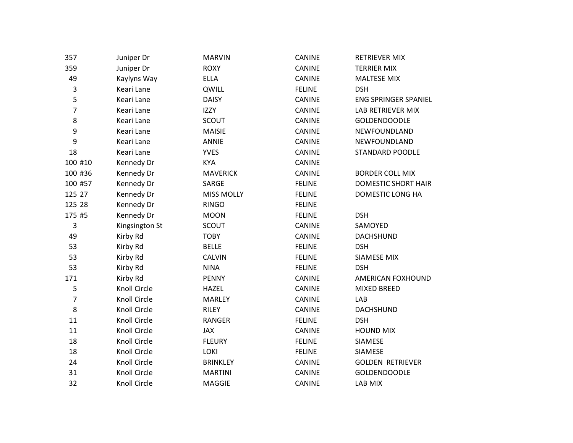| 357              | Juniper Dr          | <b>MARVIN</b>     | CANINE        | <b>RETRIEVER MIX</b>        |
|------------------|---------------------|-------------------|---------------|-----------------------------|
| 359              | Juniper Dr          | <b>ROXY</b>       | CANINE        | <b>TERRIER MIX</b>          |
| 49               | Kaylyns Way         | <b>ELLA</b>       | CANINE        | <b>MALTESE MIX</b>          |
| 3                | Keari Lane          | QWILL             | <b>FELINE</b> | <b>DSH</b>                  |
| 5                | Keari Lane          | <b>DAISY</b>      | CANINE        | <b>ENG SPRINGER SPANIEL</b> |
| $\overline{7}$   | Keari Lane          | <b>IZZY</b>       | CANINE        | <b>LAB RETRIEVER MIX</b>    |
| 8                | Keari Lane          | <b>SCOUT</b>      | <b>CANINE</b> | <b>GOLDENDOODLE</b>         |
| $\mathsf 9$      | Keari Lane          | <b>MAISIE</b>     | <b>CANINE</b> | NEWFOUNDLAND                |
| $\boldsymbol{9}$ | Keari Lane          | <b>ANNIE</b>      | CANINE        | NEWFOUNDLAND                |
| 18               | Keari Lane          | <b>YVES</b>       | CANINE        | <b>STANDARD POODLE</b>      |
| 100 #10          | Kennedy Dr          | <b>KYA</b>        | CANINE        |                             |
| 100 #36          | Kennedy Dr          | <b>MAVERICK</b>   | <b>CANINE</b> | <b>BORDER COLL MIX</b>      |
| 100 #57          | Kennedy Dr          | SARGE             | <b>FELINE</b> | <b>DOMESTIC SHORT HAIR</b>  |
| 125 27           | Kennedy Dr          | <b>MISS MOLLY</b> | <b>FELINE</b> | DOMESTIC LONG HA            |
| 125 28           | Kennedy Dr          | <b>RINGO</b>      | <b>FELINE</b> |                             |
| 175 #5           | Kennedy Dr          | <b>MOON</b>       | <b>FELINE</b> | <b>DSH</b>                  |
| 3                | Kingsington St      | <b>SCOUT</b>      | CANINE        | SAMOYED                     |
| 49               | Kirby Rd            | <b>TOBY</b>       | <b>CANINE</b> | <b>DACHSHUND</b>            |
| 53               | Kirby Rd            | <b>BELLE</b>      | <b>FELINE</b> | <b>DSH</b>                  |
| 53               | Kirby Rd            | <b>CALVIN</b>     | <b>FELINE</b> | SIAMESE MIX                 |
| 53               | Kirby Rd            | <b>NINA</b>       | <b>FELINE</b> | <b>DSH</b>                  |
| 171              | Kirby Rd            | <b>PENNY</b>      | CANINE        | AMERICAN FOXHOUND           |
| 5                | Knoll Circle        | <b>HAZEL</b>      | CANINE        | <b>MIXED BREED</b>          |
| $\overline{7}$   | Knoll Circle        | <b>MARLEY</b>     | CANINE        | LAB                         |
| 8                | <b>Knoll Circle</b> | <b>RILEY</b>      | <b>CANINE</b> | <b>DACHSHUND</b>            |
| 11               | Knoll Circle        | <b>RANGER</b>     | <b>FELINE</b> | <b>DSH</b>                  |
| 11               | Knoll Circle        | JAX               | CANINE        | <b>HOUND MIX</b>            |
| 18               | <b>Knoll Circle</b> | <b>FLEURY</b>     | <b>FELINE</b> | SIAMESE                     |
| 18               | Knoll Circle        | <b>LOKI</b>       | <b>FELINE</b> | <b>SIAMESE</b>              |
| 24               | Knoll Circle        | <b>BRINKLEY</b>   | CANINE        | <b>GOLDEN RETRIEVER</b>     |
| 31               | Knoll Circle        | <b>MARTINI</b>    | CANINE        | <b>GOLDENDOODLE</b>         |
| 32               | <b>Knoll Circle</b> | <b>MAGGIE</b>     | <b>CANINE</b> | LAB MIX                     |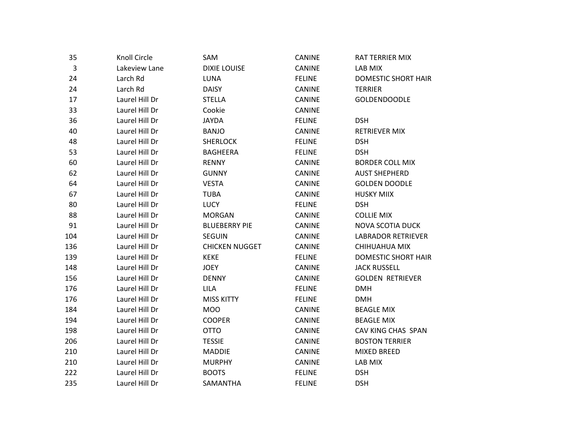| 35  | Knoll Circle   | SAM                   | CANINE        | RAT TERRIER MIX            |
|-----|----------------|-----------------------|---------------|----------------------------|
| 3   | Lakeview Lane  | <b>DIXIE LOUISE</b>   | CANINE        | LAB MIX                    |
| 24  | Larch Rd       | LUNA                  | <b>FELINE</b> | <b>DOMESTIC SHORT HAIR</b> |
| 24  | Larch Rd       | <b>DAISY</b>          | CANINE        | <b>TERRIER</b>             |
| 17  | Laurel Hill Dr | <b>STELLA</b>         | <b>CANINE</b> | <b>GOLDENDOODLE</b>        |
| 33  | Laurel Hill Dr | Cookie                | <b>CANINE</b> |                            |
| 36  | Laurel Hill Dr | <b>JAYDA</b>          | <b>FELINE</b> | <b>DSH</b>                 |
| 40  | Laurel Hill Dr | <b>BANJO</b>          | CANINE        | RETRIEVER MIX              |
| 48  | Laurel Hill Dr | <b>SHERLOCK</b>       | <b>FELINE</b> | <b>DSH</b>                 |
| 53  | Laurel Hill Dr | <b>BAGHEERA</b>       | <b>FELINE</b> | <b>DSH</b>                 |
| 60  | Laurel Hill Dr | <b>RENNY</b>          | CANINE        | <b>BORDER COLL MIX</b>     |
| 62  | Laurel Hill Dr | <b>GUNNY</b>          | <b>CANINE</b> | <b>AUST SHEPHERD</b>       |
| 64  | Laurel Hill Dr | <b>VESTA</b>          | CANINE        | <b>GOLDEN DOODLE</b>       |
| 67  | Laurel Hill Dr | <b>TUBA</b>           | <b>CANINE</b> | <b>HUSKY MIIX</b>          |
| 80  | Laurel Hill Dr | <b>LUCY</b>           | <b>FELINE</b> | <b>DSH</b>                 |
| 88  | Laurel Hill Dr | <b>MORGAN</b>         | CANINE        | <b>COLLIE MIX</b>          |
| 91  | Laurel Hill Dr | <b>BLUEBERRY PIE</b>  | CANINE        | NOVA SCOTIA DUCK           |
| 104 | Laurel Hill Dr | <b>SEGUIN</b>         | <b>CANINE</b> | LABRADOR RETRIEVER         |
| 136 | Laurel Hill Dr | <b>CHICKEN NUGGET</b> | <b>CANINE</b> | CHIHUAHUA MIX              |
| 139 | Laurel Hill Dr | <b>KEKE</b>           | <b>FELINE</b> | <b>DOMESTIC SHORT HAIR</b> |
| 148 | Laurel Hill Dr | <b>JOEY</b>           | CANINE        | <b>JACK RUSSELL</b>        |
| 156 | Laurel Hill Dr | <b>DENNY</b>          | CANINE        | <b>GOLDEN RETRIEVER</b>    |
| 176 | Laurel Hill Dr | <b>LILA</b>           | <b>FELINE</b> | <b>DMH</b>                 |
| 176 | Laurel Hill Dr | <b>MISS KITTY</b>     | <b>FELINE</b> | <b>DMH</b>                 |
| 184 | Laurel Hill Dr | <b>MOO</b>            | <b>CANINE</b> | <b>BEAGLE MIX</b>          |
| 194 | Laurel Hill Dr | <b>COOPER</b>         | CANINE        | <b>BEAGLE MIX</b>          |
| 198 | Laurel Hill Dr | <b>OTTO</b>           | <b>CANINE</b> | CAV KING CHAS SPAN         |
| 206 | Laurel Hill Dr | <b>TESSIE</b>         | <b>CANINE</b> | <b>BOSTON TERRIER</b>      |
| 210 | Laurel Hill Dr | <b>MADDIE</b>         | CANINE        | <b>MIXED BREED</b>         |
| 210 | Laurel Hill Dr | <b>MURPHY</b>         | CANINE        | LAB MIX                    |
| 222 | Laurel Hill Dr | <b>BOOTS</b>          | <b>FELINE</b> | <b>DSH</b>                 |
| 235 | Laurel Hill Dr | SAMANTHA              | <b>FELINE</b> | <b>DSH</b>                 |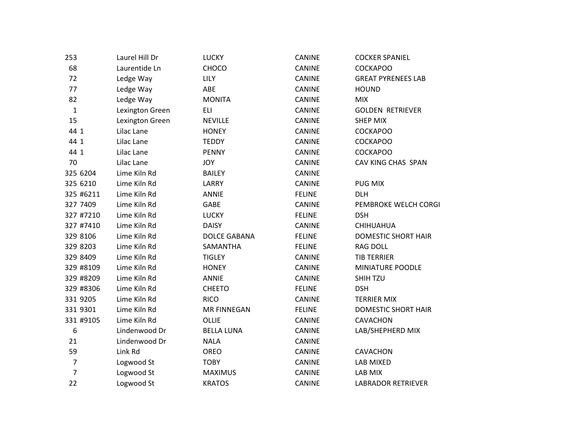| 253              | Laurel Hill Dr  | <b>LUCKY</b>        | CANINE        | <b>COCKER SPANIEL</b>      |
|------------------|-----------------|---------------------|---------------|----------------------------|
| 68               | Laurentide Ln   | CHOCO               | CANINE        | <b>COCKAPOO</b>            |
| 72               | Ledge Way       | <b>LILY</b>         | <b>CANINE</b> | <b>GREAT PYRENEES LAB</b>  |
| 77               | Ledge Way       | ABE                 | CANINE        | <b>HOUND</b>               |
| 82               | Ledge Way       | <b>MONITA</b>       | CANINE        | <b>MIX</b>                 |
| $\mathbf 1$      | Lexington Green | <b>ELI</b>          | <b>CANINE</b> | <b>GOLDEN RETRIEVER</b>    |
| 15               | Lexington Green | <b>NEVILLE</b>      | <b>CANINE</b> | <b>SHEP MIX</b>            |
| 44 1             | Lilac Lane      | <b>HONEY</b>        | CANINE        | <b>COCKAPOO</b>            |
| 44 1             | Lilac Lane      | <b>TEDDY</b>        | CANINE        | <b>COCKAPOO</b>            |
| 44 1             | Lilac Lane      | <b>PENNY</b>        | <b>CANINE</b> | <b>COCKAPOO</b>            |
| 70               | Lilac Lane      | <b>JOY</b>          | CANINE        | CAV KING CHAS SPAN         |
| 325 6204         | Lime Kiln Rd    | <b>BAILEY</b>       | CANINE        |                            |
| 325 6210         | Lime Kiln Rd    | LARRY               | <b>CANINE</b> | <b>PUG MIX</b>             |
| 325 #6211        | Lime Kiln Rd    | <b>ANNIE</b>        | <b>FELINE</b> | <b>DLH</b>                 |
| 327 7409         | Lime Kiln Rd    | <b>GABE</b>         | <b>CANINE</b> | PEMBROKE WELCH CORGI       |
| 327 #7210        | Lime Kiln Rd    | <b>LUCKY</b>        | <b>FELINE</b> | <b>DSH</b>                 |
| 327 #7410        | Lime Kiln Rd    | <b>DAISY</b>        | CANINE        | CHIHUAHUA                  |
| 329 8106         | Lime Kiln Rd    | <b>DOLCE GABANA</b> | <b>FELINE</b> | <b>DOMESTIC SHORT HAIR</b> |
| 329 8203         | Lime Kiln Rd    | SAMANTHA            | <b>FELINE</b> | <b>RAG DOLL</b>            |
| 329 8409         | Lime Kiln Rd    | <b>TIGLEY</b>       | <b>CANINE</b> | <b>TIB TERRIER</b>         |
| 329 #8109        | Lime Kiln Rd    | <b>HONEY</b>        | CANINE        | MINIATURE POODLE           |
| 329 #8209        | Lime Kiln Rd    | <b>ANNIE</b>        | <b>CANINE</b> | SHIH TZU                   |
| 329 #8306        | Lime Kiln Rd    | <b>CHEETO</b>       | <b>FELINE</b> | <b>DSH</b>                 |
| 331 9205         | Lime Kiln Rd    | <b>RICO</b>         | <b>CANINE</b> | <b>TERRIER MIX</b>         |
| 331 9301         | Lime Kiln Rd    | <b>MR FINNEGAN</b>  | <b>FELINE</b> | <b>DOMESTIC SHORT HAIR</b> |
| 331 #9105        | Lime Kiln Rd    | OLLIE               | <b>CANINE</b> | CAVACHON                   |
| $\boldsymbol{6}$ | Lindenwood Dr   | <b>BELLA LUNA</b>   | CANINE        | LAB/SHEPHERD MIX           |
| 21               | Lindenwood Dr   | <b>NALA</b>         | CANINE        |                            |
| 59               | Link Rd         | OREO                | <b>CANINE</b> | CAVACHON                   |
| $\overline{7}$   | Logwood St      | <b>TOBY</b>         | CANINE        | LAB MIXED                  |
| $\overline{7}$   | Logwood St      | <b>MAXIMUS</b>      | CANINE        | LAB MIX                    |
| 22               | Logwood St      | <b>KRATOS</b>       | <b>CANINE</b> | <b>LABRADOR RETRIEVER</b>  |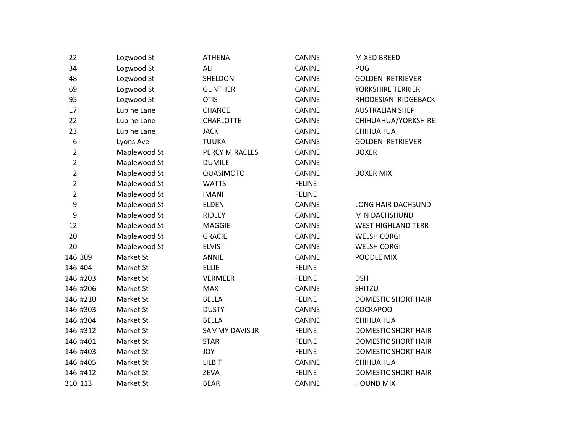| 22               | Logwood St   | <b>ATHENA</b>         | <b>CANINE</b> | <b>MIXED BREED</b>         |
|------------------|--------------|-----------------------|---------------|----------------------------|
| 34               | Logwood St   | ALI                   | CANINE        | <b>PUG</b>                 |
| 48               | Logwood St   | SHELDON               | CANINE        | <b>GOLDEN RETRIEVER</b>    |
| 69               | Logwood St   | <b>GUNTHER</b>        | CANINE        | YORKSHIRE TERRIER          |
| 95               | Logwood St   | <b>OTIS</b>           | <b>CANINE</b> | RHODESIAN RIDGEBACK        |
| 17               | Lupine Lane  | <b>CHANCE</b>         | CANINE        | <b>AUSTRALIAN SHEP</b>     |
| 22               | Lupine Lane  | <b>CHARLOTTE</b>      | CANINE        | CHIHUAHUA/YORKSHIRE        |
| 23               | Lupine Lane  | <b>JACK</b>           | CANINE        | CHIHUAHUA                  |
| $\boldsymbol{6}$ | Lyons Ave    | <b>TUUKA</b>          | <b>CANINE</b> | <b>GOLDEN RETRIEVER</b>    |
| $\overline{2}$   | Maplewood St | PERCY MIRACLES        | <b>CANINE</b> | <b>BOXER</b>               |
| $\overline{2}$   | Maplewood St | <b>DUMILE</b>         | <b>CANINE</b> |                            |
| $\overline{2}$   | Maplewood St | QUASIMOTO             | <b>CANINE</b> | <b>BOXER MIX</b>           |
| $\overline{2}$   | Maplewood St | <b>WATTS</b>          | <b>FELINE</b> |                            |
| $\overline{2}$   | Maplewood St | <b>IMANI</b>          | <b>FELINE</b> |                            |
| 9                | Maplewood St | <b>ELDEN</b>          | <b>CANINE</b> | LONG HAIR DACHSUND         |
| 9                | Maplewood St | RIDLEY                | CANINE        | MIN DACHSHUND              |
| 12               | Maplewood St | <b>MAGGIE</b>         | <b>CANINE</b> | <b>WEST HIGHLAND TERR</b>  |
| 20               | Maplewood St | <b>GRACIE</b>         | <b>CANINE</b> | <b>WELSH CORGI</b>         |
| 20               | Maplewood St | <b>ELVIS</b>          | <b>CANINE</b> | <b>WELSH CORGI</b>         |
| 146 309          | Market St    | <b>ANNIE</b>          | CANINE        | POODLE MIX                 |
| 146 404          | Market St    | <b>ELLIE</b>          | <b>FELINE</b> |                            |
| 146 #203         | Market St    | <b>VERMEER</b>        | <b>FELINE</b> | <b>DSH</b>                 |
| 146 #206         | Market St    | <b>MAX</b>            | <b>CANINE</b> | <b>SHITZU</b>              |
| 146 #210         | Market St    | <b>BELLA</b>          | <b>FELINE</b> | DOMESTIC SHORT HAIR        |
| 146 #303         | Market St    | <b>DUSTY</b>          | CANINE        | <b>COCKAPOO</b>            |
| 146 #304         | Market St    | <b>BELLA</b>          | CANINE        | CHIHUAHUA                  |
| 146 #312         | Market St    | <b>SAMMY DAVIS JR</b> | <b>FELINE</b> | <b>DOMESTIC SHORT HAIR</b> |
| 146 #401         | Market St    | <b>STAR</b>           | <b>FELINE</b> | <b>DOMESTIC SHORT HAIR</b> |
| 146 #403         | Market St    | JOY                   | <b>FELINE</b> | DOMESTIC SHORT HAIR        |
| 146 #405         | Market St    | LILBIT                | <b>CANINE</b> | CHIHUAHUA                  |
| 146 #412         | Market St    | ZEVA                  | <b>FELINE</b> | <b>DOMESTIC SHORT HAIR</b> |
| 310 113          | Market St    | <b>BEAR</b>           | <b>CANINE</b> | <b>HOUND MIX</b>           |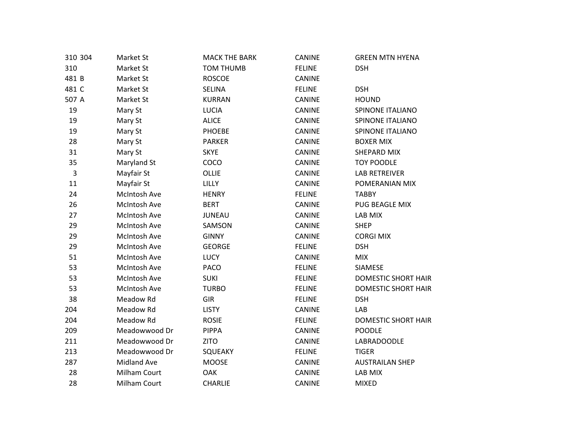| 310 304     | Market St          | <b>MACK THE BARK</b> | CANINE        | <b>GREEN MTN HYENA</b>     |
|-------------|--------------------|----------------------|---------------|----------------------------|
| 310         | Market St          | <b>TOM THUMB</b>     | <b>FELINE</b> | <b>DSH</b>                 |
| 481 B       | Market St          | <b>ROSCOE</b>        | CANINE        |                            |
| 481 C       | Market St          | <b>SELINA</b>        | <b>FELINE</b> | <b>DSH</b>                 |
| 507 A       | Market St          | <b>KURRAN</b>        | CANINE        | <b>HOUND</b>               |
| 19          | Mary St            | <b>LUCIA</b>         | <b>CANINE</b> | SPINONE ITALIANO           |
| 19          | Mary St            | <b>ALICE</b>         | CANINE        | SPINONE ITALIANO           |
| 19          | Mary St            | <b>PHOEBE</b>        | CANINE        | SPINONE ITALIANO           |
| 28          | Mary St            | <b>PARKER</b>        | CANINE        | <b>BOXER MIX</b>           |
| 31          | Mary St            | <b>SKYE</b>          | CANINE        | SHEPARD MIX                |
| 35          | Maryland St        | COCO                 | CANINE        | <b>TOY POODLE</b>          |
| $\mathsf 3$ | Mayfair St         | OLLIE                | CANINE        | <b>LAB RETREIVER</b>       |
| 11          | Mayfair St         | LILLY                | <b>CANINE</b> | POMERANIAN MIX             |
| 24          | McIntosh Ave       | <b>HENRY</b>         | <b>FELINE</b> | <b>TABBY</b>               |
| 26          | McIntosh Ave       | <b>BERT</b>          | CANINE        | PUG BEAGLE MIX             |
| 27          | McIntosh Ave       | <b>JUNEAU</b>        | CANINE        | LAB MIX                    |
| 29          | McIntosh Ave       | SAMSON               | CANINE        | <b>SHEP</b>                |
| 29          | McIntosh Ave       | <b>GINNY</b>         | CANINE        | <b>CORGI MIX</b>           |
| 29          | McIntosh Ave       | <b>GEORGE</b>        | <b>FELINE</b> | <b>DSH</b>                 |
| 51          | McIntosh Ave       | <b>LUCY</b>          | CANINE        | <b>MIX</b>                 |
| 53          | McIntosh Ave       | <b>PACO</b>          | <b>FELINE</b> | SIAMESE                    |
| 53          | McIntosh Ave       | <b>SUKI</b>          | <b>FELINE</b> | <b>DOMESTIC SHORT HAIR</b> |
| 53          | McIntosh Ave       | <b>TURBO</b>         | <b>FELINE</b> | <b>DOMESTIC SHORT HAIR</b> |
| 38          | Meadow Rd          | <b>GIR</b>           | <b>FELINE</b> | <b>DSH</b>                 |
| 204         | Meadow Rd          | <b>LISTY</b>         | <b>CANINE</b> | LAB                        |
| 204         | Meadow Rd          | <b>ROSIE</b>         | <b>FELINE</b> | <b>DOMESTIC SHORT HAIR</b> |
| 209         | Meadowwood Dr      | <b>PIPPA</b>         | CANINE        | <b>POODLE</b>              |
| 211         | Meadowwood Dr      | <b>ZITO</b>          | CANINE        | LABRADOODLE                |
| 213         | Meadowwood Dr      | SQUEAKY              | <b>FELINE</b> | <b>TIGER</b>               |
| 287         | <b>Midland Ave</b> | <b>MOOSE</b>         | CANINE        | <b>AUSTRAILAN SHEP</b>     |
| 28          | Milham Court       | <b>OAK</b>           | CANINE        | LAB MIX                    |
| 28          | Milham Court       | CHARLIE              | <b>CANINE</b> | <b>MIXED</b>               |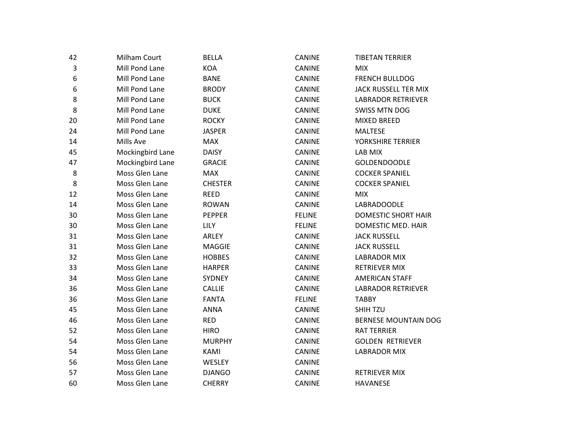| 42          | Milham Court     | <b>BELLA</b>   | CANINE        | <b>TIBETAN TERRIER</b>      |
|-------------|------------------|----------------|---------------|-----------------------------|
| $\mathsf 3$ | Mill Pond Lane   | <b>KOA</b>     | CANINE        | <b>MIX</b>                  |
| 6           | Mill Pond Lane   | <b>BANE</b>    | <b>CANINE</b> | <b>FRENCH BULLDOG</b>       |
| 6           | Mill Pond Lane   | <b>BRODY</b>   | CANINE        | JACK RUSSELL TER MIX        |
| 8           | Mill Pond Lane   | <b>BUCK</b>    | CANINE        | <b>LABRADOR RETRIEVER</b>   |
| 8           | Mill Pond Lane   | <b>DUKE</b>    | CANINE        | <b>SWISS MTN DOG</b>        |
| 20          | Mill Pond Lane   | <b>ROCKY</b>   | CANINE        | <b>MIXED BREED</b>          |
| 24          | Mill Pond Lane   | <b>JASPER</b>  | CANINE        | <b>MALTESE</b>              |
| 14          | Mills Ave        | <b>MAX</b>     | CANINE        | YORKSHIRE TERRIER           |
| 45          | Mockingbird Lane | <b>DAISY</b>   | CANINE        | LAB MIX                     |
| 47          | Mockingbird Lane | <b>GRACIE</b>  | CANINE        | <b>GOLDENDOODLE</b>         |
| 8           | Moss Glen Lane   | <b>MAX</b>     | CANINE        | <b>COCKER SPANIEL</b>       |
| 8           | Moss Glen Lane   | <b>CHESTER</b> | <b>CANINE</b> | <b>COCKER SPANIEL</b>       |
| 12          | Moss Glen Lane   | <b>REED</b>    | CANINE        | <b>MIX</b>                  |
| 14          | Moss Glen Lane   | <b>ROWAN</b>   | CANINE        | LABRADOODLE                 |
| 30          | Moss Glen Lane   | <b>PEPPER</b>  | <b>FELINE</b> | <b>DOMESTIC SHORT HAIR</b>  |
| 30          | Moss Glen Lane   | LILY           | <b>FELINE</b> | DOMESTIC MED. HAIR          |
| 31          | Moss Glen Lane   | ARLEY          | CANINE        | <b>JACK RUSSELL</b>         |
| 31          | Moss Glen Lane   | <b>MAGGIE</b>  | CANINE        | <b>JACK RUSSELL</b>         |
| 32          | Moss Glen Lane   | <b>HOBBES</b>  | CANINE        | <b>LABRADOR MIX</b>         |
| 33          | Moss Glen Lane   | <b>HARPER</b>  | CANINE        | <b>RETRIEVER MIX</b>        |
| 34          | Moss Glen Lane   | SYDNEY         | CANINE        | <b>AMERICAN STAFF</b>       |
| 36          | Moss Glen Lane   | <b>CALLIE</b>  | <b>CANINE</b> | <b>LABRADOR RETRIEVER</b>   |
| 36          | Moss Glen Lane   | <b>FANTA</b>   | <b>FELINE</b> | <b>TABBY</b>                |
| 45          | Moss Glen Lane   | <b>ANNA</b>    | CANINE        | SHIH TZU                    |
| 46          | Moss Glen Lane   | <b>RED</b>     | <b>CANINE</b> | <b>BERNESE MOUNTAIN DOG</b> |
| 52          | Moss Glen Lane   | <b>HIRO</b>    | CANINE        | <b>RAT TERRIER</b>          |
| 54          | Moss Glen Lane   | <b>MURPHY</b>  | CANINE        | <b>GOLDEN RETRIEVER</b>     |
| 54          | Moss Glen Lane   | KAMI           | <b>CANINE</b> | <b>LABRADOR MIX</b>         |
| 56          | Moss Glen Lane   | WESLEY         | CANINE        |                             |
| 57          | Moss Glen Lane   | <b>DJANGO</b>  | CANINE        | <b>RETRIEVER MIX</b>        |
| 60          | Moss Glen Lane   | <b>CHERRY</b>  | <b>CANINE</b> | <b>HAVANESE</b>             |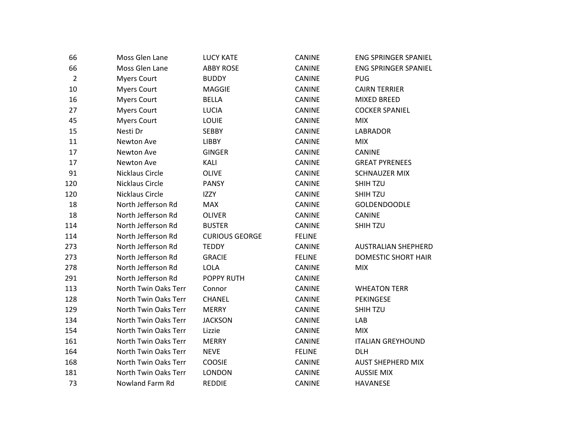| 66             | Moss Glen Lane       | <b>LUCY KATE</b>      | <b>CANINE</b> | <b>ENG SPRINGER SPANIEL</b> |
|----------------|----------------------|-----------------------|---------------|-----------------------------|
| 66             | Moss Glen Lane       | <b>ABBY ROSE</b>      | <b>CANINE</b> | <b>ENG SPRINGER SPANIEL</b> |
| $\overline{2}$ | <b>Myers Court</b>   | <b>BUDDY</b>          | <b>CANINE</b> | <b>PUG</b>                  |
| 10             | <b>Myers Court</b>   | <b>MAGGIE</b>         | CANINE        | <b>CAIRN TERRIER</b>        |
| 16             | <b>Myers Court</b>   | <b>BELLA</b>          | <b>CANINE</b> | <b>MIXED BREED</b>          |
| 27             | <b>Myers Court</b>   | <b>LUCIA</b>          | <b>CANINE</b> | <b>COCKER SPANIEL</b>       |
| 45             | <b>Myers Court</b>   | LOUIE                 | CANINE        | <b>MIX</b>                  |
| 15             | Nesti Dr             | <b>SEBBY</b>          | <b>CANINE</b> | <b>LABRADOR</b>             |
| 11             | Newton Ave           | LIBBY                 | <b>CANINE</b> | <b>MIX</b>                  |
| 17             | Newton Ave           | <b>GINGER</b>         | <b>CANINE</b> | <b>CANINE</b>               |
| 17             | Newton Ave           | KALI                  | <b>CANINE</b> | <b>GREAT PYRENEES</b>       |
| 91             | Nicklaus Circle      | <b>OLIVE</b>          | <b>CANINE</b> | <b>SCHNAUZER MIX</b>        |
| 120            | Nicklaus Circle      | <b>PANSY</b>          | <b>CANINE</b> | <b>SHIH TZU</b>             |
| 120            | Nicklaus Circle      | <b>IZZY</b>           | <b>CANINE</b> | SHIH TZU                    |
| 18             | North Jefferson Rd   | <b>MAX</b>            | CANINE        | <b>GOLDENDOODLE</b>         |
| 18             | North Jefferson Rd   | <b>OLIVER</b>         | <b>CANINE</b> | <b>CANINE</b>               |
| 114            | North Jefferson Rd   | <b>BUSTER</b>         | <b>CANINE</b> | <b>SHIH TZU</b>             |
| 114            | North Jefferson Rd   | <b>CURIOUS GEORGE</b> | <b>FELINE</b> |                             |
| 273            | North Jefferson Rd   | <b>TEDDY</b>          | <b>CANINE</b> | <b>AUSTRALIAN SHEPHERD</b>  |
| 273            | North Jefferson Rd   | <b>GRACIE</b>         | <b>FELINE</b> | <b>DOMESTIC SHORT HAIR</b>  |
| 278            | North Jefferson Rd   | LOLA                  | <b>CANINE</b> | <b>MIX</b>                  |
| 291            | North Jefferson Rd   | <b>POPPY RUTH</b>     | <b>CANINE</b> |                             |
| 113            | North Twin Oaks Terr | Connor                | <b>CANINE</b> | <b>WHEATON TERR</b>         |
| 128            | North Twin Oaks Terr | <b>CHANEL</b>         | CANINE        | <b>PEKINGESE</b>            |
| 129            | North Twin Oaks Terr | <b>MERRY</b>          | <b>CANINE</b> | SHIH TZU                    |
| 134            | North Twin Oaks Terr | <b>JACKSON</b>        | <b>CANINE</b> | LAB                         |
| 154            | North Twin Oaks Terr | Lizzie                | <b>CANINE</b> | <b>MIX</b>                  |
| 161            | North Twin Oaks Terr | <b>MERRY</b>          | <b>CANINE</b> | <b>ITALIAN GREYHOUND</b>    |
| 164            | North Twin Oaks Terr | <b>NEVE</b>           | <b>FELINE</b> | <b>DLH</b>                  |
| 168            | North Twin Oaks Terr | COOSIE                | <b>CANINE</b> | <b>AUST SHEPHERD MIX</b>    |
| 181            | North Twin Oaks Terr | <b>LONDON</b>         | <b>CANINE</b> | <b>AUSSIE MIX</b>           |
| 73             | Nowland Farm Rd      | <b>REDDIE</b>         | <b>CANINE</b> | <b>HAVANESE</b>             |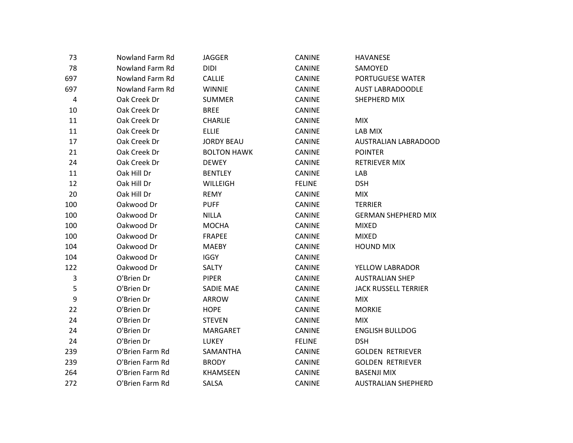| 73                      | Nowland Farm Rd | <b>JAGGER</b>      | CANINE        | <b>HAVANESE</b>             |
|-------------------------|-----------------|--------------------|---------------|-----------------------------|
| 78                      | Nowland Farm Rd | <b>DIDI</b>        | CANINE        | SAMOYED                     |
| 697                     | Nowland Farm Rd | <b>CALLIE</b>      | <b>CANINE</b> | PORTUGUESE WATER            |
| 697                     | Nowland Farm Rd | <b>WINNIE</b>      | CANINE        | <b>AUST LABRADOODLE</b>     |
| 4                       | Oak Creek Dr    | <b>SUMMER</b>      | CANINE        | SHEPHERD MIX                |
| 10                      | Oak Creek Dr    | <b>BREE</b>        | <b>CANINE</b> |                             |
| 11                      | Oak Creek Dr    | <b>CHARLIE</b>     | <b>CANINE</b> | <b>MIX</b>                  |
| 11                      | Oak Creek Dr    | <b>ELLIE</b>       | CANINE        | LAB MIX                     |
| 17                      | Oak Creek Dr    | <b>JORDY BEAU</b>  | CANINE        | <b>AUSTRALIAN LABRADOOD</b> |
| 21                      | Oak Creek Dr    | <b>BOLTON HAWK</b> | <b>CANINE</b> | <b>POINTER</b>              |
| 24                      | Oak Creek Dr    | <b>DEWEY</b>       | CANINE        | <b>RETRIEVER MIX</b>        |
| 11                      | Oak Hill Dr     | <b>BENTLEY</b>     | <b>CANINE</b> | LAB                         |
| 12                      | Oak Hill Dr     | WILLEIGH           | <b>FELINE</b> | <b>DSH</b>                  |
| 20                      | Oak Hill Dr     | <b>REMY</b>        | CANINE        | <b>MIX</b>                  |
| 100                     | Oakwood Dr      | <b>PUFF</b>        | CANINE        | <b>TERRIER</b>              |
| 100                     | Oakwood Dr      | <b>NILLA</b>       | <b>CANINE</b> | <b>GERMAN SHEPHERD MIX</b>  |
| 100                     | Oakwood Dr      | <b>MOCHA</b>       | CANINE        | <b>MIXED</b>                |
| 100                     | Oakwood Dr      | <b>FRAPEE</b>      | <b>CANINE</b> | <b>MIXED</b>                |
| 104                     | Oakwood Dr      | <b>MAEBY</b>       | <b>CANINE</b> | <b>HOUND MIX</b>            |
| 104                     | Oakwood Dr      | <b>IGGY</b>        | CANINE        |                             |
| 122                     | Oakwood Dr      | SALTY              | CANINE        | YELLOW LABRADOR             |
| $\overline{\mathbf{3}}$ | O'Brien Dr      | <b>PIPER</b>       | CANINE        | <b>AUSTRALIAN SHEP</b>      |
| 5                       | O'Brien Dr      | <b>SADIE MAE</b>   | <b>CANINE</b> | <b>JACK RUSSELL TERRIER</b> |
| $\boldsymbol{9}$        | O'Brien Dr      | ARROW              | CANINE        | <b>MIX</b>                  |
| 22                      | O'Brien Dr      | <b>HOPE</b>        | <b>CANINE</b> | <b>MORKIE</b>               |
| 24                      | O'Brien Dr      | <b>STEVEN</b>      | <b>CANINE</b> | <b>MIX</b>                  |
| 24                      | O'Brien Dr      | MARGARET           | CANINE        | <b>ENGLISH BULLDOG</b>      |
| 24                      | O'Brien Dr      | LUKEY              | <b>FELINE</b> | <b>DSH</b>                  |
| 239                     | O'Brien Farm Rd | SAMANTHA           | <b>CANINE</b> | <b>GOLDEN RETRIEVER</b>     |
| 239                     | O'Brien Farm Rd | <b>BRODY</b>       | CANINE        | <b>GOLDEN RETRIEVER</b>     |
| 264                     | O'Brien Farm Rd | KHAMSEEN           | CANINE        | <b>BASENJI MIX</b>          |
| 272                     | O'Brien Farm Rd | SALSA              | <b>CANINE</b> | <b>AUSTRALIAN SHEPHERD</b>  |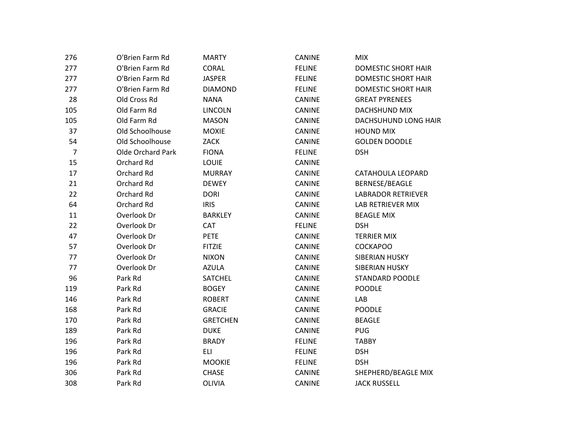| 276            | O'Brien Farm Rd          | <b>MARTY</b>    | <b>CANINE</b> | <b>MIX</b>                 |
|----------------|--------------------------|-----------------|---------------|----------------------------|
| 277            | O'Brien Farm Rd          | CORAL           | <b>FELINE</b> | <b>DOMESTIC SHORT HAIR</b> |
| 277            | O'Brien Farm Rd          | <b>JASPER</b>   | <b>FELINE</b> | <b>DOMESTIC SHORT HAIR</b> |
| 277            | O'Brien Farm Rd          | <b>DIAMOND</b>  | <b>FELINE</b> | <b>DOMESTIC SHORT HAIR</b> |
| 28             | Old Cross Rd             | <b>NANA</b>     | <b>CANINE</b> | <b>GREAT PYRENEES</b>      |
| 105            | Old Farm Rd              | <b>LINCOLN</b>  | <b>CANINE</b> | <b>DACHSHUND MIX</b>       |
| 105            | Old Farm Rd              | <b>MASON</b>    | <b>CANINE</b> | DACHSUHUND LONG HAIR       |
| 37             | Old Schoolhouse          | <b>MOXIE</b>    | CANINE        | <b>HOUND MIX</b>           |
| 54             | Old Schoolhouse          | ZACK            | <b>CANINE</b> | <b>GOLDEN DOODLE</b>       |
| $\overline{7}$ | <b>Olde Orchard Park</b> | <b>FIONA</b>    | <b>FELINE</b> | <b>DSH</b>                 |
| 15             | Orchard Rd               | <b>LOUIE</b>    | <b>CANINE</b> |                            |
| 17             | Orchard Rd               | <b>MURRAY</b>   | CANINE        | CATAHOULA LEOPARD          |
| 21             | Orchard Rd               | <b>DEWEY</b>    | CANINE        | BERNESE/BEAGLE             |
| 22             | Orchard Rd               | <b>DORI</b>     | <b>CANINE</b> | <b>LABRADOR RETRIEVER</b>  |
| 64             | Orchard Rd               | <b>IRIS</b>     | CANINE        | LAB RETRIEVER MIX          |
| 11             | Overlook Dr              | <b>BARKLEY</b>  | <b>CANINE</b> | <b>BEAGLE MIX</b>          |
| 22             | Overlook Dr              | <b>CAT</b>      | <b>FELINE</b> | <b>DSH</b>                 |
| 47             | Overlook Dr              | PETE            | CANINE        | <b>TERRIER MIX</b>         |
| 57             | Overlook Dr              | <b>FITZIE</b>   | CANINE        | <b>COCKAPOO</b>            |
| 77             | Overlook Dr              | <b>NIXON</b>    | <b>CANINE</b> | SIBERIAN HUSKY             |
| 77             | Overlook Dr              | <b>AZULA</b>    | CANINE        | SIBERIAN HUSKY             |
| 96             | Park Rd                  | <b>SATCHEL</b>  | <b>CANINE</b> | <b>STANDARD POODLE</b>     |
| 119            | Park Rd                  | <b>BOGEY</b>    | CANINE        | <b>POODLE</b>              |
| 146            | Park Rd                  | <b>ROBERT</b>   | CANINE        | LAB                        |
| 168            | Park Rd                  | <b>GRACIE</b>   | <b>CANINE</b> | <b>POODLE</b>              |
| 170            | Park Rd                  | <b>GRETCHEN</b> | <b>CANINE</b> | <b>BEAGLE</b>              |
| 189            | Park Rd                  | <b>DUKE</b>     | <b>CANINE</b> | <b>PUG</b>                 |
| 196            | Park Rd                  | <b>BRADY</b>    | <b>FELINE</b> | <b>TABBY</b>               |
| 196            | Park Rd                  | <b>ELI</b>      | <b>FELINE</b> | <b>DSH</b>                 |
| 196            | Park Rd                  | <b>MOOKIE</b>   | <b>FELINE</b> | <b>DSH</b>                 |
| 306            | Park Rd                  | <b>CHASE</b>    | CANINE        | SHEPHERD/BEAGLE MIX        |
| 308            | Park Rd                  | <b>OLIVIA</b>   | CANINE        | <b>JACK RUSSELL</b>        |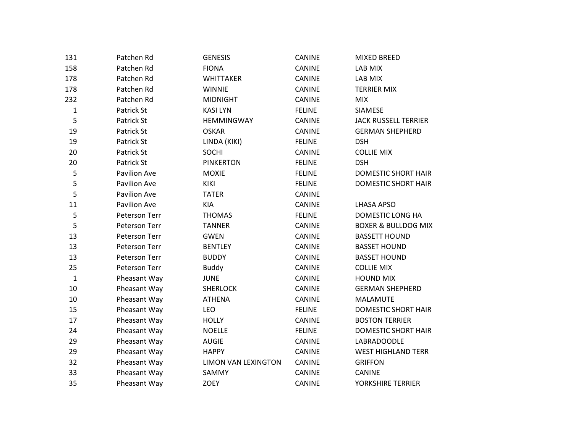| 131          | Patchen Rd          | <b>GENESIS</b>      | <b>CANINE</b> | <b>MIXED BREED</b>             |
|--------------|---------------------|---------------------|---------------|--------------------------------|
| 158          | Patchen Rd          | <b>FIONA</b>        | CANINE        | LAB MIX                        |
| 178          | Patchen Rd          | <b>WHITTAKER</b>    | CANINE        | LAB MIX                        |
| 178          | Patchen Rd          | <b>WINNIE</b>       | CANINE        | <b>TERRIER MIX</b>             |
| 232          | Patchen Rd          | <b>MIDNIGHT</b>     | <b>CANINE</b> | <b>MIX</b>                     |
| $\mathbf 1$  | Patrick St          | <b>KASILYN</b>      | <b>FELINE</b> | <b>SIAMESE</b>                 |
| 5            | Patrick St          | HEMMINGWAY          | CANINE        | <b>JACK RUSSELL TERRIER</b>    |
| 19           | Patrick St          | <b>OSKAR</b>        | CANINE        | <b>GERMAN SHEPHERD</b>         |
| 19           | Patrick St          | LINDA (KIKI)        | <b>FELINE</b> | <b>DSH</b>                     |
| 20           | Patrick St          | <b>SOCHI</b>        | CANINE        | <b>COLLIE MIX</b>              |
| 20           | Patrick St          | <b>PINKERTON</b>    | <b>FELINE</b> | <b>DSH</b>                     |
| 5            | <b>Pavilion Ave</b> | <b>MOXIE</b>        | <b>FELINE</b> | <b>DOMESTIC SHORT HAIR</b>     |
| 5            | <b>Pavilion Ave</b> | <b>KIKI</b>         | <b>FELINE</b> | <b>DOMESTIC SHORT HAIR</b>     |
| 5            | <b>Pavilion Ave</b> | <b>TATER</b>        | <b>CANINE</b> |                                |
| 11           | <b>Pavilion Ave</b> | KIA                 | CANINE        | <b>LHASA APSO</b>              |
| 5            | Peterson Terr       | <b>THOMAS</b>       | <b>FELINE</b> | DOMESTIC LONG HA               |
| 5            | Peterson Terr       | <b>TANNER</b>       | <b>CANINE</b> | <b>BOXER &amp; BULLDOG MIX</b> |
| 13           | Peterson Terr       | <b>GWEN</b>         | CANINE        | <b>BASSETT HOUND</b>           |
| 13           | Peterson Terr       | <b>BENTLEY</b>      | CANINE        | <b>BASSET HOUND</b>            |
| 13           | Peterson Terr       | <b>BUDDY</b>        | CANINE        | <b>BASSET HOUND</b>            |
| 25           | Peterson Terr       | <b>Buddy</b>        | <b>CANINE</b> | <b>COLLIE MIX</b>              |
| $\mathbf{1}$ | Pheasant Way        | <b>JUNE</b>         | CANINE        | <b>HOUND MIX</b>               |
| 10           | Pheasant Way        | <b>SHERLOCK</b>     | CANINE        | <b>GERMAN SHEPHERD</b>         |
| 10           | Pheasant Way        | <b>ATHENA</b>       | CANINE        | MALAMUTE                       |
| 15           | Pheasant Way        | LEO                 | <b>FELINE</b> | <b>DOMESTIC SHORT HAIR</b>     |
| 17           | Pheasant Way        | <b>HOLLY</b>        | <b>CANINE</b> | <b>BOSTON TERRIER</b>          |
| 24           | Pheasant Way        | <b>NOELLE</b>       | <b>FELINE</b> | <b>DOMESTIC SHORT HAIR</b>     |
| 29           | Pheasant Way        | <b>AUGIE</b>        | CANINE        | <b>LABRADOODLE</b>             |
| 29           | Pheasant Way        | <b>HAPPY</b>        | CANINE        | <b>WEST HIGHLAND TERR</b>      |
| 32           | Pheasant Way        | LIMON VAN LEXINGTON | CANINE        | <b>GRIFFON</b>                 |
| 33           | Pheasant Way        | SAMMY               | CANINE        | <b>CANINE</b>                  |
| 35           | Pheasant Way        | <b>ZOEY</b>         | <b>CANINE</b> | YORKSHIRE TERRIER              |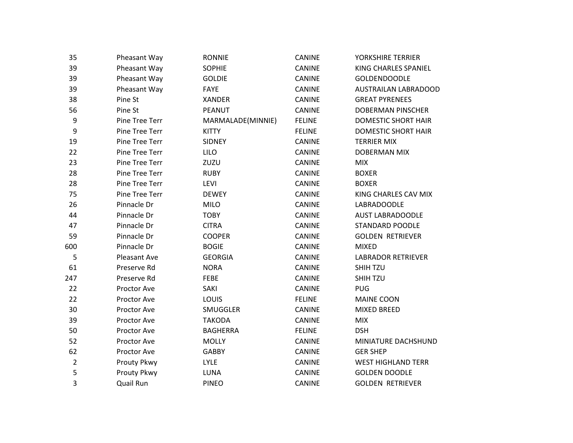| Pheasant Way   | <b>RONNIE</b>     | <b>CANINE</b> | YORKSHIRE TERRIER          |
|----------------|-------------------|---------------|----------------------------|
| Pheasant Way   | <b>SOPHIE</b>     | CANINE        | KING CHARLES SPANIEL       |
| Pheasant Way   | <b>GOLDIE</b>     | <b>CANINE</b> | <b>GOLDENDOODLE</b>        |
| Pheasant Way   | <b>FAYE</b>       | <b>CANINE</b> | AUSTRAILAN LABRADOOD       |
| Pine St        | <b>XANDER</b>     | <b>CANINE</b> | <b>GREAT PYRENEES</b>      |
| Pine St        | <b>PEANUT</b>     | CANINE        | <b>DOBERMAN PINSCHER</b>   |
| Pine Tree Terr | MARMALADE(MINNIE) | <b>FELINE</b> | <b>DOMESTIC SHORT HAIR</b> |
| Pine Tree Terr | <b>KITTY</b>      | <b>FELINE</b> | <b>DOMESTIC SHORT HAIR</b> |
| Pine Tree Terr | SIDNEY            | <b>CANINE</b> | <b>TERRIER MIX</b>         |
| Pine Tree Terr | LILO              | <b>CANINE</b> | <b>DOBERMAN MIX</b>        |
| Pine Tree Terr | ZUZU              | CANINE        | <b>MIX</b>                 |
| Pine Tree Terr | <b>RUBY</b>       | <b>CANINE</b> | <b>BOXER</b>               |
| Pine Tree Terr | LEVI              | CANINE        | <b>BOXER</b>               |
| Pine Tree Terr | <b>DEWEY</b>      | <b>CANINE</b> | KING CHARLES CAV MIX       |
| Pinnacle Dr    | MILO              | CANINE        | LABRADOODLE                |
| Pinnacle Dr    | <b>TOBY</b>       | <b>CANINE</b> | <b>AUST LABRADOODLE</b>    |
| Pinnacle Dr    | <b>CITRA</b>      | CANINE        | <b>STANDARD POODLE</b>     |
| Pinnacle Dr    | <b>COOPER</b>     | <b>CANINE</b> | <b>GOLDEN RETRIEVER</b>    |
| Pinnacle Dr    | <b>BOGIE</b>      | <b>CANINE</b> | <b>MIXED</b>               |
| Pleasant Ave   | <b>GEORGIA</b>    | <b>CANINE</b> | <b>LABRADOR RETRIEVER</b>  |
| Preserve Rd    | <b>NORA</b>       | <b>CANINE</b> | SHIH TZU                   |
| Preserve Rd    | <b>FEBE</b>       | CANINE        | <b>SHIH TZU</b>            |
| Proctor Ave    | SAKI              | <b>CANINE</b> | <b>PUG</b>                 |
| Proctor Ave    | LOUIS             | <b>FELINE</b> | MAINE COON                 |
| Proctor Ave    | SMUGGLER          | CANINE        | <b>MIXED BREED</b>         |
| Proctor Ave    | <b>TAKODA</b>     | CANINE        | <b>MIX</b>                 |
| Proctor Ave    | <b>BAGHERRA</b>   | <b>FELINE</b> | <b>DSH</b>                 |
| Proctor Ave    | <b>MOLLY</b>      | <b>CANINE</b> | MINIATURE DACHSHUND        |
| Proctor Ave    | <b>GABBY</b>      | CANINE        | <b>GER SHEP</b>            |
|                | LYLE              | CANINE        | <b>WEST HIGHLAND TERR</b>  |
|                |                   |               |                            |
| Prouty Pkwy    | LUNA              | CANINE        | <b>GOLDEN DOODLE</b>       |
|                |                   | Prouty Pkwy   |                            |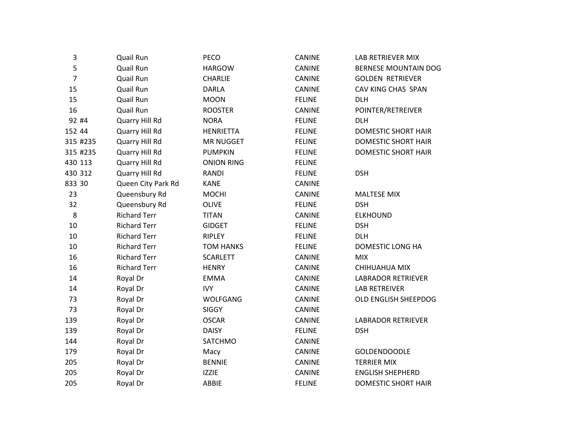| 3              | Quail Run           | PECO              | CANINE        | LAB RETRIEVER MIX          |
|----------------|---------------------|-------------------|---------------|----------------------------|
| 5              | Quail Run           | <b>HARGOW</b>     | CANINE        | BERNESE MOUNTAIN DOG       |
| $\overline{7}$ | Quail Run           | <b>CHARLIE</b>    | CANINE        | <b>GOLDEN RETRIEVER</b>    |
| 15             | Quail Run           | <b>DARLA</b>      | CANINE        | CAV KING CHAS SPAN         |
| 15             | Quail Run           | <b>MOON</b>       | <b>FELINE</b> | DLH                        |
| 16             | Quail Run           | <b>ROOSTER</b>    | CANINE        | POINTER/RETREIVER          |
| 92 #4          | Quarry Hill Rd      | <b>NORA</b>       | <b>FELINE</b> | <b>DLH</b>                 |
| 152 44         | Quarry Hill Rd      | <b>HENRIETTA</b>  | <b>FELINE</b> | <b>DOMESTIC SHORT HAIR</b> |
| 315 #235       | Quarry Hill Rd      | <b>MR NUGGET</b>  | <b>FELINE</b> | DOMESTIC SHORT HAIR        |
| 315 #235       | Quarry Hill Rd      | <b>PUMPKIN</b>    | <b>FELINE</b> | <b>DOMESTIC SHORT HAIR</b> |
| 430 113        | Quarry Hill Rd      | <b>ONION RING</b> | <b>FELINE</b> |                            |
| 430 312        | Quarry Hill Rd      | <b>RANDI</b>      | <b>FELINE</b> | <b>DSH</b>                 |
| 833 30         | Queen City Park Rd  | <b>KANE</b>       | CANINE        |                            |
| 23             | Queensbury Rd       | <b>MOCHI</b>      | <b>CANINE</b> | <b>MALTESE MIX</b>         |
| 32             | Queensbury Rd       | OLIVE             | <b>FELINE</b> | <b>DSH</b>                 |
| 8              | <b>Richard Terr</b> | <b>TITAN</b>      | CANINE        | <b>ELKHOUND</b>            |
| 10             | <b>Richard Terr</b> | <b>GIDGET</b>     | <b>FELINE</b> | <b>DSH</b>                 |
| 10             | <b>Richard Terr</b> | <b>RIPLEY</b>     | <b>FELINE</b> | <b>DLH</b>                 |
| 10             | <b>Richard Terr</b> | <b>TOM HANKS</b>  | <b>FELINE</b> | DOMESTIC LONG HA           |
| 16             | <b>Richard Terr</b> | <b>SCARLETT</b>   | CANINE        | <b>MIX</b>                 |
| 16             | <b>Richard Terr</b> | <b>HENRY</b>      | CANINE        | CHIHUAHUA MIX              |
| 14             | Royal Dr            | <b>EMMA</b>       | CANINE        | <b>LABRADOR RETRIEVER</b>  |
| 14             | Royal Dr            | <b>IVY</b>        | <b>CANINE</b> | <b>LAB RETREIVER</b>       |
| 73             | Royal Dr            | WOLFGANG          | CANINE        | OLD ENGLISH SHEEPDOG       |
| 73             | Royal Dr            | <b>SIGGY</b>      | CANINE        |                            |
| 139            | Royal Dr            | <b>OSCAR</b>      | CANINE        | <b>LABRADOR RETRIEVER</b>  |
| 139            | Royal Dr            | <b>DAISY</b>      | <b>FELINE</b> | <b>DSH</b>                 |
| 144            | Royal Dr            | SATCHMO           | CANINE        |                            |
| 179            | Royal Dr            | Macy              | CANINE        | <b>GOLDENDOODLE</b>        |
| 205            | Royal Dr            | <b>BENNIE</b>     | CANINE        | <b>TERRIER MIX</b>         |
| 205            | Royal Dr            | <b>IZZIE</b>      | CANINE        | <b>ENGLISH SHEPHERD</b>    |
| 205            | Royal Dr            | ABBIE             | <b>FELINE</b> | DOMESTIC SHORT HAIR        |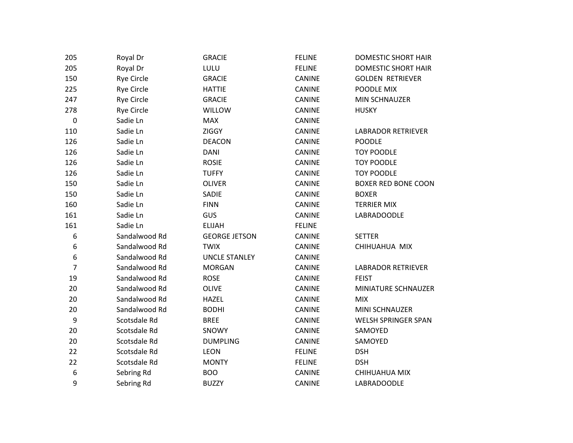| 205              | Royal Dr          | <b>GRACIE</b>        | <b>FELINE</b> | DOMESTIC SHORT HAIR        |
|------------------|-------------------|----------------------|---------------|----------------------------|
| 205              | Royal Dr          | LULU                 | <b>FELINE</b> | <b>DOMESTIC SHORT HAIR</b> |
| 150              | <b>Rye Circle</b> | <b>GRACIE</b>        | CANINE        | <b>GOLDEN RETRIEVER</b>    |
| 225              | <b>Rye Circle</b> | <b>HATTIE</b>        | <b>CANINE</b> | POODLE MIX                 |
| 247              | <b>Rye Circle</b> | <b>GRACIE</b>        | CANINE        | MIN SCHNAUZER              |
| 278              | <b>Rye Circle</b> | <b>WILLOW</b>        | <b>CANINE</b> | <b>HUSKY</b>               |
| $\pmb{0}$        | Sadie Ln          | <b>MAX</b>           | <b>CANINE</b> |                            |
| 110              | Sadie Ln          | <b>ZIGGY</b>         | CANINE        | <b>LABRADOR RETRIEVER</b>  |
| 126              | Sadie Ln          | <b>DEACON</b>        | CANINE        | <b>POODLE</b>              |
| 126              | Sadie Ln          | <b>DANI</b>          | CANINE        | <b>TOY POODLE</b>          |
| 126              | Sadie Ln          | <b>ROSIE</b>         | <b>CANINE</b> | <b>TOY POODLE</b>          |
| 126              | Sadie Ln          | <b>TUFFY</b>         | CANINE        | <b>TOY POODLE</b>          |
| 150              | Sadie Ln          | <b>OLIVER</b>        | CANINE        | <b>BOXER RED BONE COON</b> |
| 150              | Sadie Ln          | SADIE                | <b>CANINE</b> | <b>BOXER</b>               |
| 160              | Sadie Ln          | <b>FINN</b>          | <b>CANINE</b> | <b>TERRIER MIX</b>         |
| 161              | Sadie Ln          | GUS                  | CANINE        | LABRADOODLE                |
| 161              | Sadie Ln          | <b>ELIJAH</b>        | <b>FELINE</b> |                            |
| 6                | Sandalwood Rd     | <b>GEORGE JETSON</b> | <b>CANINE</b> | <b>SETTER</b>              |
| 6                | Sandalwood Rd     | <b>TWIX</b>          | CANINE        | CHIHUAHUA MIX              |
| 6                | Sandalwood Rd     | <b>UNCLE STANLEY</b> | CANINE        |                            |
| $\overline{7}$   | Sandalwood Rd     | <b>MORGAN</b>        | CANINE        | <b>LABRADOR RETRIEVER</b>  |
| 19               | Sandalwood Rd     | <b>ROSE</b>          | <b>CANINE</b> | <b>FEIST</b>               |
| 20               | Sandalwood Rd     | OLIVE                | CANINE        | MINIATURE SCHNAUZER        |
| 20               | Sandalwood Rd     | <b>HAZEL</b>         | <b>CANINE</b> | <b>MIX</b>                 |
| 20               | Sandalwood Rd     | <b>BODHI</b>         | <b>CANINE</b> | MINI SCHNAUZER             |
| $\boldsymbol{9}$ | Scotsdale Rd      | <b>BREE</b>          | CANINE        | WELSH SPRINGER SPAN        |
| 20               | Scotsdale Rd      | SNOWY                | CANINE        | SAMOYED                    |
| 20               | Scotsdale Rd      | <b>DUMPLING</b>      | CANINE        | SAMOYED                    |
| 22               | Scotsdale Rd      | <b>LEON</b>          | <b>FELINE</b> | <b>DSH</b>                 |
| 22               | Scotsdale Rd      | <b>MONTY</b>         | <b>FELINE</b> | <b>DSH</b>                 |
| 6                | Sebring Rd        | <b>BOO</b>           | CANINE        | CHIHUAHUA MIX              |
| 9                | Sebring Rd        | <b>BUZZY</b>         | <b>CANINE</b> | <b>LABRADOODLE</b>         |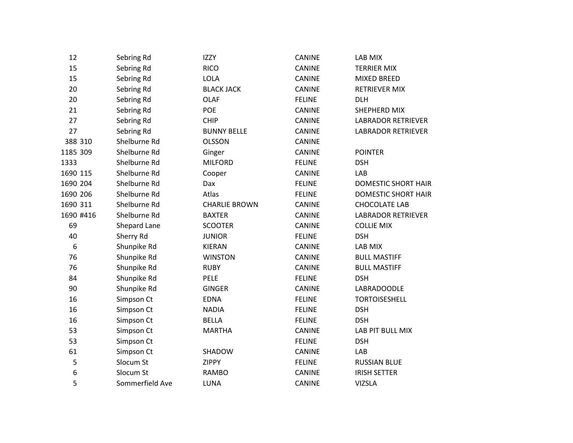| 12        | Sebring Rd      | <b>IZZY</b>          | <b>CANINE</b> | LAB MIX                    |
|-----------|-----------------|----------------------|---------------|----------------------------|
| 15        | Sebring Rd      | <b>RICO</b>          | CANINE        | <b>TERRIER MIX</b>         |
| 15        | Sebring Rd      | LOLA                 | CANINE        | <b>MIXED BREED</b>         |
| 20        | Sebring Rd      | <b>BLACK JACK</b>    | CANINE        | RETRIEVER MIX              |
| 20        | Sebring Rd      | <b>OLAF</b>          | <b>FELINE</b> | <b>DLH</b>                 |
| 21        | Sebring Rd      | <b>POE</b>           | <b>CANINE</b> | SHEPHERD MIX               |
| 27        | Sebring Rd      | <b>CHIP</b>          | CANINE        | <b>LABRADOR RETRIEVER</b>  |
| 27        | Sebring Rd      | <b>BUNNY BELLE</b>   | CANINE        | <b>LABRADOR RETRIEVER</b>  |
| 388 310   | Shelburne Rd    | <b>OLSSON</b>        | CANINE        |                            |
| 1185 309  | Shelburne Rd    | Ginger               | CANINE        | <b>POINTER</b>             |
| 1333      | Shelburne Rd    | <b>MILFORD</b>       | <b>FELINE</b> | <b>DSH</b>                 |
| 1690 115  | Shelburne Rd    | Cooper               | CANINE        | LAB                        |
| 1690 204  | Shelburne Rd    | Dax                  | <b>FELINE</b> | <b>DOMESTIC SHORT HAIR</b> |
| 1690 206  | Shelburne Rd    | Atlas                | <b>FELINE</b> | <b>DOMESTIC SHORT HAIR</b> |
| 1690 311  | Shelburne Rd    | <b>CHARLIE BROWN</b> | CANINE        | <b>CHOCOLATE LAB</b>       |
| 1690 #416 | Shelburne Rd    | <b>BAXTER</b>        | CANINE        | <b>LABRADOR RETRIEVER</b>  |
| 69        | Shepard Lane    | <b>SCOOTER</b>       | <b>CANINE</b> | <b>COLLIE MIX</b>          |
| 40        | Sherry Rd       | <b>JUNIOR</b>        | <b>FELINE</b> | <b>DSH</b>                 |
| 6         | Shunpike Rd     | <b>KIERAN</b>        | CANINE        | LAB MIX                    |
| 76        | Shunpike Rd     | <b>WINSTON</b>       | CANINE        | <b>BULL MASTIFF</b>        |
| 76        | Shunpike Rd     | <b>RUBY</b>          | <b>CANINE</b> | <b>BULL MASTIFF</b>        |
| 84        | Shunpike Rd     | <b>PELE</b>          | <b>FELINE</b> | <b>DSH</b>                 |
| 90        | Shunpike Rd     | <b>GINGER</b>        | CANINE        | <b>LABRADOODLE</b>         |
| 16        | Simpson Ct      | <b>EDNA</b>          | <b>FELINE</b> | <b>TORTOISESHELL</b>       |
| 16        | Simpson Ct      | <b>NADIA</b>         | <b>FELINE</b> | <b>DSH</b>                 |
| 16        | Simpson Ct      | <b>BELLA</b>         | <b>FELINE</b> | <b>DSH</b>                 |
| 53        | Simpson Ct      | <b>MARTHA</b>        | CANINE        | LAB PIT BULL MIX           |
| 53        | Simpson Ct      |                      | <b>FELINE</b> | <b>DSH</b>                 |
| 61        | Simpson Ct      | SHADOW               | CANINE        | LAB                        |
| 5         | Slocum St       | <b>ZIPPY</b>         | <b>FELINE</b> | <b>RUSSIAN BLUE</b>        |
| 6         | Slocum St       | <b>RAMBO</b>         | CANINE        | <b>IRISH SETTER</b>        |
| 5         | Sommerfield Ave | LUNA                 | <b>CANINE</b> | <b>VIZSLA</b>              |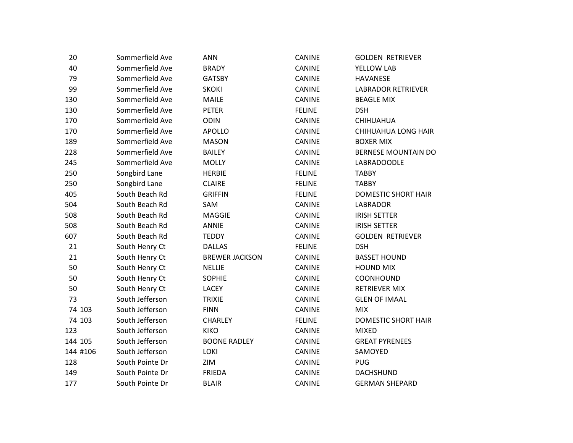| 20       | Sommerfield Ave | <b>ANN</b>            | <b>CANINE</b> | <b>GOLDEN RETRIEVER</b>    |
|----------|-----------------|-----------------------|---------------|----------------------------|
| 40       | Sommerfield Ave | <b>BRADY</b>          | CANINE        | YELLOW LAB                 |
| 79       | Sommerfield Ave | <b>GATSBY</b>         | CANINE        | <b>HAVANESE</b>            |
| 99       | Sommerfield Ave | <b>SKOKI</b>          | CANINE        | <b>LABRADOR RETRIEVER</b>  |
| 130      | Sommerfield Ave | <b>MAILE</b>          | CANINE        | <b>BEAGLE MIX</b>          |
| 130      | Sommerfield Ave | <b>PETER</b>          | <b>FELINE</b> | <b>DSH</b>                 |
| 170      | Sommerfield Ave | <b>ODIN</b>           | CANINE        | <b>CHIHUAHUA</b>           |
| 170      | Sommerfield Ave | <b>APOLLO</b>         | CANINE        | CHIHUAHUA LONG HAIR        |
| 189      | Sommerfield Ave | <b>MASON</b>          | <b>CANINE</b> | <b>BOXER MIX</b>           |
| 228      | Sommerfield Ave | <b>BAILEY</b>         | <b>CANINE</b> | <b>BERNESE MOUNTAIN DO</b> |
| 245      | Sommerfield Ave | <b>MOLLY</b>          | CANINE        | <b>LABRADOODLE</b>         |
| 250      | Songbird Lane   | <b>HERBIE</b>         | <b>FELINE</b> | <b>TABBY</b>               |
| 250      | Songbird Lane   | <b>CLAIRE</b>         | <b>FELINE</b> | <b>TABBY</b>               |
| 405      | South Beach Rd  | <b>GRIFFIN</b>        | <b>FELINE</b> | DOMESTIC SHORT HAIR        |
| 504      | South Beach Rd  | SAM                   | <b>CANINE</b> | LABRADOR                   |
| 508      | South Beach Rd  | <b>MAGGIE</b>         | CANINE        | <b>IRISH SETTER</b>        |
| 508      | South Beach Rd  | <b>ANNIE</b>          | CANINE        | <b>IRISH SETTER</b>        |
| 607      | South Beach Rd  | <b>TEDDY</b>          | <b>CANINE</b> | <b>GOLDEN RETRIEVER</b>    |
| 21       | South Henry Ct  | <b>DALLAS</b>         | <b>FELINE</b> | <b>DSH</b>                 |
| 21       | South Henry Ct  | <b>BREWER JACKSON</b> | CANINE        | <b>BASSET HOUND</b>        |
| 50       | South Henry Ct  | <b>NELLIE</b>         | CANINE        | <b>HOUND MIX</b>           |
| 50       | South Henry Ct  | <b>SOPHIE</b>         | CANINE        | COONHOUND                  |
| 50       | South Henry Ct  | LACEY                 | <b>CANINE</b> | <b>RETRIEVER MIX</b>       |
| 73       | South Jefferson | <b>TRIXIE</b>         | CANINE        | <b>GLEN OF IMAAL</b>       |
| 74 103   | South Jefferson | <b>FINN</b>           | CANINE        | <b>MIX</b>                 |
| 74 103   | South Jefferson | <b>CHARLEY</b>        | <b>FELINE</b> | <b>DOMESTIC SHORT HAIR</b> |
| 123      | South Jefferson | <b>KIKO</b>           | <b>CANINE</b> | <b>MIXED</b>               |
| 144 105  | South Jefferson | <b>BOONE RADLEY</b>   | CANINE        | <b>GREAT PYRENEES</b>      |
| 144 #106 | South Jefferson | <b>LOKI</b>           | CANINE        | SAMOYED                    |
| 128      | South Pointe Dr | ZIM                   | CANINE        | <b>PUG</b>                 |
| 149      | South Pointe Dr | <b>FRIEDA</b>         | CANINE        | <b>DACHSHUND</b>           |
| 177      | South Pointe Dr | <b>BLAIR</b>          | <b>CANINE</b> | <b>GERMAN SHEPARD</b>      |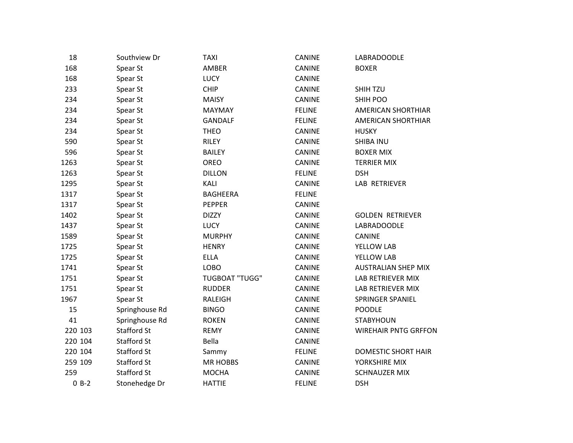| 18      | Southview Dr       | <b>TAXI</b>           | <b>CANINE</b> | LABRADOODLE                 |
|---------|--------------------|-----------------------|---------------|-----------------------------|
| 168     | Spear St           | AMBER                 | CANINE        | <b>BOXER</b>                |
| 168     | Spear St           | <b>LUCY</b>           | CANINE        |                             |
| 233     | Spear St           | <b>CHIP</b>           | CANINE        | SHIH TZU                    |
| 234     | Spear St           | <b>MAISY</b>          | <b>CANINE</b> | SHIH POO                    |
| 234     | Spear St           | MAYMAY                | <b>FELINE</b> | AMERICAN SHORTHIAR          |
| 234     | Spear St           | <b>GANDALF</b>        | <b>FELINE</b> | AMERICAN SHORTHIAR          |
| 234     | Spear St           | <b>THEO</b>           | CANINE        | <b>HUSKY</b>                |
| 590     | Spear St           | RILEY                 | <b>CANINE</b> | <b>SHIBA INU</b>            |
| 596     | Spear St           | <b>BAILEY</b>         | CANINE        | <b>BOXER MIX</b>            |
| 1263    | Spear St           | OREO                  | CANINE        | <b>TERRIER MIX</b>          |
| 1263    | Spear St           | <b>DILLON</b>         | <b>FELINE</b> | <b>DSH</b>                  |
| 1295    | Spear St           | KALI                  | CANINE        | LAB RETRIEVER               |
| 1317    | Spear St           | <b>BAGHEERA</b>       | <b>FELINE</b> |                             |
| 1317    | Spear St           | <b>PEPPER</b>         | CANINE        |                             |
| 1402    | Spear St           | <b>DIZZY</b>          | CANINE        | <b>GOLDEN RETRIEVER</b>     |
| 1437    | Spear St           | <b>LUCY</b>           | CANINE        | LABRADOODLE                 |
| 1589    | Spear St           | <b>MURPHY</b>         | <b>CANINE</b> | <b>CANINE</b>               |
| 1725    | Spear St           | <b>HENRY</b>          | <b>CANINE</b> | YELLOW LAB                  |
| 1725    | Spear St           | <b>ELLA</b>           | CANINE        | YELLOW LAB                  |
| 1741    | Spear St           | LOBO                  | CANINE        | <b>AUSTRALIAN SHEP MIX</b>  |
| 1751    | Spear St           | <b>TUGBOAT "TUGG"</b> | CANINE        | LAB RETRIEVER MIX           |
| 1751    | Spear St           | <b>RUDDER</b>         | <b>CANINE</b> | LAB RETRIEVER MIX           |
| 1967    | Spear St           | RALEIGH               | CANINE        | SPRINGER SPANIEL            |
| 15      | Springhouse Rd     | <b>BINGO</b>          | CANINE        | <b>POODLE</b>               |
| 41      | Springhouse Rd     | <b>ROKEN</b>          | CANINE        | <b>STABYHOUN</b>            |
| 220 103 | <b>Stafford St</b> | <b>REMY</b>           | <b>CANINE</b> | <b>WIREHAIR PNTG GRFFON</b> |
| 220 104 | Stafford St        | Bella                 | CANINE        |                             |
| 220 104 | Stafford St        | Sammy                 | <b>FELINE</b> | <b>DOMESTIC SHORT HAIR</b>  |
| 259 109 | Stafford St        | <b>MR HOBBS</b>       | CANINE        | YORKSHIRE MIX               |
| 259     | <b>Stafford St</b> | <b>MOCHA</b>          | CANINE        | <b>SCHNAUZER MIX</b>        |
| $0 B-2$ | Stonehedge Dr      | <b>HATTIE</b>         | <b>FELINE</b> | <b>DSH</b>                  |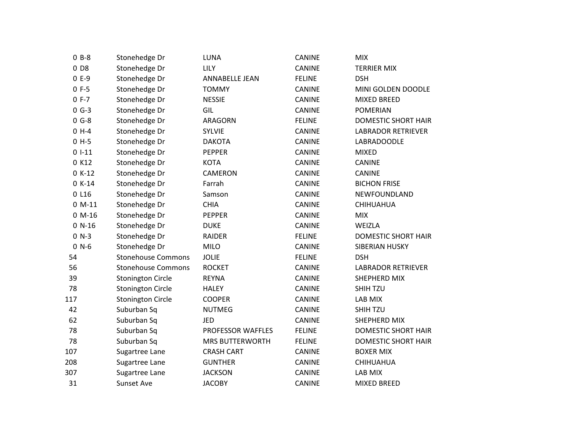| $0 B-8$         | Stonehedge Dr             | LUNA                   | CANINE        | <b>MIX</b>                 |
|-----------------|---------------------------|------------------------|---------------|----------------------------|
| 0 <sub>D8</sub> | Stonehedge Dr             | <b>LILY</b>            | CANINE        | <b>TERRIER MIX</b>         |
| $0E-9$          | Stonehedge Dr             | <b>ANNABELLE JEAN</b>  | <b>FELINE</b> | <b>DSH</b>                 |
| $0 F-5$         | Stonehedge Dr             | <b>TOMMY</b>           | CANINE        | MINI GOLDEN DOODLE         |
| $0 F - 7$       | Stonehedge Dr             | <b>NESSIE</b>          | CANINE        | MIXED BREED                |
| $0 G-3$         | Stonehedge Dr             | GIL                    | <b>CANINE</b> | <b>POMERIAN</b>            |
| $0 G-8$         | Stonehedge Dr             | ARAGORN                | <b>FELINE</b> | <b>DOMESTIC SHORT HAIR</b> |
| $0 H-4$         | Stonehedge Dr             | SYLVIE                 | CANINE        | <b>LABRADOR RETRIEVER</b>  |
| $0 H-5$         | Stonehedge Dr             | <b>DAKOTA</b>          | CANINE        | LABRADOODLE                |
| $01-11$         | Stonehedge Dr             | <b>PEPPER</b>          | CANINE        | <b>MIXED</b>               |
| 0 K12           | Stonehedge Dr             | <b>KOTA</b>            | CANINE        | <b>CANINE</b>              |
| $0 K-12$        | Stonehedge Dr             | CAMERON                | CANINE        | <b>CANINE</b>              |
| $0 K-14$        | Stonehedge Dr             | Farrah                 | <b>CANINE</b> | <b>BICHON FRISE</b>        |
| 0 L16           | Stonehedge Dr             | Samson                 | CANINE        | NEWFOUNDLAND               |
| $0 M-11$        | Stonehedge Dr             | <b>CHIA</b>            | CANINE        | CHIHUAHUA                  |
| $0 M-16$        | Stonehedge Dr             | <b>PEPPER</b>          | CANINE        | <b>MIX</b>                 |
| $0 N-16$        | Stonehedge Dr             | <b>DUKE</b>            | CANINE        | WEIZLA                     |
| $0 N-3$         | Stonehedge Dr             | RAIDER                 | <b>FELINE</b> | <b>DOMESTIC SHORT HAIR</b> |
| $0 N-6$         | Stonehedge Dr             | <b>MILO</b>            | <b>CANINE</b> | SIBERIAN HUSKY             |
| 54              | <b>Stonehouse Commons</b> | <b>JOLIE</b>           | <b>FELINE</b> | <b>DSH</b>                 |
| 56              | <b>Stonehouse Commons</b> | <b>ROCKET</b>          | CANINE        | <b>LABRADOR RETRIEVER</b>  |
| 39              | <b>Stonington Circle</b>  | <b>REYNA</b>           | CANINE        | SHEPHERD MIX               |
| 78              | <b>Stonington Circle</b>  | <b>HALEY</b>           | CANINE        | <b>SHIH TZU</b>            |
| 117             | <b>Stonington Circle</b>  | <b>COOPER</b>          | CANINE        | LAB MIX                    |
| 42              | Suburban Sq               | <b>NUTMEG</b>          | CANINE        | <b>SHIH TZU</b>            |
| 62              | Suburban Sq               | <b>JED</b>             | CANINE        | SHEPHERD MIX               |
| 78              | Suburban Sq               | PROFESSOR WAFFLES      | <b>FELINE</b> | DOMESTIC SHORT HAIR        |
| 78              | Suburban Sq               | <b>MRS BUTTERWORTH</b> | <b>FELINE</b> | <b>DOMESTIC SHORT HAIR</b> |
| 107             | Sugartree Lane            | <b>CRASH CART</b>      | CANINE        | <b>BOXER MIX</b>           |
| 208             | Sugartree Lane            | <b>GUNTHER</b>         | CANINE        | CHIHUAHUA                  |
| 307             | Sugartree Lane            | <b>JACKSON</b>         | CANINE        | LAB MIX                    |
| 31              | <b>Sunset Ave</b>         | <b>JACOBY</b>          | <b>CANINE</b> | <b>MIXED BREED</b>         |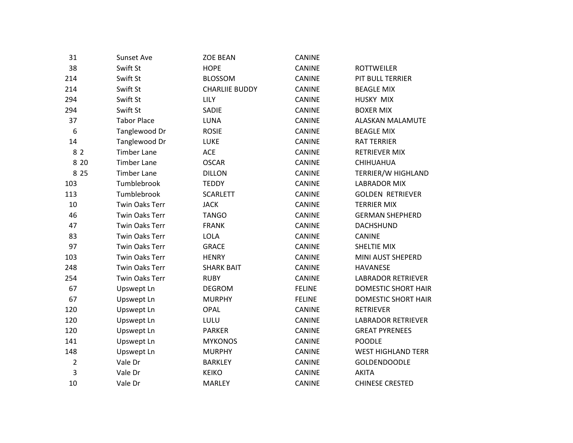| 31             | <b>Sunset Ave</b>     | <b>ZOE BEAN</b>       | CANINE        |                            |
|----------------|-----------------------|-----------------------|---------------|----------------------------|
| 38             | Swift St              | <b>HOPE</b>           | <b>CANINE</b> | <b>ROTTWEILER</b>          |
| 214            | Swift St              | <b>BLOSSOM</b>        | CANINE        | PIT BULL TERRIER           |
| 214            | Swift St              | <b>CHARLIIE BUDDY</b> | <b>CANINE</b> | <b>BEAGLE MIX</b>          |
| 294            | Swift St              | <b>LILY</b>           | CANINE        | HUSKY MIX                  |
| 294            | Swift St              | SADIE                 | CANINE        | <b>BOXER MIX</b>           |
| 37             | <b>Tabor Place</b>    | LUNA                  | CANINE        | ALASKAN MALAMUTE           |
| 6              | Tanglewood Dr         | <b>ROSIE</b>          | <b>CANINE</b> | <b>BEAGLE MIX</b>          |
| 14             | Tanglewood Dr         | <b>LUKE</b>           | <b>CANINE</b> | RAT TERRIER                |
| 82             | <b>Timber Lane</b>    | <b>ACE</b>            | <b>CANINE</b> | <b>RETRIEVER MIX</b>       |
| 8 2 0          | <b>Timber Lane</b>    | <b>OSCAR</b>          | CANINE        | CHIHUAHUA                  |
| 8 2 5          | <b>Timber Lane</b>    | <b>DILLON</b>         | CANINE        | TERRIER/W HIGHLAND         |
| 103            | Tumblebrook           | <b>TEDDY</b>          | CANINE        | <b>LABRADOR MIX</b>        |
| 113            | Tumblebrook           | <b>SCARLETT</b>       | CANINE        | <b>GOLDEN RETRIEVER</b>    |
| 10             | <b>Twin Oaks Terr</b> | <b>JACK</b>           | <b>CANINE</b> | <b>TERRIER MIX</b>         |
| 46             | <b>Twin Oaks Terr</b> | <b>TANGO</b>          | <b>CANINE</b> | <b>GERMAN SHEPHERD</b>     |
| 47             | <b>Twin Oaks Terr</b> | <b>FRANK</b>          | <b>CANINE</b> | <b>DACHSHUND</b>           |
| 83             | <b>Twin Oaks Terr</b> | <b>LOLA</b>           | CANINE        | <b>CANINE</b>              |
| 97             | <b>Twin Oaks Terr</b> | <b>GRACE</b>          | CANINE        | SHELTIE MIX                |
| 103            | <b>Twin Oaks Terr</b> | <b>HENRY</b>          | CANINE        | MINI AUST SHEPERD          |
| 248            | <b>Twin Oaks Terr</b> | <b>SHARK BAIT</b>     | <b>CANINE</b> | <b>HAVANESE</b>            |
| 254            | Twin Oaks Terr        | <b>RUBY</b>           | CANINE        | <b>LABRADOR RETRIEVER</b>  |
| 67             | Upswept Ln            | <b>DEGROM</b>         | <b>FELINE</b> | <b>DOMESTIC SHORT HAIR</b> |
| 67             | Upswept Ln            | <b>MURPHY</b>         | <b>FELINE</b> | <b>DOMESTIC SHORT HAIR</b> |
| 120            | Upswept Ln            | <b>OPAL</b>           | <b>CANINE</b> | <b>RETRIEVER</b>           |
| 120            | Upswept Ln            | LULU                  | <b>CANINE</b> | <b>LABRADOR RETRIEVER</b>  |
| 120            | Upswept Ln            | <b>PARKER</b>         | CANINE        | <b>GREAT PYRENEES</b>      |
| 141            | Upswept Ln            | <b>MYKONOS</b>        | CANINE        | <b>POODLE</b>              |
| 148            | Upswept Ln            | <b>MURPHY</b>         | <b>CANINE</b> | <b>WEST HIGHLAND TERR</b>  |
| $\overline{2}$ | Vale Dr               | <b>BARKLEY</b>        | CANINE        | <b>GOLDENDOODLE</b>        |
| 3              | Vale Dr               | <b>KEIKO</b>          | <b>CANINE</b> | <b>AKITA</b>               |
| 10             | Vale Dr               | <b>MARLEY</b>         | <b>CANINE</b> | <b>CHINESE CRESTED</b>     |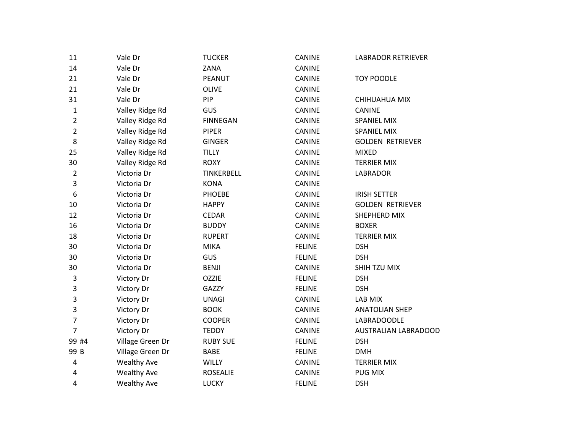| 11             | Vale Dr            | <b>TUCKER</b>   | CANINE        | <b>LABRADOR RETRIEVER</b> |  |
|----------------|--------------------|-----------------|---------------|---------------------------|--|
| 14             | Vale Dr            | ZANA            | <b>CANINE</b> |                           |  |
| 21             | Vale Dr            | <b>PEANUT</b>   | <b>CANINE</b> | <b>TOY POODLE</b>         |  |
| 21             | Vale Dr            | <b>OLIVE</b>    | <b>CANINE</b> |                           |  |
| 31             | Vale Dr            | PIP             | <b>CANINE</b> | CHIHUAHUA MIX             |  |
| $\mathbf{1}$   | Valley Ridge Rd    | GUS             | CANINE        | <b>CANINE</b>             |  |
| $\overline{2}$ | Valley Ridge Rd    | <b>FINNEGAN</b> | CANINE        | <b>SPANIEL MIX</b>        |  |
| 2              | Valley Ridge Rd    | <b>PIPER</b>    | <b>CANINE</b> | SPANIEL MIX               |  |
| 8              | Valley Ridge Rd    | <b>GINGER</b>   | CANINE        | <b>GOLDEN RETRIEVER</b>   |  |
| 25             | Valley Ridge Rd    | <b>TILLY</b>    | CANINE        | <b>MIXED</b>              |  |
| 30             | Valley Ridge Rd    | <b>ROXY</b>     | <b>CANINE</b> | <b>TERRIER MIX</b>        |  |
| $\overline{2}$ | Victoria Dr        | TINKERBELL      | <b>CANINE</b> | <b>LABRADOR</b>           |  |
| 3              | Victoria Dr        | <b>KONA</b>     | CANINE        |                           |  |
| 6              | Victoria Dr        | <b>PHOEBE</b>   | <b>CANINE</b> | <b>IRISH SETTER</b>       |  |
| 10             | Victoria Dr        | <b>HAPPY</b>    | CANINE        | <b>GOLDEN RETRIEVER</b>   |  |
| 12             | Victoria Dr        | <b>CEDAR</b>    | <b>CANINE</b> | SHEPHERD MIX              |  |
| 16             | Victoria Dr        | <b>BUDDY</b>    | CANINE        | <b>BOXER</b>              |  |
| 18             | Victoria Dr        | <b>RUPERT</b>   | <b>CANINE</b> | <b>TERRIER MIX</b>        |  |
| 30             | Victoria Dr        | <b>MIKA</b>     | <b>FELINE</b> | <b>DSH</b>                |  |
| 30             | Victoria Dr        | GUS             | <b>FELINE</b> | <b>DSH</b>                |  |
| 30             | Victoria Dr        | <b>BENJI</b>    | CANINE        | SHIH TZU MIX              |  |
| 3              | Victory Dr         | <b>OZZIE</b>    | <b>FELINE</b> | <b>DSH</b>                |  |
| 3              | Victory Dr         | GAZZY           | <b>FELINE</b> | <b>DSH</b>                |  |
| 3              | Victory Dr         | <b>UNAGI</b>    | <b>CANINE</b> | LAB MIX                   |  |
| 3              | Victory Dr         | <b>BOOK</b>     | <b>CANINE</b> | <b>ANATOLIAN SHEP</b>     |  |
| 7              | Victory Dr         | <b>COOPER</b>   | <b>CANINE</b> | LABRADOODLE               |  |
| 7              | Victory Dr         | <b>TEDDY</b>    | CANINE        | AUSTRALIAN LABRADOOD      |  |
| 99 #4          | Village Green Dr   | <b>RUBY SUE</b> | <b>FELINE</b> | <b>DSH</b>                |  |
| 99 B           | Village Green Dr   | BABE            | <b>FELINE</b> | <b>DMH</b>                |  |
| 4              | <b>Wealthy Ave</b> | WILLY           | CANINE        | <b>TERRIER MIX</b>        |  |
| 4              | <b>Wealthy Ave</b> | <b>ROSEALIE</b> | CANINE        | <b>PUG MIX</b>            |  |
| 4              | <b>Wealthy Ave</b> | <b>LUCKY</b>    | <b>FELINE</b> | <b>DSH</b>                |  |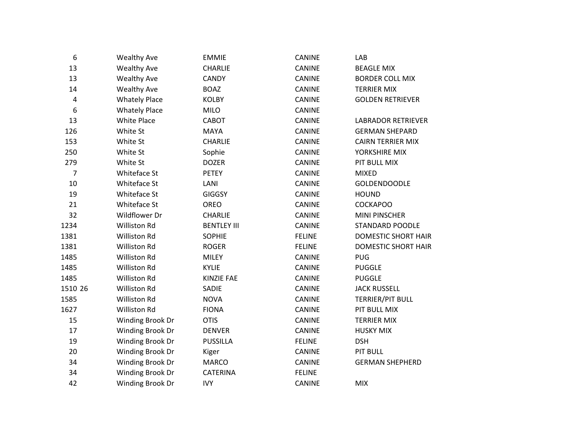| 6              | <b>Wealthy Ave</b>   | <b>EMMIE</b>       | CANINE        | LAB                        |
|----------------|----------------------|--------------------|---------------|----------------------------|
| 13             | <b>Wealthy Ave</b>   | <b>CHARLIE</b>     | CANINE        | <b>BEAGLE MIX</b>          |
| 13             | <b>Wealthy Ave</b>   | <b>CANDY</b>       | CANINE        | <b>BORDER COLL MIX</b>     |
| 14             | <b>Wealthy Ave</b>   | <b>BOAZ</b>        | <b>CANINE</b> | <b>TERRIER MIX</b>         |
| $\overline{4}$ | <b>Whately Place</b> | <b>KOLBY</b>       | CANINE        | <b>GOLDEN RETRIEVER</b>    |
| 6              | <b>Whately Place</b> | MILO               | CANINE        |                            |
| 13             | <b>White Place</b>   | CABOT              | CANINE        | <b>LABRADOR RETRIEVER</b>  |
| 126            | White St             | <b>MAYA</b>        | CANINE        | <b>GERMAN SHEPARD</b>      |
| 153            | White St             | <b>CHARLIE</b>     | <b>CANINE</b> | <b>CAIRN TERRIER MIX</b>   |
| 250            | White St             | Sophie             | CANINE        | YORKSHIRE MIX              |
| 279            | White St             | <b>DOZER</b>       | CANINE        | PIT BULL MIX               |
| $\overline{7}$ | Whiteface St         | <b>PETEY</b>       | CANINE        | <b>MIXED</b>               |
| 10             | Whiteface St         | LANI               | <b>CANINE</b> | <b>GOLDENDOODLE</b>        |
| 19             | Whiteface St         | <b>GIGGSY</b>      | <b>CANINE</b> | <b>HOUND</b>               |
| 21             | Whiteface St         | OREO               | CANINE        | <b>COCKAPOO</b>            |
| 32             | Wildflower Dr        | <b>CHARLIE</b>     | <b>CANINE</b> | <b>MINI PINSCHER</b>       |
| 1234           | <b>Williston Rd</b>  | <b>BENTLEY III</b> | CANINE        | <b>STANDARD POODLE</b>     |
| 1381           | <b>Williston Rd</b>  | <b>SOPHIE</b>      | <b>FELINE</b> | <b>DOMESTIC SHORT HAIR</b> |
| 1381           | <b>Williston Rd</b>  | <b>ROGER</b>       | <b>FELINE</b> | <b>DOMESTIC SHORT HAIR</b> |
| 1485           | <b>Williston Rd</b>  | MILEY              | <b>CANINE</b> | <b>PUG</b>                 |
| 1485           | <b>Williston Rd</b>  | <b>KYLIE</b>       | <b>CANINE</b> | <b>PUGGLE</b>              |
| 1485           | Williston Rd         | <b>KINZIE FAE</b>  | <b>CANINE</b> | <b>PUGGLE</b>              |
| 1510 26        | <b>Williston Rd</b>  | SADIE              | CANINE        | <b>JACK RUSSELL</b>        |
| 1585           | Williston Rd         | <b>NOVA</b>        | CANINE        | TERRIER/PIT BULL           |
| 1627           | Williston Rd         | <b>FIONA</b>       | CANINE        | PIT BULL MIX               |
| 15             | Winding Brook Dr     | <b>OTIS</b>        | CANINE        | <b>TERRIER MIX</b>         |
| 17             | Winding Brook Dr     | <b>DENVER</b>      | CANINE        | <b>HUSKY MIX</b>           |
| 19             | Winding Brook Dr     | <b>PUSSILLA</b>    | <b>FELINE</b> | <b>DSH</b>                 |
| 20             | Winding Brook Dr     | Kiger              | CANINE        | <b>PIT BULL</b>            |
| 34             | Winding Brook Dr     | <b>MARCO</b>       | CANINE        | <b>GERMAN SHEPHERD</b>     |
| 34             | Winding Brook Dr     | CATERINA           | <b>FELINE</b> |                            |
| 42             | Winding Brook Dr     | <b>IVY</b>         | <b>CANINE</b> | <b>MIX</b>                 |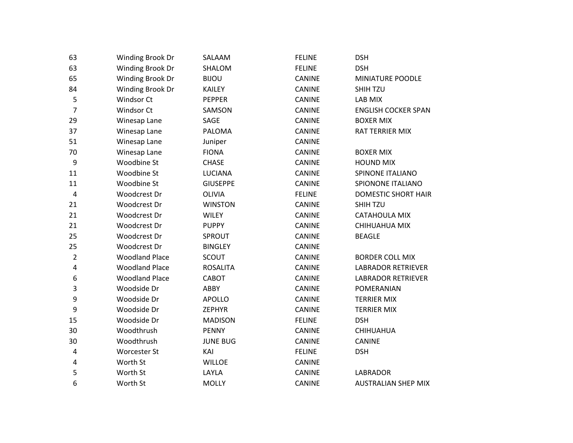| 63                      | Winding Brook Dr      | SALAAM          | <b>FELINE</b> | <b>DSH</b>                 |
|-------------------------|-----------------------|-----------------|---------------|----------------------------|
| 63                      | Winding Brook Dr      | SHALOM          | <b>FELINE</b> | <b>DSH</b>                 |
| 65                      | Winding Brook Dr      | <b>BIJOU</b>    | CANINE        | MINIATURE POODLE           |
| 84                      | Winding Brook Dr      | <b>KAILEY</b>   | CANINE        | <b>SHIH TZU</b>            |
| 5                       | Windsor Ct            | <b>PEPPER</b>   | CANINE        | LAB MIX                    |
| $\overline{7}$          | Windsor Ct            | SAMSON          | CANINE        | <b>ENGLISH COCKER SPAN</b> |
| 29                      | Winesap Lane          | SAGE            | CANINE        | <b>BOXER MIX</b>           |
| 37                      | Winesap Lane          | PALOMA          | <b>CANINE</b> | RAT TERRIER MIX            |
| 51                      | Winesap Lane          | Juniper         | CANINE        |                            |
| 70                      | Winesap Lane          | <b>FIONA</b>    | CANINE        | <b>BOXER MIX</b>           |
| 9                       | Woodbine St           | <b>CHASE</b>    | CANINE        | <b>HOUND MIX</b>           |
| 11                      | Woodbine St           | <b>LUCIANA</b>  | <b>CANINE</b> | SPINONE ITALIANO           |
| 11                      | Woodbine St           | <b>GIUSEPPE</b> | CANINE        | SPIONONE ITALIANO          |
| $\overline{\mathbf{4}}$ | Woodcrest Dr          | <b>OLIVIA</b>   | <b>FELINE</b> | <b>DOMESTIC SHORT HAIR</b> |
| 21                      | Woodcrest Dr          | <b>WINSTON</b>  | CANINE        | <b>SHIH TZU</b>            |
| 21                      | Woodcrest Dr          | <b>WILEY</b>    | CANINE        | CATAHOULA MIX              |
| 21                      | Woodcrest Dr          | <b>PUPPY</b>    | CANINE        | CHIHUAHUA MIX              |
| 25                      | Woodcrest Dr          | SPROUT          | CANINE        | <b>BEAGLE</b>              |
| 25                      | Woodcrest Dr          | <b>BINGLEY</b>  | CANINE        |                            |
| $\overline{2}$          | <b>Woodland Place</b> | <b>SCOUT</b>    | <b>CANINE</b> | <b>BORDER COLL MIX</b>     |
| 4                       | <b>Woodland Place</b> | <b>ROSALITA</b> | CANINE        | <b>LABRADOR RETRIEVER</b>  |
| 6                       | <b>Woodland Place</b> | CABOT           | CANINE        | <b>LABRADOR RETRIEVER</b>  |
| 3                       | Woodside Dr           | ABBY            | CANINE        | POMERANIAN                 |
| 9                       | Woodside Dr           | <b>APOLLO</b>   | <b>CANINE</b> | <b>TERRIER MIX</b>         |
| 9                       | Woodside Dr           | <b>ZEPHYR</b>   | CANINE        | <b>TERRIER MIX</b>         |
| 15                      | Woodside Dr           | <b>MADISON</b>  | <b>FELINE</b> | <b>DSH</b>                 |
| 30                      | Woodthrush            | <b>PENNY</b>    | CANINE        | CHIHUAHUA                  |
| 30                      | Woodthrush            | <b>JUNE BUG</b> | CANINE        | CANINE                     |
| 4                       | <b>Worcester St</b>   | KAI             | <b>FELINE</b> | <b>DSH</b>                 |
| 4                       | Worth St              | <b>WILLOE</b>   | CANINE        |                            |
| 5                       | Worth St              | LAYLA           | CANINE        | LABRADOR                   |
| 6                       | Worth St              | <b>MOLLY</b>    | <b>CANINE</b> | <b>AUSTRALIAN SHEP MIX</b> |